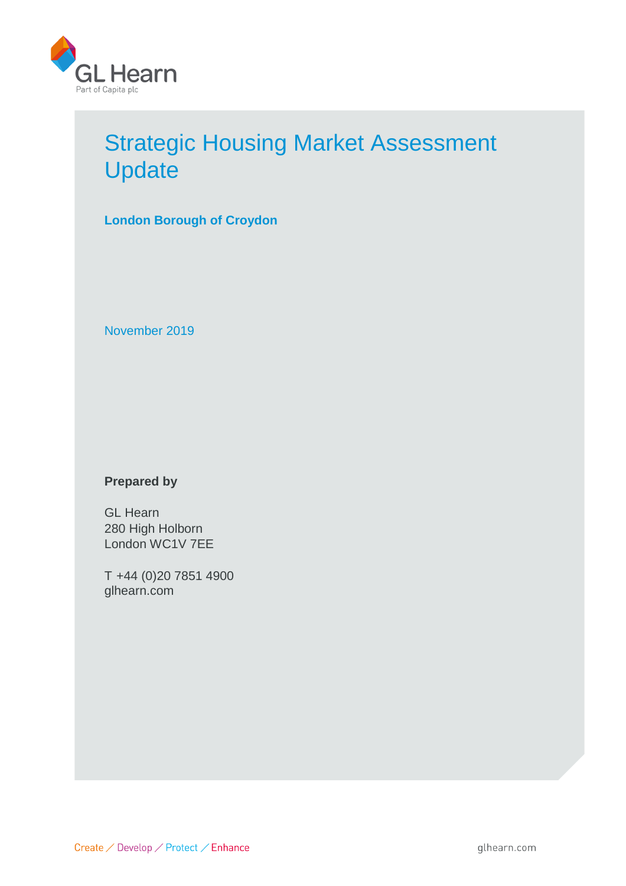

# Strategic Housing Market Assessment **Update**

**London Borough of Croydon**

November 2019

# **Prepared by**

GL Hearn 280 High Holborn London WC1V 7EE

T +44 (0)20 7851 4900 glhearn.com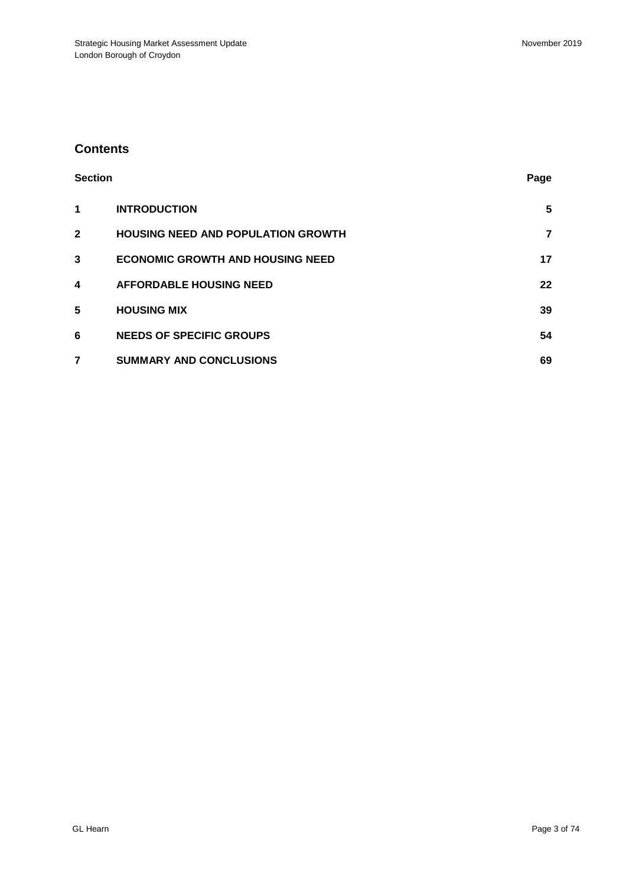# **Contents**

| <b>Section</b> |                                           | Page |
|----------------|-------------------------------------------|------|
| 1              | <b>INTRODUCTION</b>                       | 5    |
| $\mathbf{2}$   | <b>HOUSING NEED AND POPULATION GROWTH</b> | 7    |
| 3              | <b>ECONOMIC GROWTH AND HOUSING NEED</b>   | 17   |
| 4              | <b>AFFORDABLE HOUSING NEED</b>            | 22   |
| $5\phantom{1}$ | <b>HOUSING MIX</b>                        | 39   |
| 6              | <b>NEEDS OF SPECIFIC GROUPS</b>           | 54   |
| 7              | <b>SUMMARY AND CONCLUSIONS</b>            | 69   |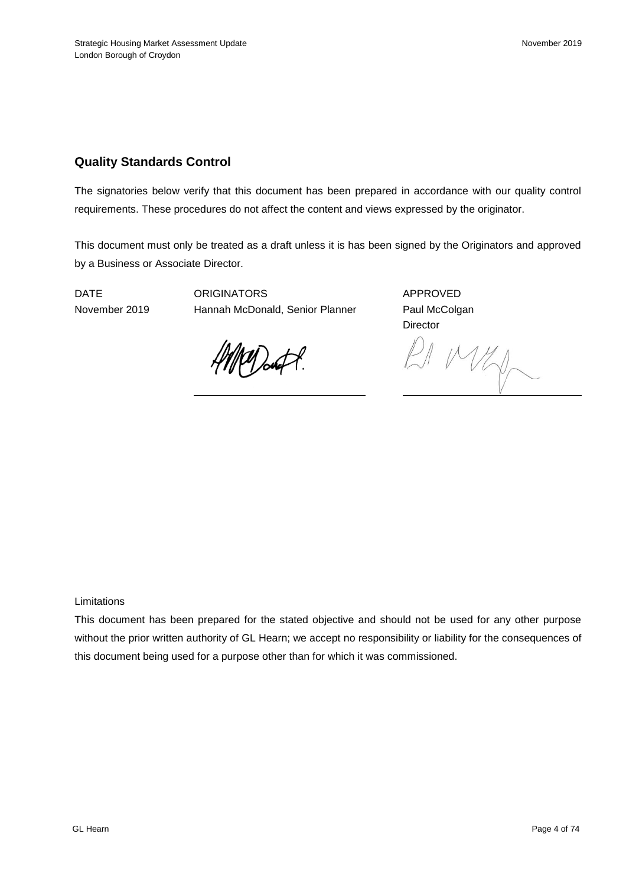# **Quality Standards Control**

The signatories below verify that this document has been prepared in accordance with our quality control requirements. These procedures do not affect the content and views expressed by the originator.

This document must only be treated as a draft unless it is has been signed by the Originators and approved by a Business or Associate Director.

DATE ORIGINATORS APPROVED November 2019 Hannah McDonald, Senior Planner Paul McColgan

**Director** 

Marft.

MKD-

Limitations

This document has been prepared for the stated objective and should not be used for any other purpose without the prior written authority of GL Hearn; we accept no responsibility or liability for the consequences of this document being used for a purpose other than for which it was commissioned.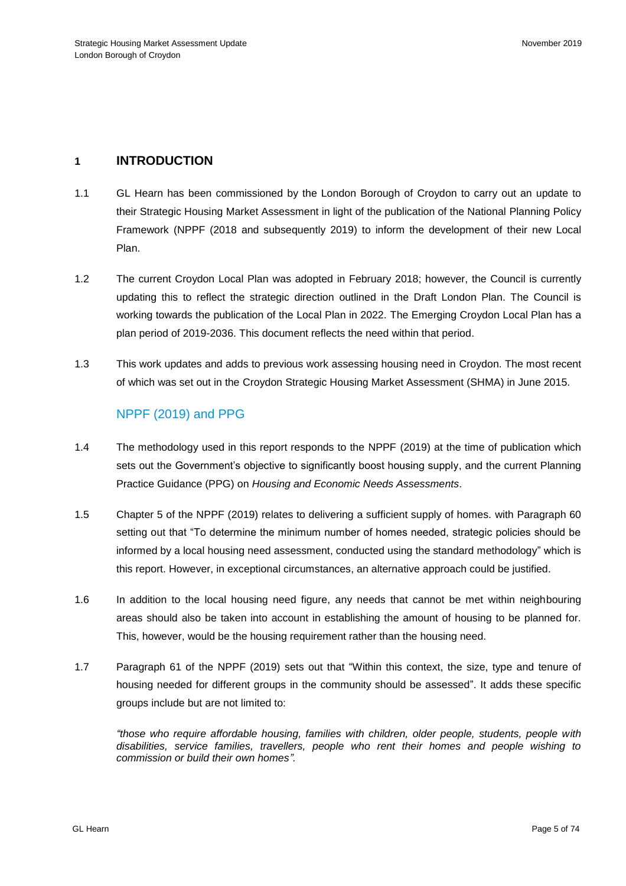## **1 INTRODUCTION**

- 1.1 GL Hearn has been commissioned by the London Borough of Croydon to carry out an update to their Strategic Housing Market Assessment in light of the publication of the National Planning Policy Framework (NPPF (2018 and subsequently 2019) to inform the development of their new Local Plan.
- 1.2 The current Croydon Local Plan was adopted in February 2018; however, the Council is currently updating this to reflect the strategic direction outlined in the Draft London Plan. The Council is working towards the publication of the Local Plan in 2022. The Emerging Croydon Local Plan has a plan period of 2019-2036. This document reflects the need within that period.
- 1.3 This work updates and adds to previous work assessing housing need in Croydon. The most recent of which was set out in the Croydon Strategic Housing Market Assessment (SHMA) in June 2015.

# NPPF (2019) and PPG

- 1.4 The methodology used in this report responds to the NPPF (2019) at the time of publication which sets out the Government's objective to significantly boost housing supply, and the current Planning Practice Guidance (PPG) on *Housing and Economic Needs Assessments*.
- 1.5 Chapter 5 of the NPPF (2019) relates to delivering a sufficient supply of homes. with Paragraph 60 setting out that "To determine the minimum number of homes needed, strategic policies should be informed by a local housing need assessment, conducted using the standard methodology" which is this report. However, in exceptional circumstances, an alternative approach could be justified.
- 1.6 In addition to the local housing need figure, any needs that cannot be met within neighbouring areas should also be taken into account in establishing the amount of housing to be planned for. This, however, would be the housing requirement rather than the housing need.
- 1.7 Paragraph 61 of the NPPF (2019) sets out that "Within this context, the size, type and tenure of housing needed for different groups in the community should be assessed". It adds these specific groups include but are not limited to:

*"those who require affordable housing, families with children, older people, students, people with disabilities, service families, travellers, people who rent their homes and people wishing to commission or build their own homes".*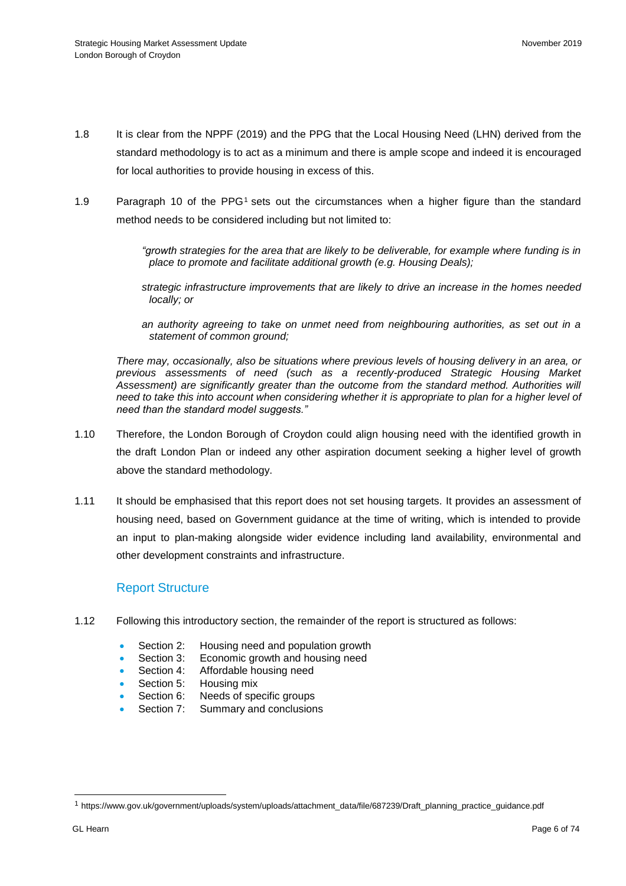- 1.8 It is clear from the NPPF (2019) and the PPG that the Local Housing Need (LHN) derived from the standard methodology is to act as a minimum and there is ample scope and indeed it is encouraged for local authorities to provide housing in excess of this.
- 1.9 Paragraph 10 of the PPG<sup>1</sup> sets out the circumstances when a higher figure than the standard method needs to be considered including but not limited to:

*"growth strategies for the area that are likely to be deliverable, for example where funding is in place to promote and facilitate additional growth (e.g. Housing Deals);*

*strategic infrastructure improvements that are likely to drive an increase in the homes needed locally; or*

*an authority agreeing to take on unmet need from neighbouring authorities, as set out in a statement of common ground;*

*There may, occasionally, also be situations where previous levels of housing delivery in an area, or previous assessments of need (such as a recently-produced Strategic Housing Market Assessment) are significantly greater than the outcome from the standard method. Authorities will need to take this into account when considering whether it is appropriate to plan for a higher level of need than the standard model suggests."*

- 1.10 Therefore, the London Borough of Croydon could align housing need with the identified growth in the draft London Plan or indeed any other aspiration document seeking a higher level of growth above the standard methodology.
- 1.11 It should be emphasised that this report does not set housing targets. It provides an assessment of housing need, based on Government guidance at the time of writing, which is intended to provide an input to plan-making alongside wider evidence including land availability, environmental and other development constraints and infrastructure.

## Report Structure

- 1.12 Following this introductory section, the remainder of the report is structured as follows:
	- Section 2: Housing need and population growth
	- Section 3: Economic growth and housing need
	- Section 4: Affordable housing need
	- Section 5: Housing mix
	- Section 6: Needs of specific groups
	- Section 7: Summary and conclusions

l

<sup>1</sup> https://www.gov.uk/government/uploads/system/uploads/attachment\_data/file/687239/Draft\_planning\_practice\_guidance.pdf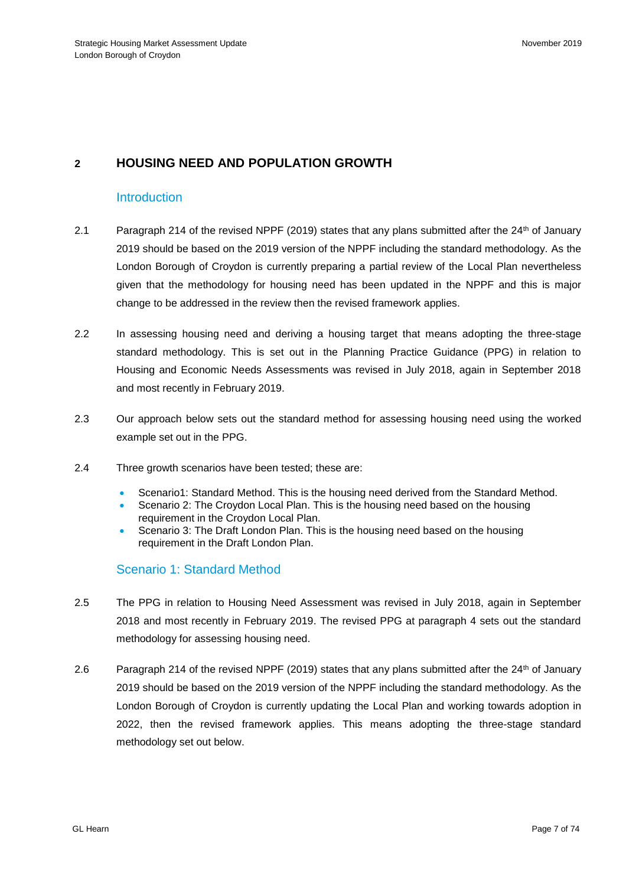# **2 HOUSING NEED AND POPULATION GROWTH**

## **Introduction**

- 2.1 Paragraph 214 of the revised NPPF (2019) states that any plans submitted after the 24<sup>th</sup> of January 2019 should be based on the 2019 version of the NPPF including the standard methodology. As the London Borough of Croydon is currently preparing a partial review of the Local Plan nevertheless given that the methodology for housing need has been updated in the NPPF and this is major change to be addressed in the review then the revised framework applies.
- 2.2 In assessing housing need and deriving a housing target that means adopting the three-stage standard methodology. This is set out in the Planning Practice Guidance (PPG) in relation to Housing and Economic Needs Assessments was revised in July 2018, again in September 2018 and most recently in February 2019.
- 2.3 Our approach below sets out the standard method for assessing housing need using the worked example set out in the PPG.
- 2.4 Three growth scenarios have been tested; these are:
	- Scenario1: Standard Method. This is the housing need derived from the Standard Method.
	- Scenario 2: The Croydon Local Plan. This is the housing need based on the housing requirement in the Croydon Local Plan.
	- Scenario 3: The Draft London Plan. This is the housing need based on the housing requirement in the Draft London Plan.

# Scenario 1: Standard Method

- 2.5 The PPG in relation to Housing Need Assessment was revised in July 2018, again in September 2018 and most recently in February 2019. The revised PPG at paragraph 4 sets out the standard methodology for assessing housing need.
- 2.6 Paragraph 214 of the revised NPPF (2019) states that any plans submitted after the 24<sup>th</sup> of January 2019 should be based on the 2019 version of the NPPF including the standard methodology. As the London Borough of Croydon is currently updating the Local Plan and working towards adoption in 2022, then the revised framework applies. This means adopting the three-stage standard methodology set out below.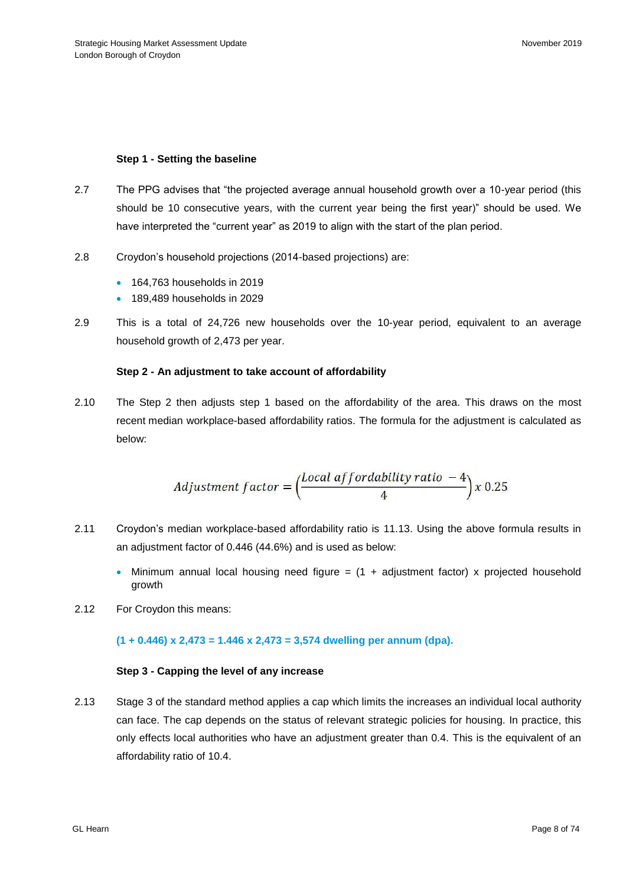#### **Step 1 - Setting the baseline**

- 2.7 The PPG advises that "the projected average annual household growth over a 10-year period (this should be 10 consecutive years, with the current year being the first year)" should be used. We have interpreted the "current year" as 2019 to align with the start of the plan period.
- 2.8 Croydon's household projections (2014-based projections) are:
	- 164,763 households in 2019
	- 189,489 households in 2029
- 2.9 This is a total of 24,726 new households over the 10-year period, equivalent to an average household growth of 2,473 per year.

#### **Step 2 - An adjustment to take account of affordability**

2.10 The Step 2 then adjusts step 1 based on the affordability of the area. This draws on the most recent [median workplace-based affordability ratios.](https://www.ons.gov.uk/peoplepopulationandcommunity/housing/datasets/ratioofhousepricetoworkplacebasedearningslowerquartileandmedian) The formula for the adjustment is calculated as below:

$$
Adjustment factor = \left(\frac{Local\ affordability\ ratio - 4}{4}\right) x\ 0.25
$$

- 2.11 Croydon's median workplace-based affordability ratio is 11.13. Using the above formula results in an adjustment factor of 0.446 (44.6%) and is used as below:
	- Minimum annual local housing need figure =  $(1 +$  adjustment factor) x projected household growth
- 2.12 For Croydon this means:

## **(1 + 0.446) x 2,473 = 1.446 x 2,473 = 3,574 dwelling per annum (dpa).**

#### **Step 3 - Capping the level of any increase**

2.13 Stage 3 of the standard method applies a cap which limits the increases an individual local authority can face. The cap depends on the status of relevant strategic policies for housing. In practice, this only effects local authorities who have an adjustment greater than 0.4. This is the equivalent of an affordability ratio of 10.4.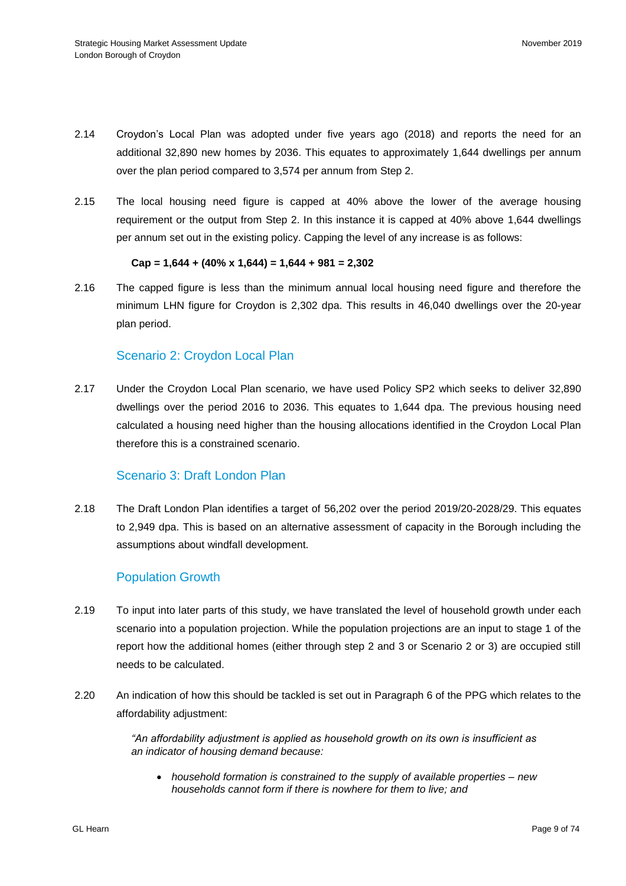- 2.14 Croydon's Local Plan was adopted under five years ago (2018) and reports the need for an additional 32,890 new homes by 2036. This equates to approximately 1,644 dwellings per annum over the plan period compared to 3,574 per annum from Step 2.
- 2.15 The local housing need figure is capped at 40% above the lower of the average housing requirement or the output from Step 2. In this instance it is capped at 40% above 1,644 dwellings per annum set out in the existing policy. Capping the level of any increase is as follows:

**Cap = 1,644 + (40% x 1,644) = 1,644 + 981 = 2,302**

2.16 The capped figure is less than the minimum annual local housing need figure and therefore the minimum LHN figure for Croydon is 2,302 dpa. This results in 46,040 dwellings over the 20-year plan period.

## Scenario 2: Croydon Local Plan

2.17 Under the Croydon Local Plan scenario, we have used Policy SP2 which seeks to deliver 32,890 dwellings over the period 2016 to 2036. This equates to 1,644 dpa. The previous housing need calculated a housing need higher than the housing allocations identified in the Croydon Local Plan therefore this is a constrained scenario.

# Scenario 3: Draft London Plan

2.18 The Draft London Plan identifies a target of 56,202 over the period 2019/20-2028/29. This equates to 2,949 dpa. This is based on an alternative assessment of capacity in the Borough including the assumptions about windfall development.

## Population Growth

- 2.19 To input into later parts of this study, we have translated the level of household growth under each scenario into a population projection. While the population projections are an input to stage 1 of the report how the additional homes (either through step 2 and 3 or Scenario 2 or 3) are occupied still needs to be calculated.
- 2.20 An indication of how this should be tackled is set out in Paragraph 6 of the PPG which relates to the affordability adjustment:

*"An affordability adjustment is applied as household growth on its own is insufficient as an indicator of housing demand because:*

• *household formation is constrained to the supply of available properties – new households cannot form if there is nowhere for them to live; and*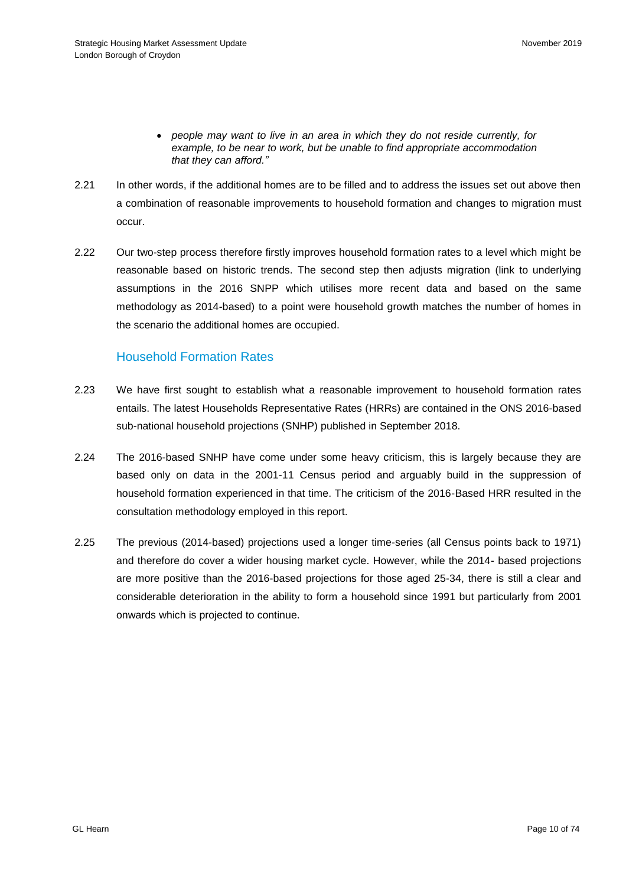- *people may want to live in an area in which they do not reside currently, for example, to be near to work, but be unable to find appropriate accommodation that they can afford."*
- 2.21 In other words, if the additional homes are to be filled and to address the issues set out above then a combination of reasonable improvements to household formation and changes to migration must occur.
- 2.22 Our two-step process therefore firstly improves household formation rates to a level which might be reasonable based on historic trends. The second step then adjusts migration (link to underlying assumptions in the 2016 SNPP which utilises more recent data and based on the same methodology as 2014-based) to a point were household growth matches the number of homes in the scenario the additional homes are occupied.

## Household Formation Rates

- 2.23 We have first sought to establish what a reasonable improvement to household formation rates entails. The latest Households Representative Rates (HRRs) are contained in the ONS 2016-based sub-national household projections (SNHP) published in September 2018.
- 2.24 The 2016-based SNHP have come under some heavy criticism, this is largely because they are based only on data in the 2001-11 Census period and arguably build in the suppression of household formation experienced in that time. The criticism of the 2016-Based HRR resulted in the consultation methodology employed in this report.
- 2.25 The previous (2014-based) projections used a longer time-series (all Census points back to 1971) and therefore do cover a wider housing market cycle. However, while the 2014- based projections are more positive than the 2016-based projections for those aged 25-34, there is still a clear and considerable deterioration in the ability to form a household since 1991 but particularly from 2001 onwards which is projected to continue.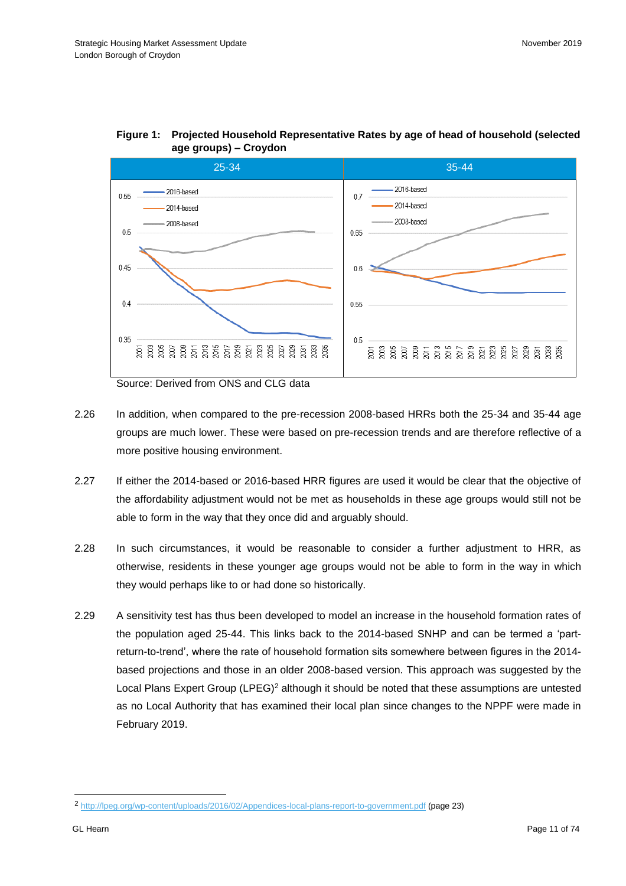

## **Figure 1: Projected Household Representative Rates by age of head of household (selected age groups) – Croydon**

Source: Derived from ONS and CLG data

- 2.26 In addition, when compared to the pre-recession 2008-based HRRs both the 25-34 and 35-44 age groups are much lower. These were based on pre-recession trends and are therefore reflective of a more positive housing environment.
- 2.27 If either the 2014-based or 2016-based HRR figures are used it would be clear that the objective of the affordability adjustment would not be met as households in these age groups would still not be able to form in the way that they once did and arguably should.
- 2.28 In such circumstances, it would be reasonable to consider a further adjustment to HRR, as otherwise, residents in these younger age groups would not be able to form in the way in which they would perhaps like to or had done so historically.
- 2.29 A sensitivity test has thus been developed to model an increase in the household formation rates of the population aged 25-44. This links back to the 2014-based SNHP and can be termed a 'partreturn-to-trend', where the rate of household formation sits somewhere between figures in the 2014 based projections and those in an older 2008-based version. This approach was suggested by the Local Plans Expert Group (LPEG)<sup>2</sup> although it should be noted that these assumptions are untested as no Local Authority that has examined their local plan since changes to the NPPF were made in February 2019.

l

<sup>2</sup> <http://lpeg.org/wp-content/uploads/2016/02/Appendices-local-plans-report-to-government.pdf> (page 23)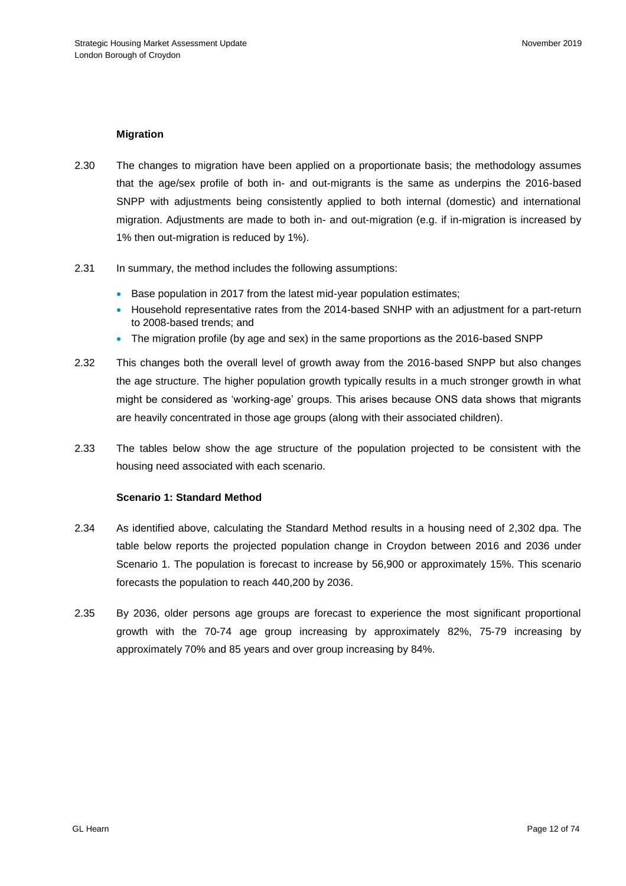## **Migration**

- 2.30 The changes to migration have been applied on a proportionate basis; the methodology assumes that the age/sex profile of both in- and out-migrants is the same as underpins the 2016-based SNPP with adjustments being consistently applied to both internal (domestic) and international migration. Adjustments are made to both in- and out-migration (e.g. if in-migration is increased by 1% then out-migration is reduced by 1%).
- 2.31 In summary, the method includes the following assumptions:
	- Base population in 2017 from the latest mid-year population estimates;
	- Household representative rates from the 2014-based SNHP with an adjustment for a part-return to 2008-based trends; and
	- The migration profile (by age and sex) in the same proportions as the 2016-based SNPP
- 2.32 This changes both the overall level of growth away from the 2016-based SNPP but also changes the age structure. The higher population growth typically results in a much stronger growth in what might be considered as 'working-age' groups. This arises because ONS data shows that migrants are heavily concentrated in those age groups (along with their associated children).
- 2.33 The tables below show the age structure of the population projected to be consistent with the housing need associated with each scenario.

#### **Scenario 1: Standard Method**

- 2.34 As identified above, calculating the Standard Method results in a housing need of 2,302 dpa. The table below reports the projected population change in Croydon between 2016 and 2036 under Scenario 1. The population is forecast to increase by 56,900 or approximately 15%. This scenario forecasts the population to reach 440,200 by 2036.
- 2.35 By 2036, older persons age groups are forecast to experience the most significant proportional growth with the 70-74 age group increasing by approximately 82%, 75-79 increasing by approximately 70% and 85 years and over group increasing by 84%.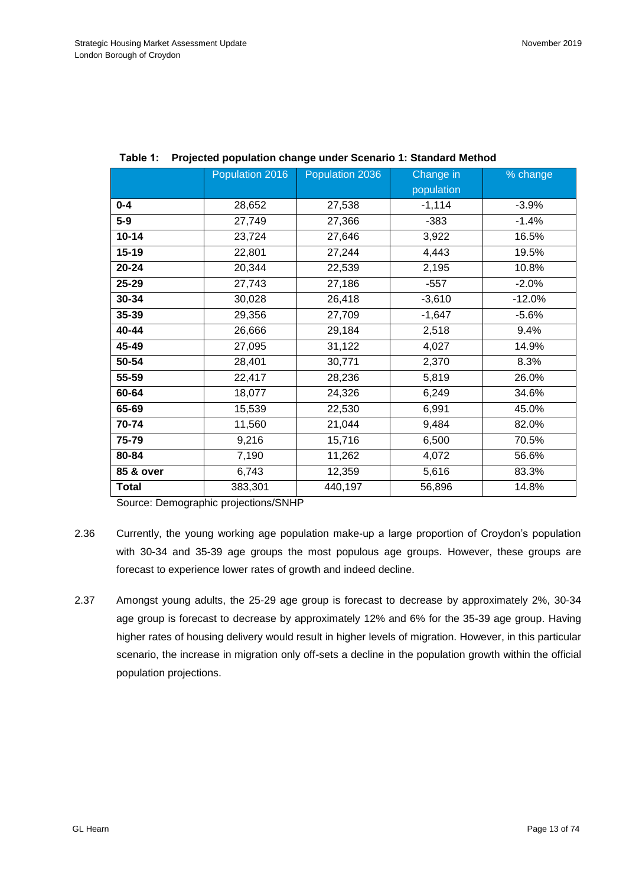|              | Population 2016 | Population 2036 | Change in  | % change |
|--------------|-----------------|-----------------|------------|----------|
|              |                 |                 | population |          |
| $0 - 4$      | 28,652          | 27,538          | $-1,114$   | $-3.9%$  |
| $5-9$        | 27,749          | 27,366          | $-383$     | $-1.4%$  |
| $10 - 14$    | 23,724          | 27,646          | 3,922      | 16.5%    |
| $15 - 19$    | 22,801          | 27,244          | 4,443      | 19.5%    |
| $20 - 24$    | 20,344          | 22,539          | 2,195      | 10.8%    |
| 25-29        | 27,743          | 27,186          | $-557$     | $-2.0%$  |
| 30-34        | 30,028          | 26,418          | $-3,610$   | $-12.0%$ |
| 35-39        | 29,356          | 27,709          | $-1,647$   | $-5.6%$  |
| 40-44        | 26,666          | 29,184          | 2,518      | 9.4%     |
| 45-49        | 27,095          | 31,122          | 4,027      | 14.9%    |
| 50-54        | 28,401          | 30,771          | 2,370      | 8.3%     |
| 55-59        | 22,417          | 28,236          | 5,819      | 26.0%    |
| 60-64        | 18,077          | 24,326          | 6,249      | 34.6%    |
| 65-69        | 15,539          | 22,530          | 6,991      | 45.0%    |
| 70-74        | 11,560          | 21,044          | 9,484      | 82.0%    |
| 75-79        | 9,216           | 15,716          | 6,500      | 70.5%    |
| 80-84        | 7,190           | 11,262          | 4,072      | 56.6%    |
| 85 & over    | 6,743           | 12,359          | 5,616      | 83.3%    |
| <b>Total</b> | 383,301         | 440,197         | 56,896     | 14.8%    |

|  |  | Table 1: Projected population change under Scenario 1: Standard Method |
|--|--|------------------------------------------------------------------------|
|--|--|------------------------------------------------------------------------|

Source: Demographic projections/SNHP

- 2.36 Currently, the young working age population make-up a large proportion of Croydon's population with 30-34 and 35-39 age groups the most populous age groups. However, these groups are forecast to experience lower rates of growth and indeed decline.
- 2.37 Amongst young adults, the 25-29 age group is forecast to decrease by approximately 2%, 30-34 age group is forecast to decrease by approximately 12% and 6% for the 35-39 age group. Having higher rates of housing delivery would result in higher levels of migration. However, in this particular scenario, the increase in migration only off-sets a decline in the population growth within the official population projections.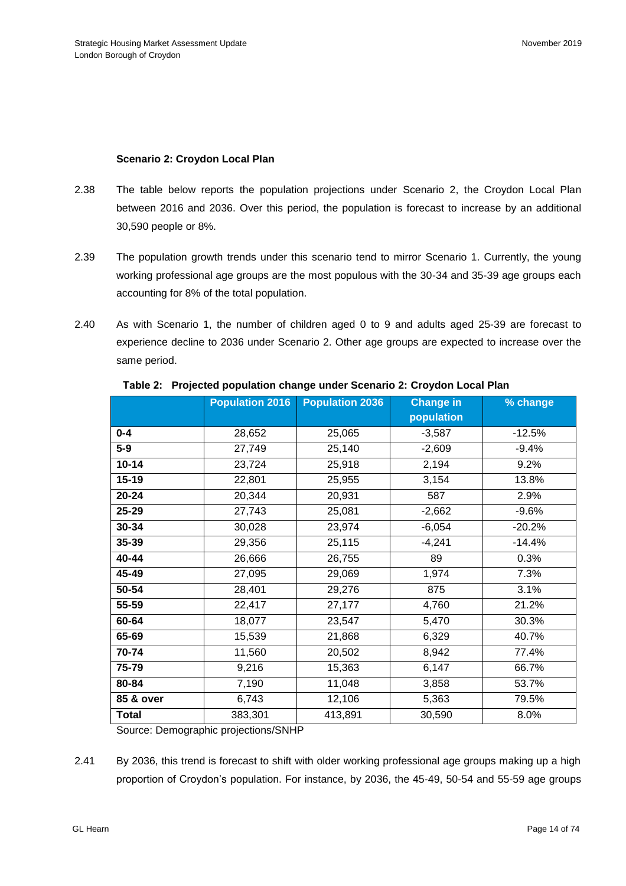## **Scenario 2: Croydon Local Plan**

- 2.38 The table below reports the population projections under Scenario 2, the Croydon Local Plan between 2016 and 2036. Over this period, the population is forecast to increase by an additional 30,590 people or 8%.
- 2.39 The population growth trends under this scenario tend to mirror Scenario 1. Currently, the young working professional age groups are the most populous with the 30-34 and 35-39 age groups each accounting for 8% of the total population.
- 2.40 As with Scenario 1, the number of children aged 0 to 9 and adults aged 25-39 are forecast to experience decline to 2036 under Scenario 2. Other age groups are expected to increase over the same period.

|              | <b>Population 2016</b> | <b>Population 2036</b> | <b>Change in</b> | % change |
|--------------|------------------------|------------------------|------------------|----------|
|              |                        |                        | population       |          |
| $0 - 4$      | 28,652                 | 25,065                 | $-3,587$         | $-12.5%$ |
| $5-9$        | 27,749                 | 25,140                 | $-2,609$         | $-9.4%$  |
| $10 - 14$    | 23,724                 | 25,918                 | 2,194            | 9.2%     |
| $15 - 19$    | 22,801                 | 25,955                 | 3,154            | 13.8%    |
| $20 - 24$    | 20,344                 | 20,931                 | 587              | 2.9%     |
| 25-29        | 27,743                 | 25,081                 | $-2,662$         | $-9.6%$  |
| 30-34        | 30,028                 | 23,974                 | $-6,054$         | $-20.2%$ |
| 35-39        | 29,356                 | 25,115                 | $-4,241$         | $-14.4%$ |
| 40-44        | 26,666                 | 26,755                 | 89               | 0.3%     |
| 45-49        | 27,095                 | 29,069                 | 1,974            | 7.3%     |
| 50-54        | 28,401                 | 29,276                 | 875              | 3.1%     |
| 55-59        | 22,417                 | 27,177                 | 4,760            | 21.2%    |
| 60-64        | 18,077                 | 23,547                 | 5,470            | 30.3%    |
| 65-69        | 15,539                 | 21,868                 | 6,329            | 40.7%    |
| 70-74        | 11,560                 | 20,502                 | 8,942            | 77.4%    |
| 75-79        | 9,216                  | 15,363                 | 6,147            | 66.7%    |
| 80-84        | 7,190                  | 11,048                 | 3,858            | 53.7%    |
| 85 & over    | 6,743                  | 12,106                 | 5,363            | 79.5%    |
| <b>Total</b> | 383,301                | 413,891                | 30,590           | 8.0%     |

#### **Table 2: Projected population change under Scenario 2: Croydon Local Plan**

Source: Demographic projections/SNHP

2.41 By 2036, this trend is forecast to shift with older working professional age groups making up a high proportion of Croydon's population. For instance, by 2036, the 45-49, 50-54 and 55-59 age groups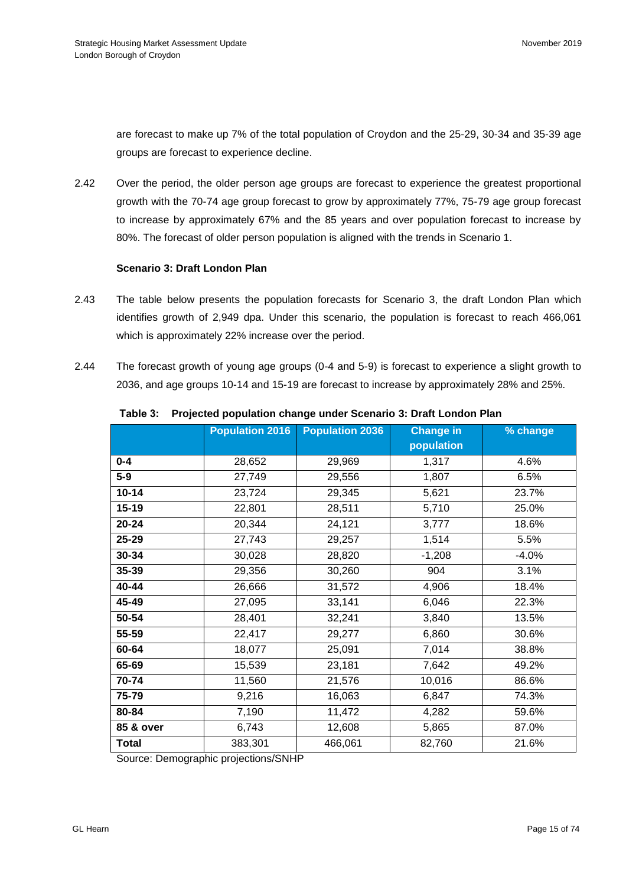are forecast to make up 7% of the total population of Croydon and the 25-29, 30-34 and 35-39 age groups are forecast to experience decline.

2.42 Over the period, the older person age groups are forecast to experience the greatest proportional growth with the 70-74 age group forecast to grow by approximately 77%, 75-79 age group forecast to increase by approximately 67% and the 85 years and over population forecast to increase by 80%. The forecast of older person population is aligned with the trends in Scenario 1.

## **Scenario 3: Draft London Plan**

- 2.43 The table below presents the population forecasts for Scenario 3, the draft London Plan which identifies growth of 2,949 dpa. Under this scenario, the population is forecast to reach 466,061 which is approximately 22% increase over the period.
- 2.44 The forecast growth of young age groups (0-4 and 5-9) is forecast to experience a slight growth to 2036, and age groups 10-14 and 15-19 are forecast to increase by approximately 28% and 25%.

|              | <b>Population 2016</b> | <b>Population 2036</b> | <b>Change in</b> | % change |
|--------------|------------------------|------------------------|------------------|----------|
|              |                        |                        | population       |          |
| $0 - 4$      | 28,652                 | 29,969                 | 1,317            | 4.6%     |
| $5-9$        | 27,749                 | 29,556                 | 1,807            | 6.5%     |
| $10 - 14$    | 23,724                 | 29,345                 | 5,621            | 23.7%    |
| $15 - 19$    | 22,801                 | 28,511                 | 5,710            | 25.0%    |
| $20 - 24$    | 20,344                 | 24,121                 | 3,777            | 18.6%    |
| $25 - 29$    | 27,743                 | 29,257                 | 1,514            | 5.5%     |
| 30-34        | 30,028                 | 28,820                 | $-1,208$         | $-4.0%$  |
| 35-39        | 29,356                 | 30,260                 | 904              | 3.1%     |
| 40-44        | 26,666                 | 31,572                 | 4,906            | 18.4%    |
| 45-49        | 27,095                 | 33,141                 | 6,046            | 22.3%    |
| 50-54        | 28,401                 | 32,241                 | 3,840            | 13.5%    |
| 55-59        | 22,417                 | 29,277                 | 6,860            | 30.6%    |
| 60-64        | 18,077                 | 25,091                 | 7,014            | 38.8%    |
| 65-69        | 15,539                 | 23,181                 | 7,642            | 49.2%    |
| 70-74        | 11,560                 | 21,576                 | 10,016           | 86.6%    |
| 75-79        | 9,216                  | 16,063                 | 6,847            | 74.3%    |
| 80-84        | 7,190                  | 11,472                 | 4,282            | 59.6%    |
| 85 & over    | 6,743                  | 12,608                 | 5,865            | 87.0%    |
| <b>Total</b> | 383,301                | 466,061                | 82,760           | 21.6%    |

## **Table 3: Projected population change under Scenario 3: Draft London Plan**

Source: Demographic projections/SNHP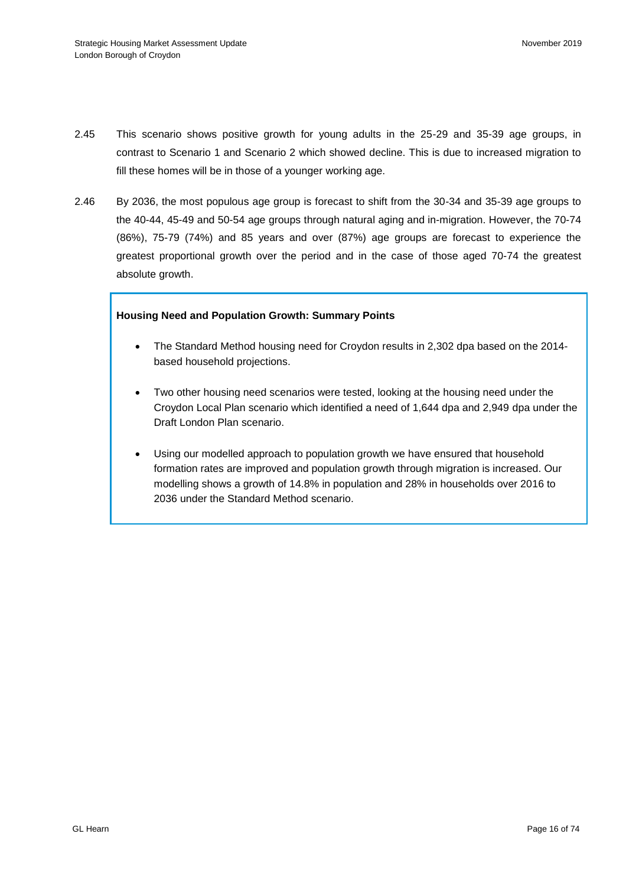- 2.45 This scenario shows positive growth for young adults in the 25-29 and 35-39 age groups, in contrast to Scenario 1 and Scenario 2 which showed decline. This is due to increased migration to fill these homes will be in those of a younger working age.
- 2.46 By 2036, the most populous age group is forecast to shift from the 30-34 and 35-39 age groups to the 40-44, 45-49 and 50-54 age groups through natural aging and in-migration. However, the 70-74 (86%), 75-79 (74%) and 85 years and over (87%) age groups are forecast to experience the greatest proportional growth over the period and in the case of those aged 70-74 the greatest absolute growth.

## **Housing Need and Population Growth: Summary Points**

- The Standard Method housing need for Croydon results in 2,302 dpa based on the 2014 based household projections.
- Two other housing need scenarios were tested, looking at the housing need under the Croydon Local Plan scenario which identified a need of 1,644 dpa and 2,949 dpa under the Draft London Plan scenario.
- Using our modelled approach to population growth we have ensured that household formation rates are improved and population growth through migration is increased. Our modelling shows a growth of 14.8% in population and 28% in households over 2016 to 2036 under the Standard Method scenario.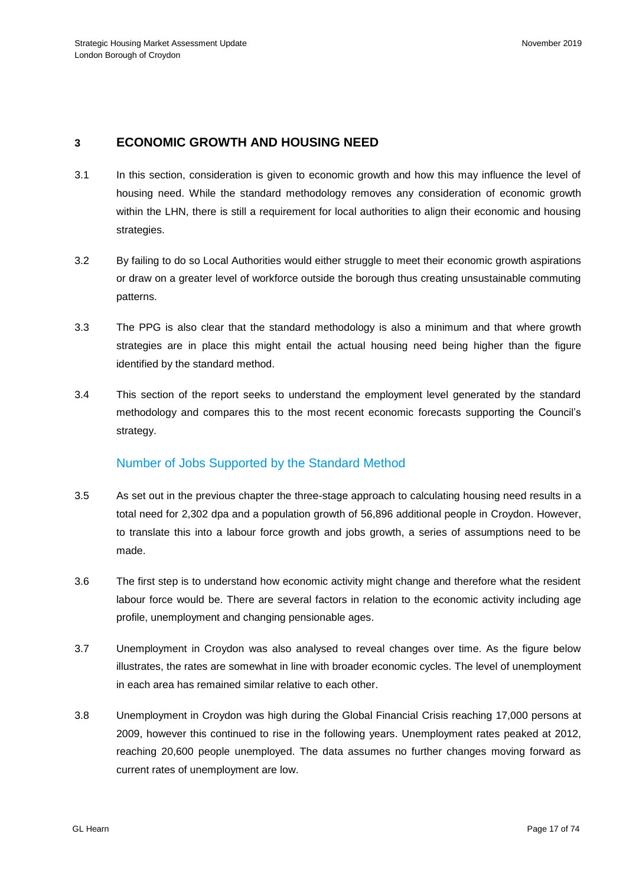# **3 ECONOMIC GROWTH AND HOUSING NEED**

- 3.1 In this section, consideration is given to economic growth and how this may influence the level of housing need. While the standard methodology removes any consideration of economic growth within the LHN, there is still a requirement for local authorities to align their economic and housing strategies.
- 3.2 By failing to do so Local Authorities would either struggle to meet their economic growth aspirations or draw on a greater level of workforce outside the borough thus creating unsustainable commuting patterns.
- 3.3 The PPG is also clear that the standard methodology is also a minimum and that where growth strategies are in place this might entail the actual housing need being higher than the figure identified by the standard method.
- 3.4 This section of the report seeks to understand the employment level generated by the standard methodology and compares this to the most recent economic forecasts supporting the Council's strategy.

## Number of Jobs Supported by the Standard Method

- 3.5 As set out in the previous chapter the three-stage approach to calculating housing need results in a total need for 2,302 dpa and a population growth of 56,896 additional people in Croydon. However, to translate this into a labour force growth and jobs growth, a series of assumptions need to be made.
- 3.6 The first step is to understand how economic activity might change and therefore what the resident labour force would be. There are several factors in relation to the economic activity including age profile, unemployment and changing pensionable ages.
- 3.7 Unemployment in Croydon was also analysed to reveal changes over time. As the figure below illustrates, the rates are somewhat in line with broader economic cycles. The level of unemployment in each area has remained similar relative to each other.
- 3.8 Unemployment in Croydon was high during the Global Financial Crisis reaching 17,000 persons at 2009, however this continued to rise in the following years. Unemployment rates peaked at 2012, reaching 20,600 people unemployed. The data assumes no further changes moving forward as current rates of unemployment are low.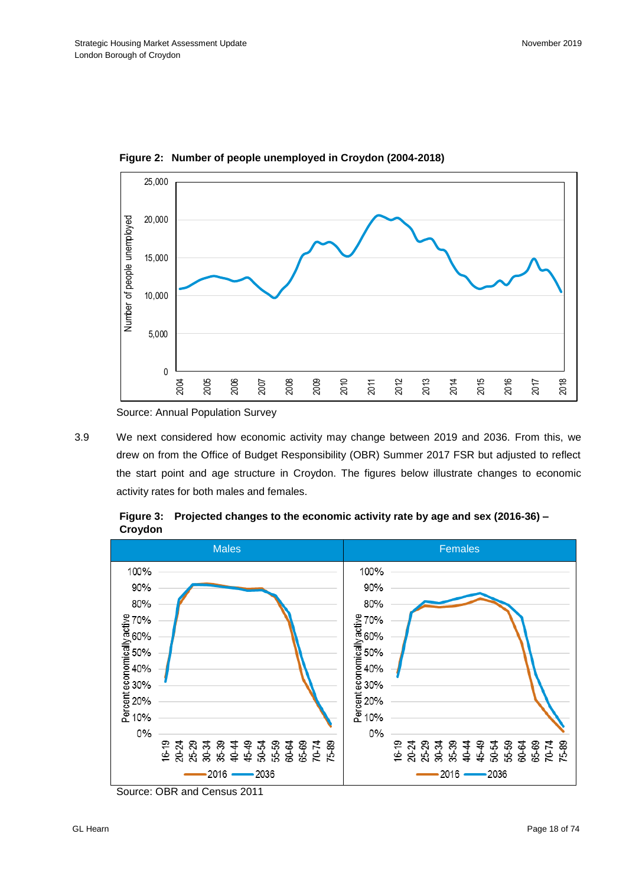

**Figure 2: Number of people unemployed in Croydon (2004-2018)**

Source: Annual Population Survey

3.9 We next considered how economic activity may change between 2019 and 2036. From this, we drew on from the Office of Budget Responsibility (OBR) Summer 2017 FSR but adjusted to reflect the start point and age structure in Croydon. The figures below illustrate changes to economic activity rates for both males and females.



**Figure 3: Projected changes to the economic activity rate by age and sex (2016-36) – Croydon**

Source: OBR and Census 2011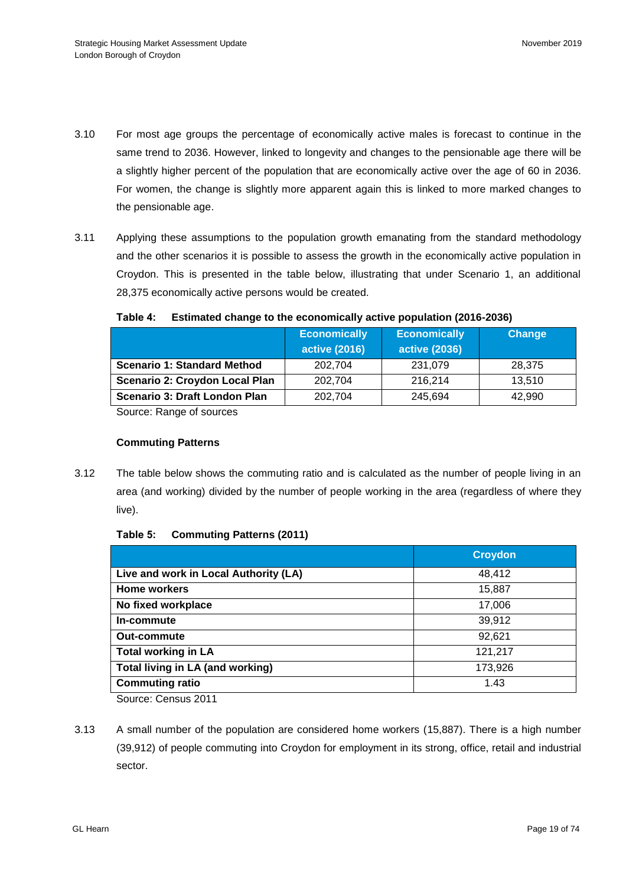- 3.10 For most age groups the percentage of economically active males is forecast to continue in the same trend to 2036. However, linked to longevity and changes to the pensionable age there will be a slightly higher percent of the population that are economically active over the age of 60 in 2036. For women, the change is slightly more apparent again this is linked to more marked changes to the pensionable age.
- 3.11 Applying these assumptions to the population growth emanating from the standard methodology and the other scenarios it is possible to assess the growth in the economically active population in Croydon. This is presented in the table below, illustrating that under Scenario 1, an additional 28,375 economically active persons would be created.

|                                    | <b>Economically</b><br><b>active (2016)</b> | <b>Economically</b><br><b>active (2036)</b> | <b>Change</b> |
|------------------------------------|---------------------------------------------|---------------------------------------------|---------------|
| <b>Scenario 1: Standard Method</b> | 202,704                                     | 231,079                                     | 28,375        |
| Scenario 2: Croydon Local Plan     | 202.704                                     | 216.214                                     | 13.510        |
| Scenario 3: Draft London Plan      | 202,704                                     | 245.694                                     | 42.990        |

## **Table 4: Estimated change to the economically active population (2016-2036)**

Source: Range of sources

#### **Commuting Patterns**

3.12 The table below shows the commuting ratio and is calculated as the number of people living in an area (and working) divided by the number of people working in the area (regardless of where they live).

#### **Table 5: Commuting Patterns (2011)**

|                                       | <b>Croydon</b> |
|---------------------------------------|----------------|
| Live and work in Local Authority (LA) | 48,412         |
| <b>Home workers</b>                   | 15,887         |
| No fixed workplace                    | 17,006         |
| In-commute                            | 39,912         |
| <b>Out-commute</b>                    | 92,621         |
| <b>Total working in LA</b>            | 121,217        |
| Total living in LA (and working)      | 173,926        |
| <b>Commuting ratio</b>                | 1.43           |

Source: Census 2011

3.13 A small number of the population are considered home workers (15,887). There is a high number (39,912) of people commuting into Croydon for employment in its strong, office, retail and industrial sector.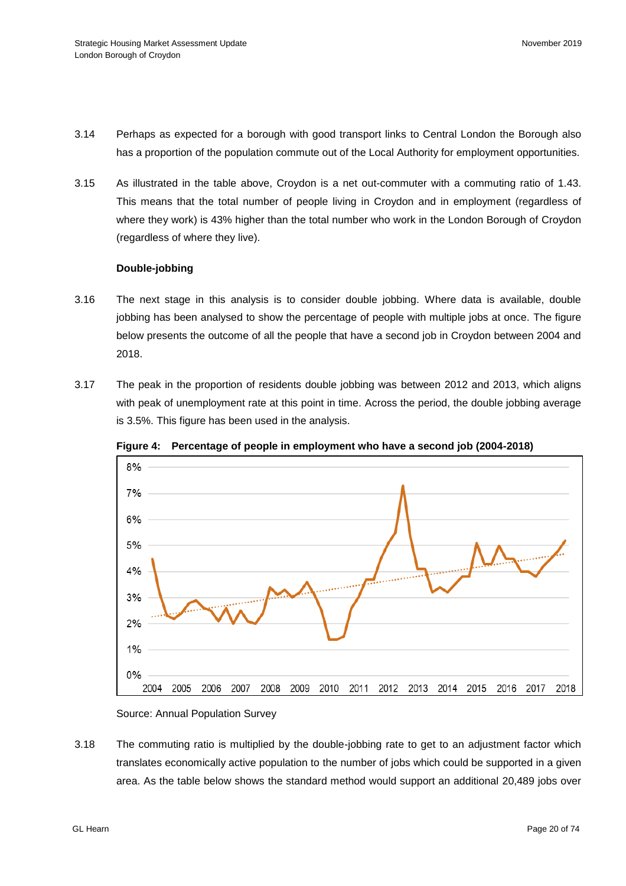- 3.14 Perhaps as expected for a borough with good transport links to Central London the Borough also has a proportion of the population commute out of the Local Authority for employment opportunities.
- 3.15 As illustrated in the table above, Croydon is a net out-commuter with a commuting ratio of 1.43. This means that the total number of people living in Croydon and in employment (regardless of where they work) is 43% higher than the total number who work in the London Borough of Croydon (regardless of where they live).

#### **Double-jobbing**

- 3.16 The next stage in this analysis is to consider double jobbing. Where data is available, double jobbing has been analysed to show the percentage of people with multiple jobs at once. The figure below presents the outcome of all the people that have a second job in Croydon between 2004 and 2018.
- 3.17 The peak in the proportion of residents double jobbing was between 2012 and 2013, which aligns with peak of unemployment rate at this point in time. Across the period, the double jobbing average is 3.5%. This figure has been used in the analysis.



**Figure 4: Percentage of people in employment who have a second job (2004-2018)**

Source: Annual Population Survey

3.18 The commuting ratio is multiplied by the double-jobbing rate to get to an adjustment factor which translates economically active population to the number of jobs which could be supported in a given area. As the table below shows the standard method would support an additional 20,489 jobs over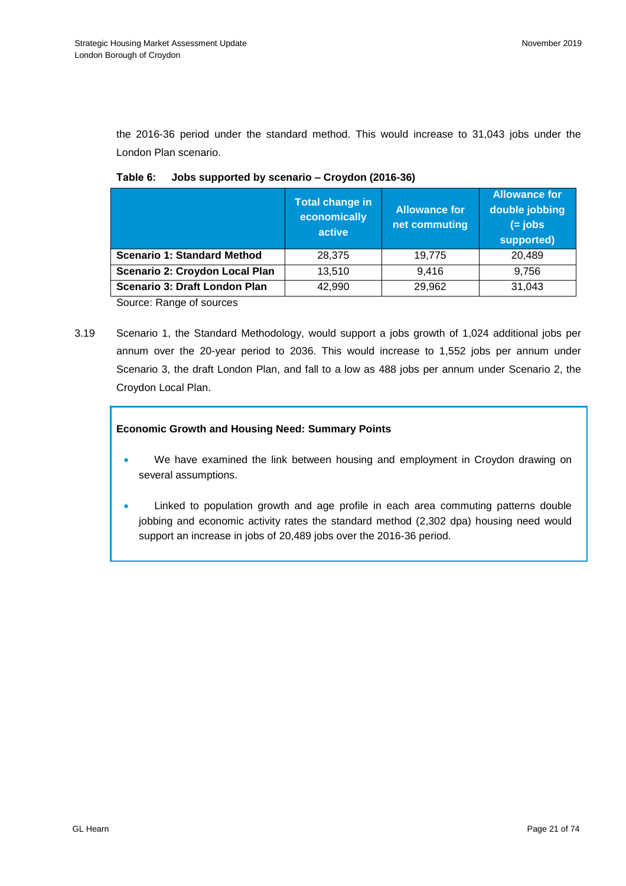the 2016-36 period under the standard method. This would increase to 31,043 jobs under the London Plan scenario.

|                                    | <b>Total change in</b><br>economically<br>active | <b>Allowance for</b><br>net commuting | <b>Allowance for</b><br>double jobbing<br>$(=$ jobs<br>supported) |
|------------------------------------|--------------------------------------------------|---------------------------------------|-------------------------------------------------------------------|
| <b>Scenario 1: Standard Method</b> | 28.375                                           | 19.775                                | 20,489                                                            |
| Scenario 2: Croydon Local Plan     | 13,510                                           | 9.416                                 | 9,756                                                             |
| Scenario 3: Draft London Plan      | 42,990                                           | 29,962                                | 31,043                                                            |

|  | Table 6: Jobs supported by scenario – Croydon (2016-36) |  |
|--|---------------------------------------------------------|--|
|--|---------------------------------------------------------|--|

Source: Range of sources

3.19 Scenario 1, the Standard Methodology, would support a jobs growth of 1,024 additional jobs per annum over the 20-year period to 2036. This would increase to 1,552 jobs per annum under Scenario 3, the draft London Plan, and fall to a low as 488 jobs per annum under Scenario 2, the Croydon Local Plan.

## **Economic Growth and Housing Need: Summary Points**

- We have examined the link between housing and employment in Croydon drawing on several assumptions.
- Linked to population growth and age profile in each area commuting patterns double jobbing and economic activity rates the standard method (2,302 dpa) housing need would support an increase in jobs of 20,489 jobs over the 2016-36 period.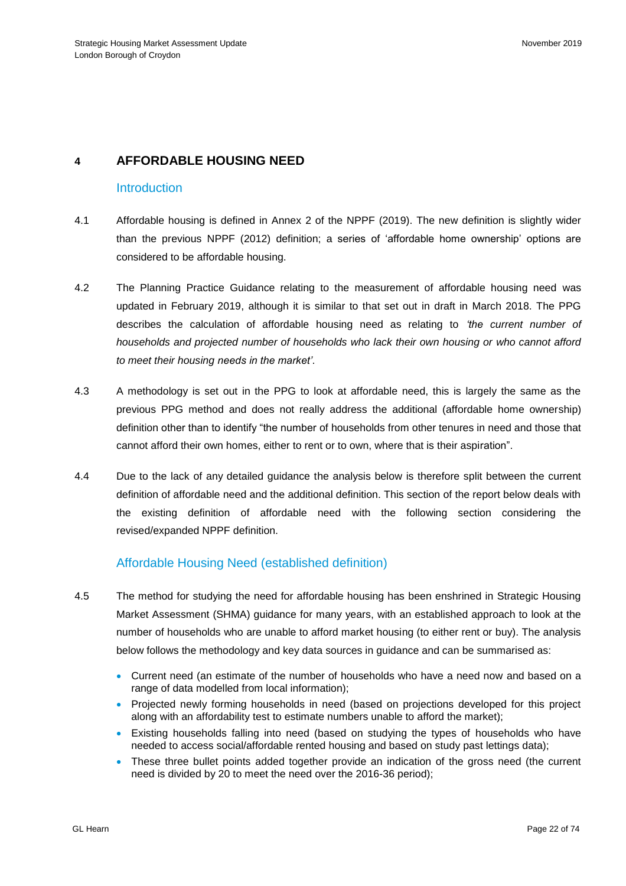# **4 AFFORDABLE HOUSING NEED**

## **Introduction**

- 4.1 Affordable housing is defined in Annex 2 of the NPPF (2019). The new definition is slightly wider than the previous NPPF (2012) definition; a series of 'affordable home ownership' options are considered to be affordable housing.
- 4.2 The Planning Practice Guidance relating to the measurement of affordable housing need was updated in February 2019, although it is similar to that set out in draft in March 2018. The PPG describes the calculation of affordable housing need as relating to *'the current number of households and projected number of households who lack their own housing or who cannot afford to meet their housing needs in the market'*.
- 4.3 A methodology is set out in the PPG to look at affordable need, this is largely the same as the previous PPG method and does not really address the additional (affordable home ownership) definition other than to identify "the number of households from other tenures in need and those that cannot afford their own homes, either to rent or to own, where that is their aspiration".
- 4.4 Due to the lack of any detailed guidance the analysis below is therefore split between the current definition of affordable need and the additional definition. This section of the report below deals with the existing definition of affordable need with the following section considering the revised/expanded NPPF definition.

# Affordable Housing Need (established definition)

- 4.5 The method for studying the need for affordable housing has been enshrined in Strategic Housing Market Assessment (SHMA) guidance for many years, with an established approach to look at the number of households who are unable to afford market housing (to either rent or buy). The analysis below follows the methodology and key data sources in guidance and can be summarised as:
	- Current need (an estimate of the number of households who have a need now and based on a range of data modelled from local information);
	- Projected newly forming households in need (based on projections developed for this project along with an affordability test to estimate numbers unable to afford the market);
	- Existing households falling into need (based on studying the types of households who have needed to access social/affordable rented housing and based on study past lettings data);
	- These three bullet points added together provide an indication of the gross need (the current need is divided by 20 to meet the need over the 2016-36 period);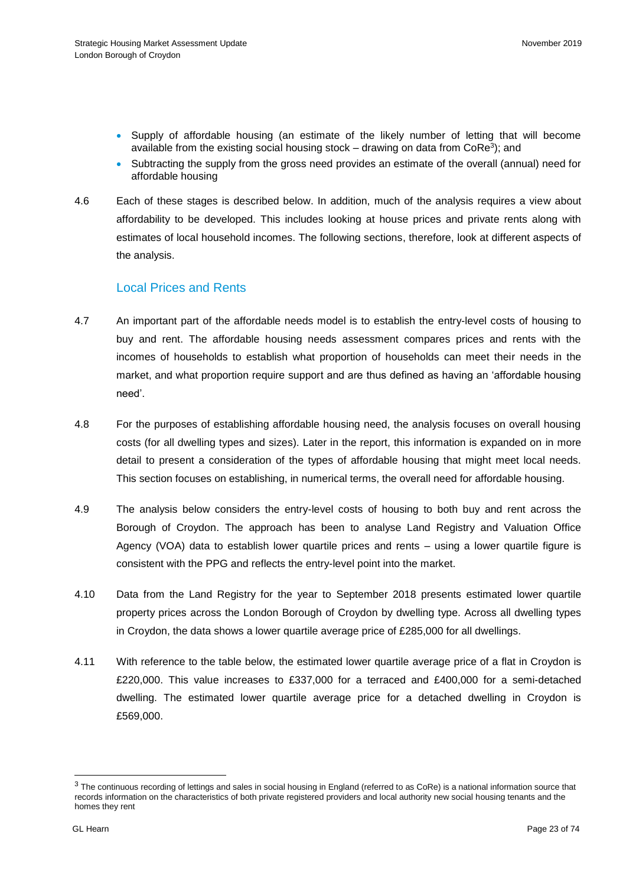- Supply of affordable housing (an estimate of the likely number of letting that will become available from the existing social housing stock – drawing on data from  $\textsf{CoRe}^3$ ); and
- Subtracting the supply from the gross need provides an estimate of the overall (annual) need for affordable housing
- 4.6 Each of these stages is described below. In addition, much of the analysis requires a view about affordability to be developed. This includes looking at house prices and private rents along with estimates of local household incomes. The following sections, therefore, look at different aspects of the analysis.

# Local Prices and Rents

- 4.7 An important part of the affordable needs model is to establish the entry-level costs of housing to buy and rent. The affordable housing needs assessment compares prices and rents with the incomes of households to establish what proportion of households can meet their needs in the market, and what proportion require support and are thus defined as having an 'affordable housing need'.
- 4.8 For the purposes of establishing affordable housing need, the analysis focuses on overall housing costs (for all dwelling types and sizes). Later in the report, this information is expanded on in more detail to present a consideration of the types of affordable housing that might meet local needs. This section focuses on establishing, in numerical terms, the overall need for affordable housing.
- 4.9 The analysis below considers the entry-level costs of housing to both buy and rent across the Borough of Croydon. The approach has been to analyse Land Registry and Valuation Office Agency (VOA) data to establish lower quartile prices and rents – using a lower quartile figure is consistent with the PPG and reflects the entry-level point into the market.
- 4.10 Data from the Land Registry for the year to September 2018 presents estimated lower quartile property prices across the London Borough of Croydon by dwelling type. Across all dwelling types in Croydon, the data shows a lower quartile average price of £285,000 for all dwellings.
- 4.11 With reference to the table below, the estimated lower quartile average price of a flat in Croydon is £220,000. This value increases to £337,000 for a terraced and £400,000 for a semi-detached dwelling. The estimated lower quartile average price for a detached dwelling in Croydon is £569,000.

l

 $3$  The continuous recording of lettings and sales in social housing in England (referred to as CoRe) is a national information source that records information on the characteristics of both private registered providers and local authority new social housing tenants and the homes they rent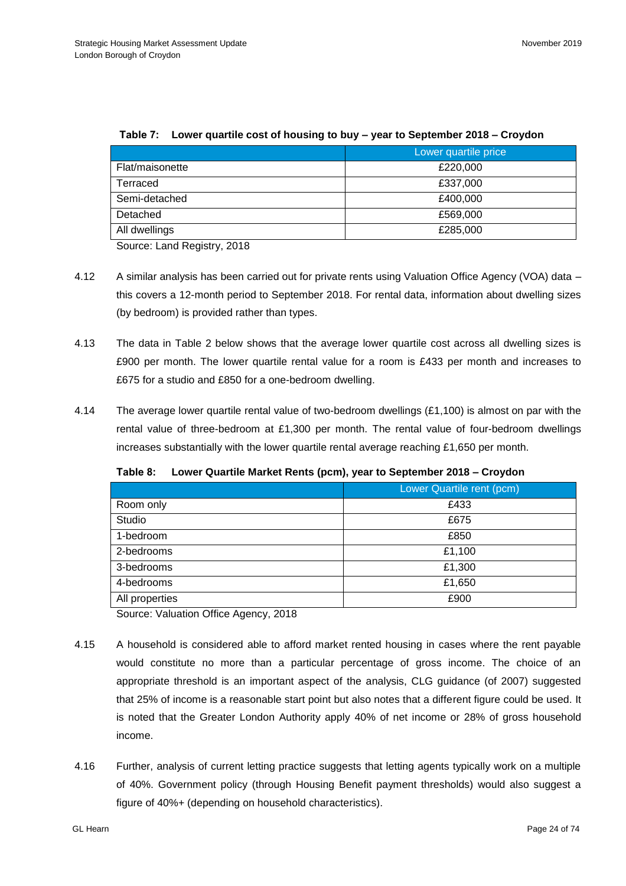|                 | Lower quartile price |
|-----------------|----------------------|
| Flat/maisonette | £220,000             |
| Terraced        | £337,000             |
| Semi-detached   | £400,000             |
| Detached        | £569,000             |
| All dwellings   | £285,000             |

#### **Table 7: Lower quartile cost of housing to buy – year to September 2018 – Croydon**

Source: Land Registry, 2018

- 4.12 A similar analysis has been carried out for private rents using Valuation Office Agency (VOA) data this covers a 12-month period to September 2018. For rental data, information about dwelling sizes (by bedroom) is provided rather than types.
- 4.13 The data in Table 2 below shows that the average lower quartile cost across all dwelling sizes is £900 per month. The lower quartile rental value for a room is £433 per month and increases to £675 for a studio and £850 for a one-bedroom dwelling.
- 4.14 The average lower quartile rental value of two-bedroom dwellings (£1,100) is almost on par with the rental value of three-bedroom at £1,300 per month. The rental value of four-bedroom dwellings increases substantially with the lower quartile rental average reaching £1,650 per month.

|                | Lower Quartile rent (pcm) |  |
|----------------|---------------------------|--|
| Room only      | £433                      |  |
| Studio         | £675                      |  |
| 1-bedroom      | £850                      |  |
| 2-bedrooms     | £1,100                    |  |
| 3-bedrooms     | £1,300                    |  |
| 4-bedrooms     | £1,650                    |  |
| All properties | £900                      |  |

**Table 8: Lower Quartile Market Rents (pcm), year to September 2018 – Croydon**

Source: Valuation Office Agency, 2018

- 4.15 A household is considered able to afford market rented housing in cases where the rent payable would constitute no more than a particular percentage of gross income. The choice of an appropriate threshold is an important aspect of the analysis, CLG guidance (of 2007) suggested that 25% of income is a reasonable start point but also notes that a different figure could be used. It is noted that the Greater London Authority apply 40% of net income or 28% of gross household income.
- 4.16 Further, analysis of current letting practice suggests that letting agents typically work on a multiple of 40%. Government policy (through Housing Benefit payment thresholds) would also suggest a figure of 40%+ (depending on household characteristics).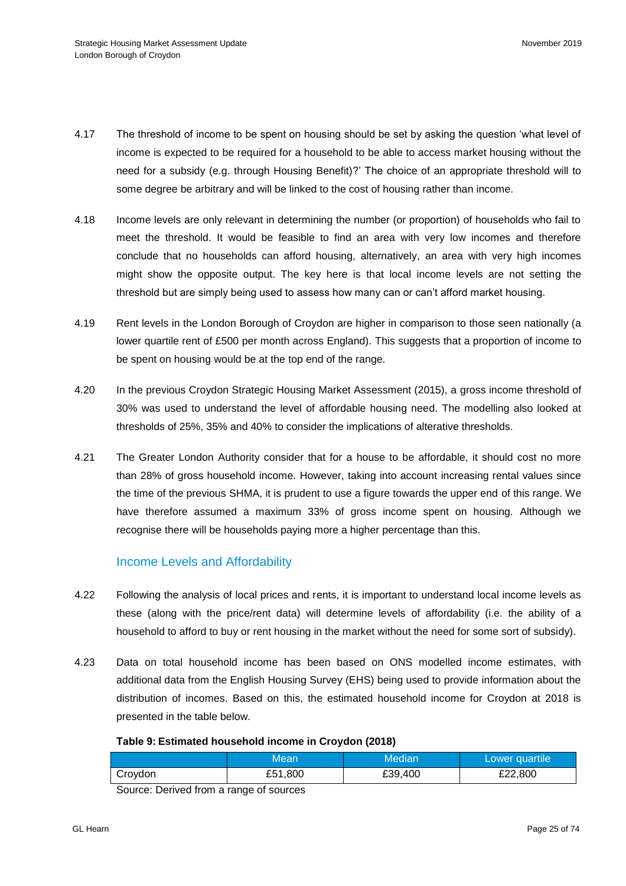- 4.17 The threshold of income to be spent on housing should be set by asking the question 'what level of income is expected to be required for a household to be able to access market housing without the need for a subsidy (e.g. through Housing Benefit)?' The choice of an appropriate threshold will to some degree be arbitrary and will be linked to the cost of housing rather than income.
- 4.18 Income levels are only relevant in determining the number (or proportion) of households who fail to meet the threshold. It would be feasible to find an area with very low incomes and therefore conclude that no households can afford housing, alternatively, an area with very high incomes might show the opposite output. The key here is that local income levels are not setting the threshold but are simply being used to assess how many can or can't afford market housing.
- 4.19 Rent levels in the London Borough of Croydon are higher in comparison to those seen nationally (a lower quartile rent of £500 per month across England). This suggests that a proportion of income to be spent on housing would be at the top end of the range.
- 4.20 In the previous Croydon Strategic Housing Market Assessment (2015), a gross income threshold of 30% was used to understand the level of affordable housing need. The modelling also looked at thresholds of 25%, 35% and 40% to consider the implications of alterative thresholds.
- 4.21 The Greater London Authority consider that for a house to be affordable, it should cost no more than 28% of gross household income. However, taking into account increasing rental values since the time of the previous SHMA, it is prudent to use a figure towards the upper end of this range. We have therefore assumed a maximum 33% of gross income spent on housing. Although we recognise there will be households paying more a higher percentage than this.

## Income Levels and Affordability

- 4.22 Following the analysis of local prices and rents, it is important to understand local income levels as these (along with the price/rent data) will determine levels of affordability (i.e. the ability of a household to afford to buy or rent housing in the market without the need for some sort of subsidy).
- 4.23 Data on total household income has been based on ONS modelled income estimates, with additional data from the English Housing Survey (EHS) being used to provide information about the distribution of incomes. Based on this, the estimated household income for Croydon at 2018 is presented in the table below.

### **Table 9: Estimated household income in Croydon (2018)**

|         | Mean    | Median  | Lower quartile |
|---------|---------|---------|----------------|
| Croydon | £51,800 | £39,400 | £22,800        |

Source: Derived from a range of sources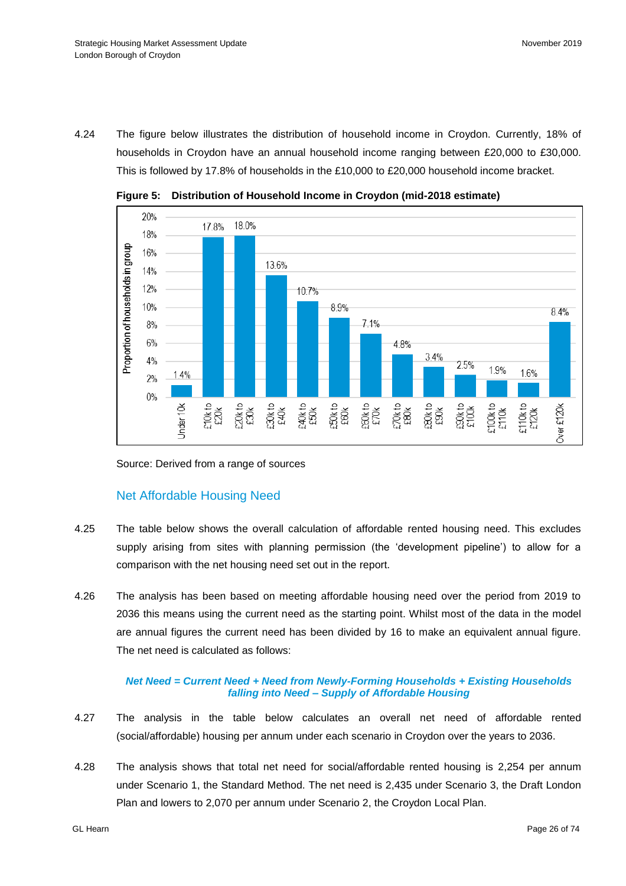4.24 The figure below illustrates the distribution of household income in Croydon. Currently, 18% of households in Croydon have an annual household income ranging between £20,000 to £30,000. This is followed by 17.8% of households in the £10,000 to £20,000 household income bracket.



**Figure 5: Distribution of Household Income in Croydon (mid-2018 estimate)** 

Source: Derived from a range of sources

# Net Affordable Housing Need

- 4.25 The table below shows the overall calculation of affordable rented housing need. This excludes supply arising from sites with planning permission (the 'development pipeline') to allow for a comparison with the net housing need set out in the report.
- 4.26 The analysis has been based on meeting affordable housing need over the period from 2019 to 2036 this means using the current need as the starting point. Whilst most of the data in the model are annual figures the current need has been divided by 16 to make an equivalent annual figure. The net need is calculated as follows:

## *Net Need = Current Need + Need from Newly-Forming Households + Existing Households falling into Need – Supply of Affordable Housing*

- 4.27 The analysis in the table below calculates an overall net need of affordable rented (social/affordable) housing per annum under each scenario in Croydon over the years to 2036.
- 4.28 The analysis shows that total net need for social/affordable rented housing is 2,254 per annum under Scenario 1, the Standard Method. The net need is 2,435 under Scenario 3, the Draft London Plan and lowers to 2,070 per annum under Scenario 2, the Croydon Local Plan.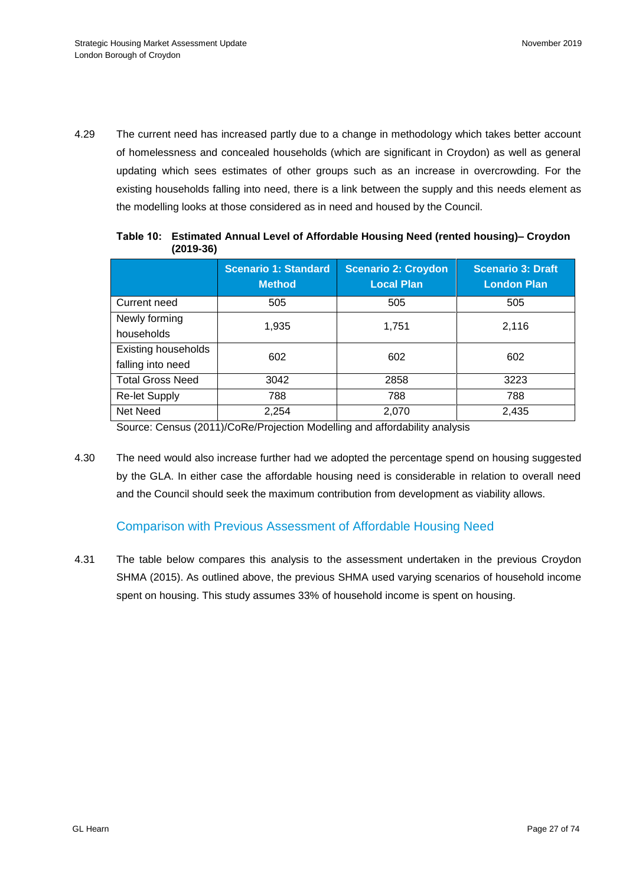4.29 The current need has increased partly due to a change in methodology which takes better account of homelessness and concealed households (which are significant in Croydon) as well as general updating which sees estimates of other groups such as an increase in overcrowding. For the existing households falling into need, there is a link between the supply and this needs element as the modelling looks at those considered as in need and housed by the Council.

|                                          | <b>Scenario 1: Standard</b><br><b>Method</b> | <b>Scenario 2: Croydon</b><br><b>Local Plan</b> | <b>Scenario 3: Draft</b><br><b>London Plan</b> |
|------------------------------------------|----------------------------------------------|-------------------------------------------------|------------------------------------------------|
| Current need                             | 505                                          | 505                                             | 505                                            |
| Newly forming<br>households              | 1,935                                        | 1,751                                           | 2,116                                          |
| Existing households<br>falling into need | 602                                          | 602                                             | 602                                            |
| <b>Total Gross Need</b>                  | 3042                                         | 2858                                            | 3223                                           |
| <b>Re-let Supply</b>                     | 788                                          | 788                                             | 788                                            |
| Net Need                                 | 2,254                                        | 2,070                                           | 2,435                                          |

**Table 10: Estimated Annual Level of Affordable Housing Need (rented housing)– Croydon (2019-36)**

Source: Census (2011)/CoRe/Projection Modelling and affordability analysis

4.30 The need would also increase further had we adopted the percentage spend on housing suggested by the GLA. In either case the affordable housing need is considerable in relation to overall need and the Council should seek the maximum contribution from development as viability allows.

# Comparison with Previous Assessment of Affordable Housing Need

4.31 The table below compares this analysis to the assessment undertaken in the previous Croydon SHMA (2015). As outlined above, the previous SHMA used varying scenarios of household income spent on housing. This study assumes 33% of household income is spent on housing.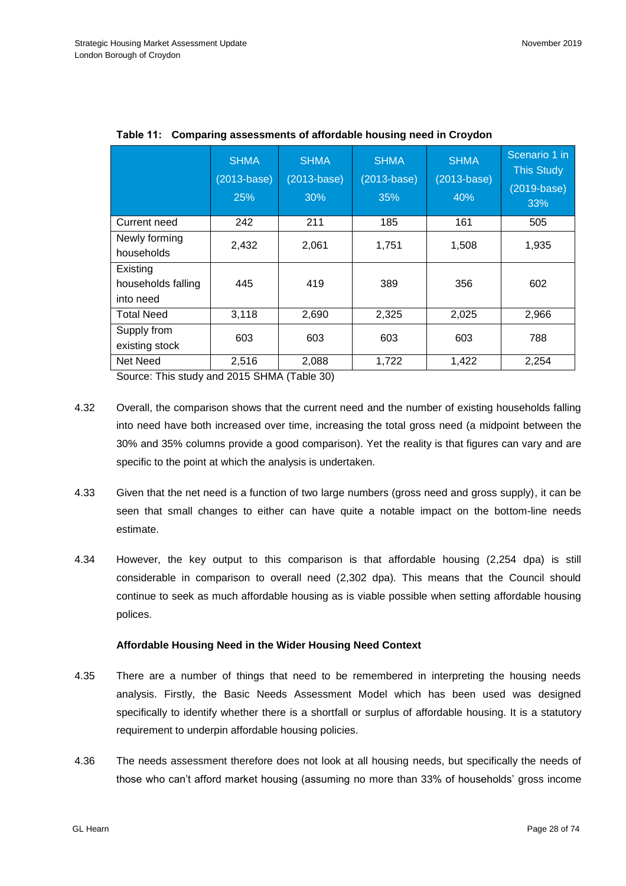|                                             | <b>SHMA</b><br>$(2013 - base)$<br>25% | <b>SHMA</b><br>$(2013 - base)$<br>30% | <b>SHMA</b><br>$(2013 - base)$<br>35% | <b>SHMA</b><br>$(2013 - base)$<br>40% | Scenario 1 in<br><b>This Study</b><br>$(2019-base)$<br>33% |
|---------------------------------------------|---------------------------------------|---------------------------------------|---------------------------------------|---------------------------------------|------------------------------------------------------------|
| Current need                                | 242                                   | 211                                   | 185                                   | 161                                   | 505                                                        |
| Newly forming<br>households                 | 2,432                                 | 2,061                                 | 1,751                                 | 1,508                                 | 1,935                                                      |
| Existing<br>households falling<br>into need | 445                                   | 419                                   | 389                                   | 356                                   | 602                                                        |
| <b>Total Need</b>                           | 3,118                                 | 2,690                                 | 2,325                                 | 2,025                                 | 2,966                                                      |
| Supply from<br>existing stock               | 603                                   | 603                                   | 603                                   | 603                                   | 788                                                        |
| Net Need                                    | 2,516                                 | 2,088                                 | 1,722                                 | 1,422                                 | 2,254                                                      |

**Table 11: Comparing assessments of affordable housing need in Croydon**

Source: This study and 2015 SHMA (Table 30)

- 4.32 Overall, the comparison shows that the current need and the number of existing households falling into need have both increased over time, increasing the total gross need (a midpoint between the 30% and 35% columns provide a good comparison). Yet the reality is that figures can vary and are specific to the point at which the analysis is undertaken.
- 4.33 Given that the net need is a function of two large numbers (gross need and gross supply), it can be seen that small changes to either can have quite a notable impact on the bottom-line needs estimate.
- 4.34 However, the key output to this comparison is that affordable housing (2,254 dpa) is still considerable in comparison to overall need (2,302 dpa). This means that the Council should continue to seek as much affordable housing as is viable possible when setting affordable housing polices.

#### **Affordable Housing Need in the Wider Housing Need Context**

- 4.35 There are a number of things that need to be remembered in interpreting the housing needs analysis. Firstly, the Basic Needs Assessment Model which has been used was designed specifically to identify whether there is a shortfall or surplus of affordable housing. It is a statutory requirement to underpin affordable housing policies.
- 4.36 The needs assessment therefore does not look at all housing needs, but specifically the needs of those who can't afford market housing (assuming no more than 33% of households' gross income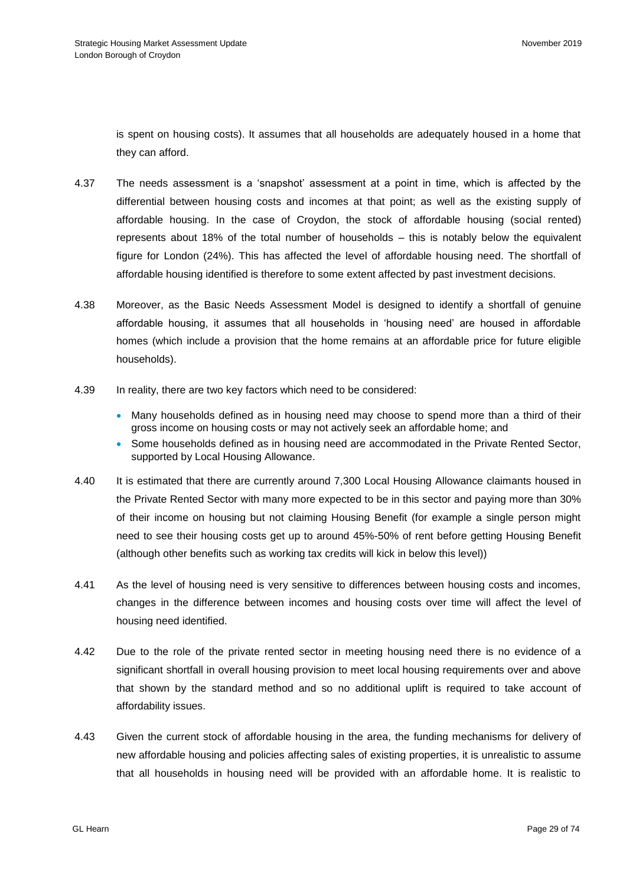is spent on housing costs). It assumes that all households are adequately housed in a home that they can afford.

- 4.37 The needs assessment is a 'snapshot' assessment at a point in time, which is affected by the differential between housing costs and incomes at that point; as well as the existing supply of affordable housing. In the case of Croydon, the stock of affordable housing (social rented) represents about 18% of the total number of households – this is notably below the equivalent figure for London (24%). This has affected the level of affordable housing need. The shortfall of affordable housing identified is therefore to some extent affected by past investment decisions.
- 4.38 Moreover, as the Basic Needs Assessment Model is designed to identify a shortfall of genuine affordable housing, it assumes that all households in 'housing need' are housed in affordable homes (which include a provision that the home remains at an affordable price for future eligible households).
- 4.39 In reality, there are two key factors which need to be considered:
	- Many households defined as in housing need may choose to spend more than a third of their gross income on housing costs or may not actively seek an affordable home; and
	- Some households defined as in housing need are accommodated in the Private Rented Sector, supported by Local Housing Allowance.
- 4.40 It is estimated that there are currently around 7,300 Local Housing Allowance claimants housed in the Private Rented Sector with many more expected to be in this sector and paying more than 30% of their income on housing but not claiming Housing Benefit (for example a single person might need to see their housing costs get up to around 45%-50% of rent before getting Housing Benefit (although other benefits such as working tax credits will kick in below this level))
- 4.41 As the level of housing need is very sensitive to differences between housing costs and incomes, changes in the difference between incomes and housing costs over time will affect the level of housing need identified.
- 4.42 Due to the role of the private rented sector in meeting housing need there is no evidence of a significant shortfall in overall housing provision to meet local housing requirements over and above that shown by the standard method and so no additional uplift is required to take account of affordability issues.
- 4.43 Given the current stock of affordable housing in the area, the funding mechanisms for delivery of new affordable housing and policies affecting sales of existing properties, it is unrealistic to assume that all households in housing need will be provided with an affordable home. It is realistic to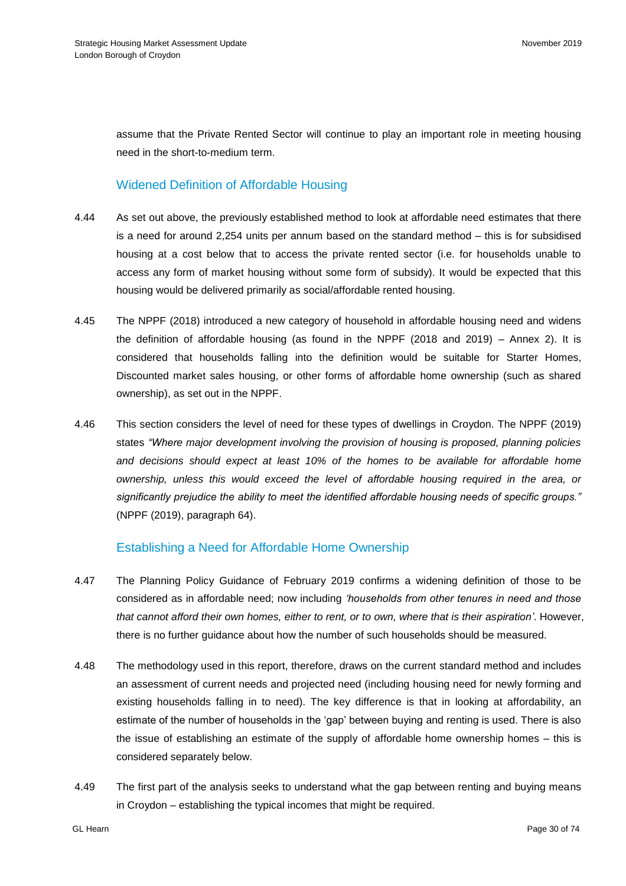assume that the Private Rented Sector will continue to play an important role in meeting housing need in the short-to-medium term.

## Widened Definition of Affordable Housing

- 4.44 As set out above, the previously established method to look at affordable need estimates that there is a need for around 2,254 units per annum based on the standard method – this is for subsidised housing at a cost below that to access the private rented sector (i.e. for households unable to access any form of market housing without some form of subsidy). It would be expected that this housing would be delivered primarily as social/affordable rented housing.
- 4.45 The NPPF (2018) introduced a new category of household in affordable housing need and widens the definition of affordable housing (as found in the NPPF (2018 and 2019) – Annex 2). It is considered that households falling into the definition would be suitable for Starter Homes, Discounted market sales housing, or other forms of affordable home ownership (such as shared ownership), as set out in the NPPF.
- 4.46 This section considers the level of need for these types of dwellings in Croydon. The NPPF (2019) states *"Where major development involving the provision of housing is proposed, planning policies and decisions should expect at least 10% of the homes to be available for affordable home ownership, unless this would exceed the level of affordable housing required in the area, or significantly prejudice the ability to meet the identified affordable housing needs of specific groups."*  (NPPF (2019), paragraph 64).

## Establishing a Need for Affordable Home Ownership

- 4.47 The Planning Policy Guidance of February 2019 confirms a widening definition of those to be considered as in affordable need; now including *'households from other tenures in need and those that cannot afford their own homes, either to rent, or to own, where that is their aspiration'*. However, there is no further guidance about how the number of such households should be measured.
- 4.48 The methodology used in this report, therefore, draws on the current standard method and includes an assessment of current needs and projected need (including housing need for newly forming and existing households falling in to need). The key difference is that in looking at affordability, an estimate of the number of households in the 'gap' between buying and renting is used. There is also the issue of establishing an estimate of the supply of affordable home ownership homes – this is considered separately below.
- 4.49 The first part of the analysis seeks to understand what the gap between renting and buying means in Croydon – establishing the typical incomes that might be required.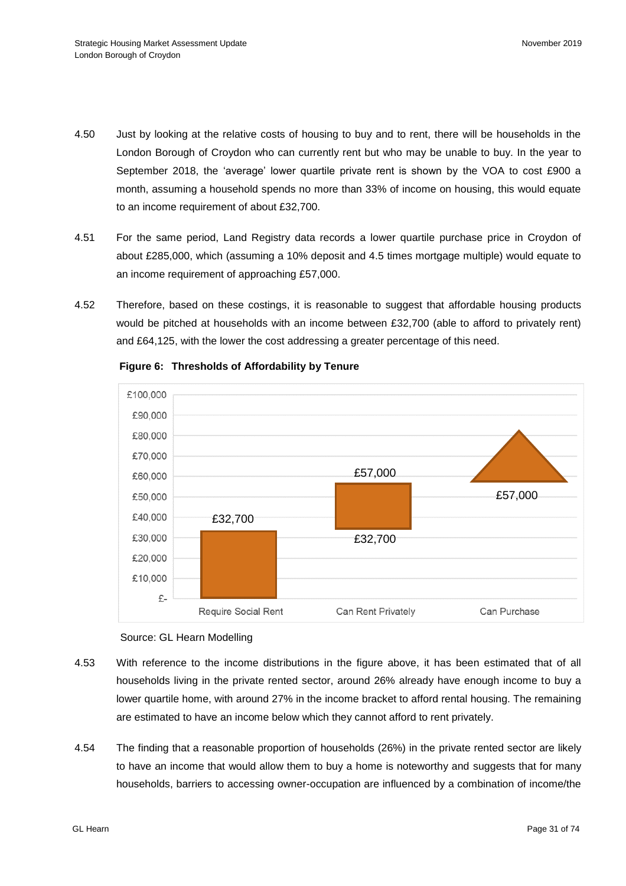- 4.50 Just by looking at the relative costs of housing to buy and to rent, there will be households in the London Borough of Croydon who can currently rent but who may be unable to buy. In the year to September 2018, the 'average' lower quartile private rent is shown by the VOA to cost £900 a month, assuming a household spends no more than 33% of income on housing, this would equate to an income requirement of about £32,700.
- 4.51 For the same period, Land Registry data records a lower quartile purchase price in Croydon of about £285,000, which (assuming a 10% deposit and 4.5 times mortgage multiple) would equate to an income requirement of approaching £57,000.
- 4.52 Therefore, based on these costings, it is reasonable to suggest that affordable housing products would be pitched at households with an income between £32,700 (able to afford to privately rent) and £64,125, with the lower the cost addressing a greater percentage of this need.



**Figure 6: Thresholds of Affordability by Tenure**



- 4.53 With reference to the income distributions in the figure above, it has been estimated that of all households living in the private rented sector, around 26% already have enough income to buy a lower quartile home, with around 27% in the income bracket to afford rental housing. The remaining are estimated to have an income below which they cannot afford to rent privately.
- 4.54 The finding that a reasonable proportion of households (26%) in the private rented sector are likely to have an income that would allow them to buy a home is noteworthy and suggests that for many households, barriers to accessing owner-occupation are influenced by a combination of income/the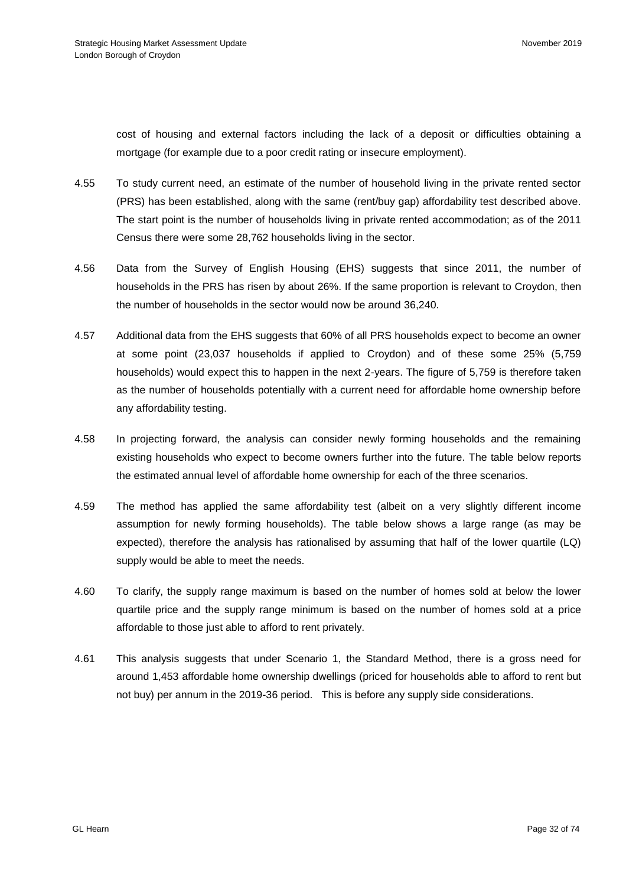cost of housing and external factors including the lack of a deposit or difficulties obtaining a mortgage (for example due to a poor credit rating or insecure employment).

- 4.55 To study current need, an estimate of the number of household living in the private rented sector (PRS) has been established, along with the same (rent/buy gap) affordability test described above. The start point is the number of households living in private rented accommodation; as of the 2011 Census there were some 28,762 households living in the sector.
- 4.56 Data from the Survey of English Housing (EHS) suggests that since 2011, the number of households in the PRS has risen by about 26%. If the same proportion is relevant to Croydon, then the number of households in the sector would now be around 36,240.
- 4.57 Additional data from the EHS suggests that 60% of all PRS households expect to become an owner at some point (23,037 households if applied to Croydon) and of these some 25% (5,759 households) would expect this to happen in the next 2-years. The figure of 5,759 is therefore taken as the number of households potentially with a current need for affordable home ownership before any affordability testing.
- 4.58 In projecting forward, the analysis can consider newly forming households and the remaining existing households who expect to become owners further into the future. The table below reports the estimated annual level of affordable home ownership for each of the three scenarios.
- 4.59 The method has applied the same affordability test (albeit on a very slightly different income assumption for newly forming households). The table below shows a large range (as may be expected), therefore the analysis has rationalised by assuming that half of the lower quartile (LQ) supply would be able to meet the needs.
- 4.60 To clarify, the supply range maximum is based on the number of homes sold at below the lower quartile price and the supply range minimum is based on the number of homes sold at a price affordable to those just able to afford to rent privately.
- 4.61 This analysis suggests that under Scenario 1, the Standard Method, there is a gross need for around 1,453 affordable home ownership dwellings (priced for households able to afford to rent but not buy) per annum in the 2019-36 period. This is before any supply side considerations.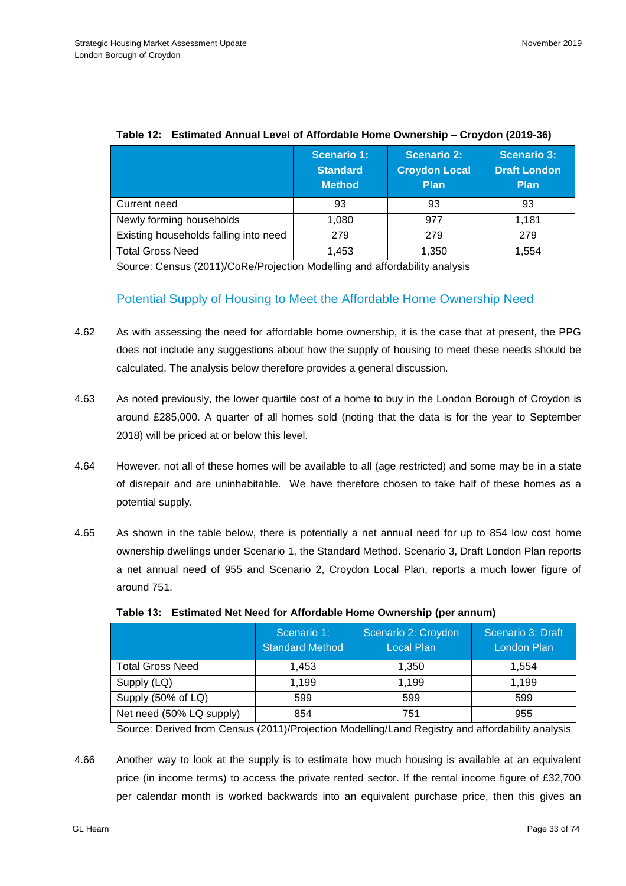|                                       | <b>Scenario 1:</b><br><b>Standard</b><br><b>Method</b> | <b>Scenario 2:</b><br><b>Croydon Local</b><br><b>Plan</b> | <b>Scenario 3:</b><br><b>Draft London</b><br><b>Plan</b> |
|---------------------------------------|--------------------------------------------------------|-----------------------------------------------------------|----------------------------------------------------------|
| Current need                          | 93                                                     | 93                                                        | 93                                                       |
| Newly forming households              | 1.080                                                  | 977                                                       | 1.181                                                    |
| Existing households falling into need | 279                                                    | 279                                                       | 279                                                      |
| <b>Total Gross Need</b>               | 1.453                                                  | 1,350                                                     | 1.554                                                    |

### **Table 12: Estimated Annual Level of Affordable Home Ownership – Croydon (2019-36)**

Source: Census (2011)/CoRe/Projection Modelling and affordability analysis

# Potential Supply of Housing to Meet the Affordable Home Ownership Need

- 4.62 As with assessing the need for affordable home ownership, it is the case that at present, the PPG does not include any suggestions about how the supply of housing to meet these needs should be calculated. The analysis below therefore provides a general discussion.
- 4.63 As noted previously, the lower quartile cost of a home to buy in the London Borough of Croydon is around £285,000. A quarter of all homes sold (noting that the data is for the year to September 2018) will be priced at or below this level.
- 4.64 However, not all of these homes will be available to all (age restricted) and some may be in a state of disrepair and are uninhabitable. We have therefore chosen to take half of these homes as a potential supply.
- 4.65 As shown in the table below, there is potentially a net annual need for up to 854 low cost home ownership dwellings under Scenario 1, the Standard Method. Scenario 3, Draft London Plan reports a net annual need of 955 and Scenario 2, Croydon Local Plan, reports a much lower figure of around 751.

|                          | Scenario 1:<br><b>Standard Method</b> | Scenario 2: Croydon<br><b>Local Plan</b> | Scenario 3: Draft<br>London Plan |
|--------------------------|---------------------------------------|------------------------------------------|----------------------------------|
| <b>Total Gross Need</b>  | 1.453                                 | 1.350                                    | 1.554                            |
| Supply (LQ)              | 1.199                                 | 1.199                                    | 1.199                            |
| Supply (50% of LQ)       | 599                                   | 599                                      | 599                              |
| Net need (50% LQ supply) | 854                                   | 751                                      | 955                              |

Source: Derived from Census (2011)/Projection Modelling/Land Registry and affordability analysis

4.66 Another way to look at the supply is to estimate how much housing is available at an equivalent price (in income terms) to access the private rented sector. If the rental income figure of £32,700 per calendar month is worked backwards into an equivalent purchase price, then this gives an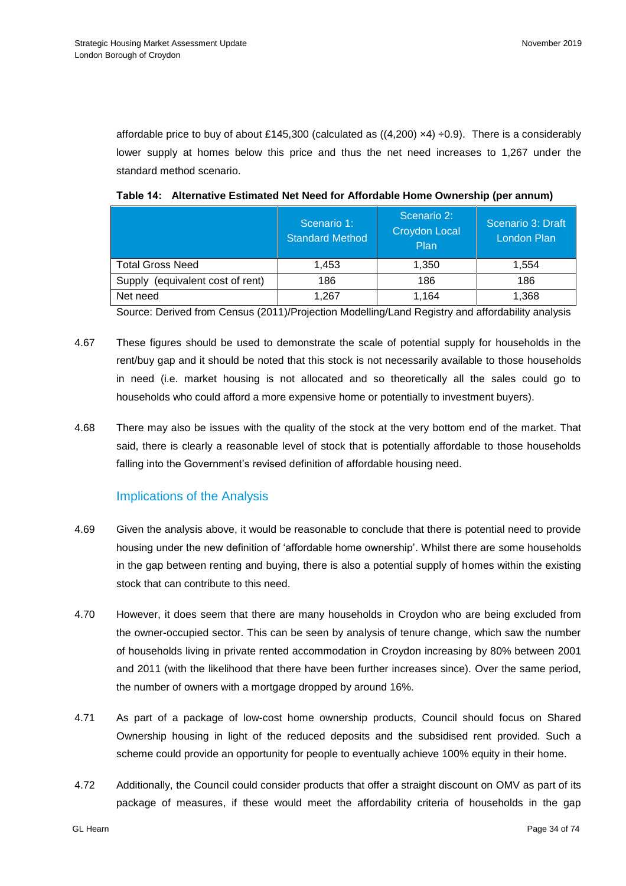affordable price to buy of about £145,300 (calculated as  $((4,200) \times 4) \div 0.9$ ). There is a considerably lower supply at homes below this price and thus the net need increases to 1,267 under the standard method scenario.

|                                     | Scenario 1:<br><b>Standard Method</b> | Scenario 2:<br><b>Croydon Local</b><br>Plan | Scenario 3: Draft<br><b>London Plan</b> |
|-------------------------------------|---------------------------------------|---------------------------------------------|-----------------------------------------|
| <b>Total Gross Need</b>             | 1,453                                 | 1.350                                       | 1.554                                   |
| (equivalent cost of rent)<br>Supply | 186                                   | 186                                         | 186                                     |
| Net need                            | 1.267                                 | 1.164                                       | 1.368                                   |

**Table 14: Alternative Estimated Net Need for Affordable Home Ownership (per annum)**

Source: Derived from Census (2011)/Projection Modelling/Land Registry and affordability analysis

- 4.67 These figures should be used to demonstrate the scale of potential supply for households in the rent/buy gap and it should be noted that this stock is not necessarily available to those households in need (i.e. market housing is not allocated and so theoretically all the sales could go to households who could afford a more expensive home or potentially to investment buyers).
- 4.68 There may also be issues with the quality of the stock at the very bottom end of the market. That said, there is clearly a reasonable level of stock that is potentially affordable to those households falling into the Government's revised definition of affordable housing need.

## Implications of the Analysis

- 4.69 Given the analysis above, it would be reasonable to conclude that there is potential need to provide housing under the new definition of 'affordable home ownership'. Whilst there are some households in the gap between renting and buying, there is also a potential supply of homes within the existing stock that can contribute to this need.
- 4.70 However, it does seem that there are many households in Croydon who are being excluded from the owner-occupied sector. This can be seen by analysis of tenure change, which saw the number of households living in private rented accommodation in Croydon increasing by 80% between 2001 and 2011 (with the likelihood that there have been further increases since). Over the same period, the number of owners with a mortgage dropped by around 16%.
- 4.71 As part of a package of low-cost home ownership products, Council should focus on Shared Ownership housing in light of the reduced deposits and the subsidised rent provided. Such a scheme could provide an opportunity for people to eventually achieve 100% equity in their home.
- 4.72 Additionally, the Council could consider products that offer a straight discount on OMV as part of its package of measures, if these would meet the affordability criteria of households in the gap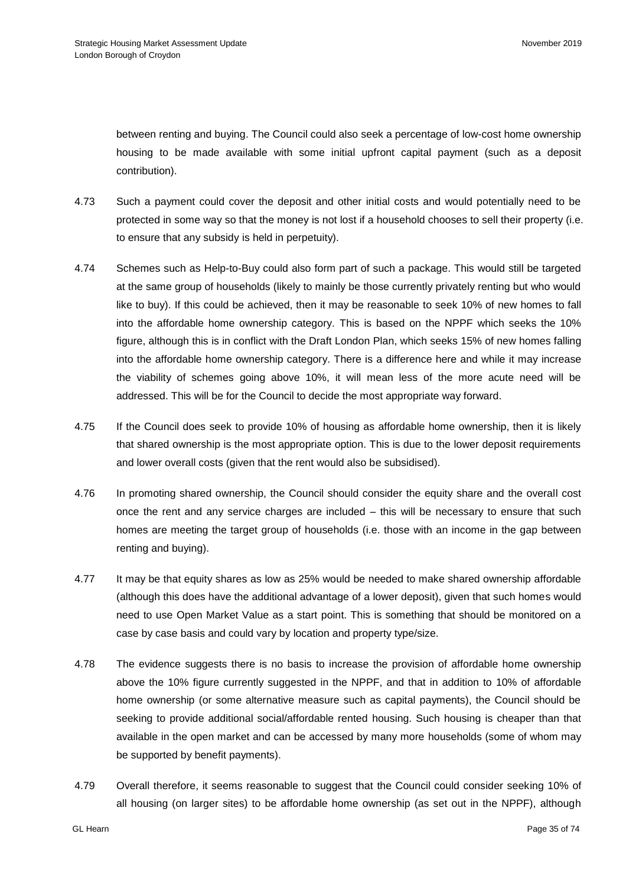between renting and buying. The Council could also seek a percentage of low-cost home ownership housing to be made available with some initial upfront capital payment (such as a deposit contribution).

- 4.73 Such a payment could cover the deposit and other initial costs and would potentially need to be protected in some way so that the money is not lost if a household chooses to sell their property (i.e. to ensure that any subsidy is held in perpetuity).
- 4.74 Schemes such as Help-to-Buy could also form part of such a package. This would still be targeted at the same group of households (likely to mainly be those currently privately renting but who would like to buy). If this could be achieved, then it may be reasonable to seek 10% of new homes to fall into the affordable home ownership category. This is based on the NPPF which seeks the 10% figure, although this is in conflict with the Draft London Plan, which seeks 15% of new homes falling into the affordable home ownership category. There is a difference here and while it may increase the viability of schemes going above 10%, it will mean less of the more acute need will be addressed. This will be for the Council to decide the most appropriate way forward.
- 4.75 If the Council does seek to provide 10% of housing as affordable home ownership, then it is likely that shared ownership is the most appropriate option. This is due to the lower deposit requirements and lower overall costs (given that the rent would also be subsidised).
- 4.76 In promoting shared ownership, the Council should consider the equity share and the overall cost once the rent and any service charges are included – this will be necessary to ensure that such homes are meeting the target group of households (i.e. those with an income in the gap between renting and buying).
- 4.77 It may be that equity shares as low as 25% would be needed to make shared ownership affordable (although this does have the additional advantage of a lower deposit), given that such homes would need to use Open Market Value as a start point. This is something that should be monitored on a case by case basis and could vary by location and property type/size.
- 4.78 The evidence suggests there is no basis to increase the provision of affordable home ownership above the 10% figure currently suggested in the NPPF, and that in addition to 10% of affordable home ownership (or some alternative measure such as capital payments), the Council should be seeking to provide additional social/affordable rented housing. Such housing is cheaper than that available in the open market and can be accessed by many more households (some of whom may be supported by benefit payments).
- 4.79 Overall therefore, it seems reasonable to suggest that the Council could consider seeking 10% of all housing (on larger sites) to be affordable home ownership (as set out in the NPPF), although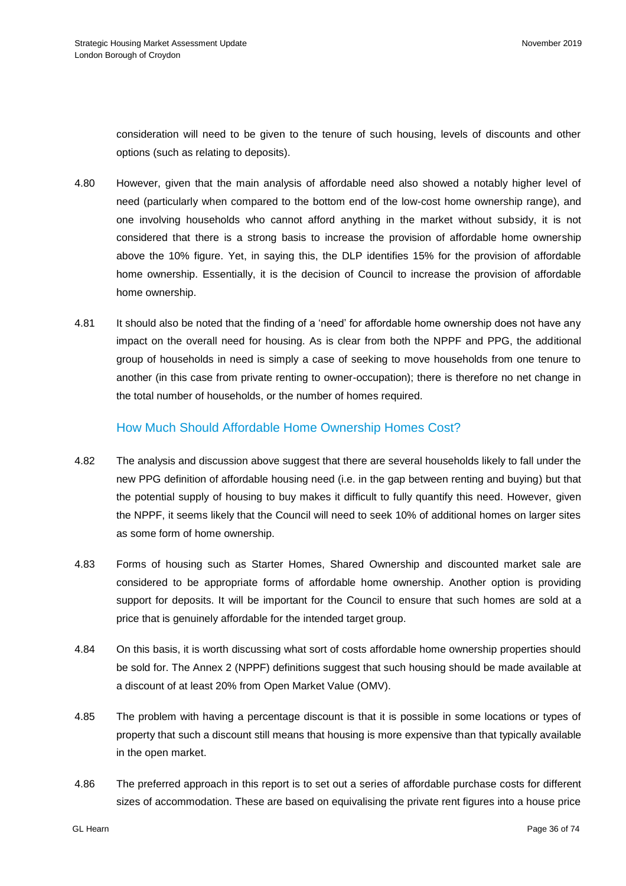consideration will need to be given to the tenure of such housing, levels of discounts and other options (such as relating to deposits).

- 4.80 However, given that the main analysis of affordable need also showed a notably higher level of need (particularly when compared to the bottom end of the low-cost home ownership range), and one involving households who cannot afford anything in the market without subsidy, it is not considered that there is a strong basis to increase the provision of affordable home ownership above the 10% figure. Yet, in saying this, the DLP identifies 15% for the provision of affordable home ownership. Essentially, it is the decision of Council to increase the provision of affordable home ownership.
- 4.81 It should also be noted that the finding of a 'need' for affordable home ownership does not have any impact on the overall need for housing. As is clear from both the NPPF and PPG, the additional group of households in need is simply a case of seeking to move households from one tenure to another (in this case from private renting to owner-occupation); there is therefore no net change in the total number of households, or the number of homes required.

## How Much Should Affordable Home Ownership Homes Cost?

- 4.82 The analysis and discussion above suggest that there are several households likely to fall under the new PPG definition of affordable housing need (i.e. in the gap between renting and buying) but that the potential supply of housing to buy makes it difficult to fully quantify this need. However, given the NPPF, it seems likely that the Council will need to seek 10% of additional homes on larger sites as some form of home ownership.
- 4.83 Forms of housing such as Starter Homes, Shared Ownership and discounted market sale are considered to be appropriate forms of affordable home ownership. Another option is providing support for deposits. It will be important for the Council to ensure that such homes are sold at a price that is genuinely affordable for the intended target group.
- 4.84 On this basis, it is worth discussing what sort of costs affordable home ownership properties should be sold for. The Annex 2 (NPPF) definitions suggest that such housing should be made available at a discount of at least 20% from Open Market Value (OMV).
- 4.85 The problem with having a percentage discount is that it is possible in some locations or types of property that such a discount still means that housing is more expensive than that typically available in the open market.
- 4.86 The preferred approach in this report is to set out a series of affordable purchase costs for different sizes of accommodation. These are based on equivalising the private rent figures into a house price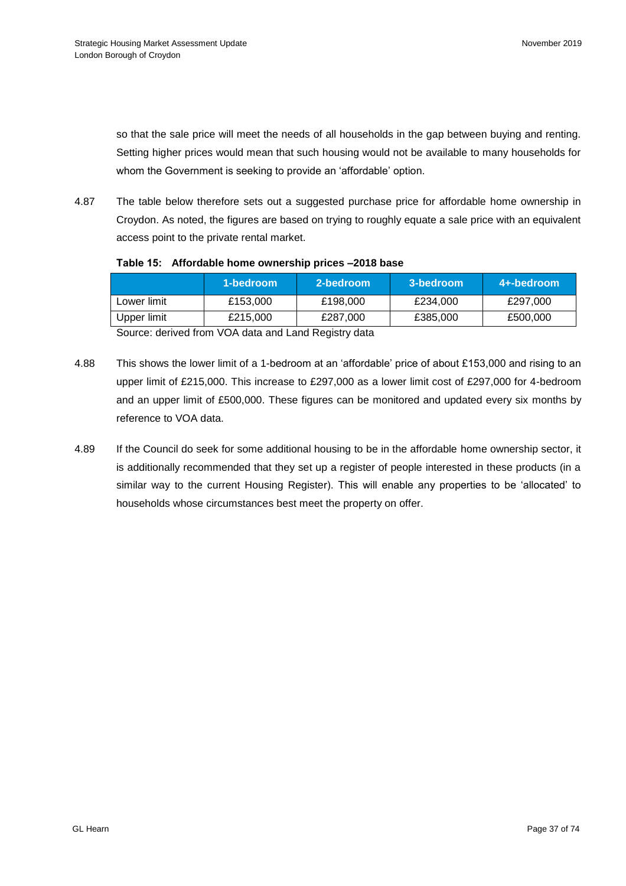so that the sale price will meet the needs of all households in the gap between buying and renting. Setting higher prices would mean that such housing would not be available to many households for whom the Government is seeking to provide an 'affordable' option.

4.87 The table below therefore sets out a suggested purchase price for affordable home ownership in Croydon. As noted, the figures are based on trying to roughly equate a sale price with an equivalent access point to the private rental market.

|  | Table 15: Affordable home ownership prices -2018 base |  |
|--|-------------------------------------------------------|--|
|  |                                                       |  |

|             | 1-bedroom | 2-bedroom | 3-bedroom | 4+-bedroom |
|-------------|-----------|-----------|-----------|------------|
| Lower limit | £153,000  | £198,000  | £234,000  | £297,000   |
| Upper limit | £215,000  | £287,000  | £385,000  | £500,000   |
| $\sim$      | .         |           |           |            |

Source: derived from VOA data and Land Registry data

- 4.88 This shows the lower limit of a 1-bedroom at an 'affordable' price of about £153,000 and rising to an upper limit of £215,000. This increase to £297,000 as a lower limit cost of £297,000 for 4-bedroom and an upper limit of £500,000. These figures can be monitored and updated every six months by reference to VOA data.
- 4.89 If the Council do seek for some additional housing to be in the affordable home ownership sector, it is additionally recommended that they set up a register of people interested in these products (in a similar way to the current Housing Register). This will enable any properties to be 'allocated' to households whose circumstances best meet the property on offer.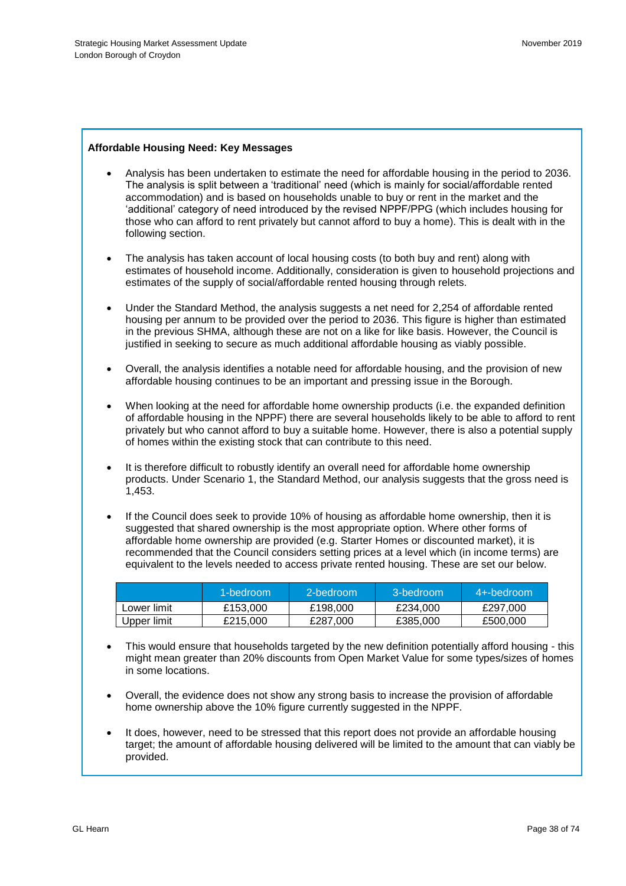## **Affordable Housing Need: Key Messages**

- Analysis has been undertaken to estimate the need for affordable housing in the period to 2036. The analysis is split between a 'traditional' need (which is mainly for social/affordable rented accommodation) and is based on households unable to buy or rent in the market and the 'additional' category of need introduced by the revised NPPF/PPG (which includes housing for those who can afford to rent privately but cannot afford to buy a home). This is dealt with in the following section.
- The analysis has taken account of local housing costs (to both buy and rent) along with estimates of household income. Additionally, consideration is given to household projections and estimates of the supply of social/affordable rented housing through relets.
- Under the Standard Method, the analysis suggests a net need for 2,254 of affordable rented housing per annum to be provided over the period to 2036. This figure is higher than estimated in the previous SHMA, although these are not on a like for like basis. However, the Council is justified in seeking to secure as much additional affordable housing as viably possible.
- Overall, the analysis identifies a notable need for affordable housing, and the provision of new affordable housing continues to be an important and pressing issue in the Borough.
- When looking at the need for affordable home ownership products (i.e. the expanded definition of affordable housing in the NPPF) there are several households likely to be able to afford to rent privately but who cannot afford to buy a suitable home. However, there is also a potential supply of homes within the existing stock that can contribute to this need.
- It is therefore difficult to robustly identify an overall need for affordable home ownership products. Under Scenario 1, the Standard Method, our analysis suggests that the gross need is 1,453.
- If the Council does seek to provide 10% of housing as affordable home ownership, then it is suggested that shared ownership is the most appropriate option. Where other forms of affordable home ownership are provided (e.g. Starter Homes or discounted market), it is recommended that the Council considers setting prices at a level which (in income terms) are equivalent to the levels needed to access private rented housing. These are set our below.

|             | 1-bedroom | 2-bedroom | 3-bedroom | 4+-bedroom |
|-------------|-----------|-----------|-----------|------------|
| Lower limit | £153,000  | £198,000  | £234.000  | £297,000   |
| Upper limit | £215,000  | £287,000  | £385,000  | £500.000   |

- This would ensure that households targeted by the new definition potentially afford housing this might mean greater than 20% discounts from Open Market Value for some types/sizes of homes in some locations.
- Overall, the evidence does not show any strong basis to increase the provision of affordable home ownership above the 10% figure currently suggested in the NPPF.
- It does, however, need to be stressed that this report does not provide an affordable housing target; the amount of affordable housing delivered will be limited to the amount that can viably be provided.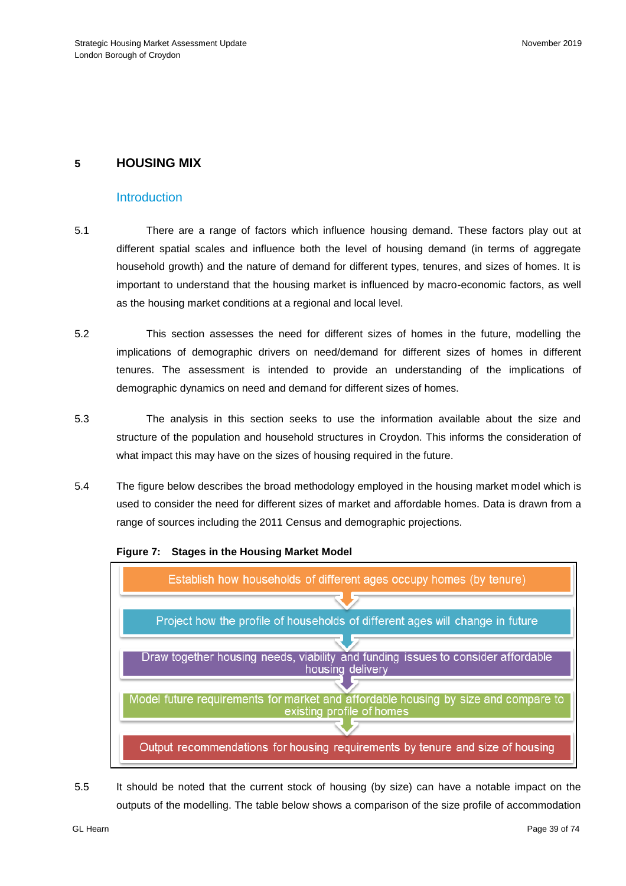# **5 HOUSING MIX**

## **Introduction**

- 5.1 There are a range of factors which influence housing demand. These factors play out at different spatial scales and influence both the level of housing demand (in terms of aggregate household growth) and the nature of demand for different types, tenures, and sizes of homes. It is important to understand that the housing market is influenced by macro-economic factors, as well as the housing market conditions at a regional and local level.
- 5.2 This section assesses the need for different sizes of homes in the future, modelling the implications of demographic drivers on need/demand for different sizes of homes in different tenures. The assessment is intended to provide an understanding of the implications of demographic dynamics on need and demand for different sizes of homes.
- 5.3 The analysis in this section seeks to use the information available about the size and structure of the population and household structures in Croydon. This informs the consideration of what impact this may have on the sizes of housing required in the future.
- 5.4 The figure below describes the broad methodology employed in the housing market model which is used to consider the need for different sizes of market and affordable homes. Data is drawn from a range of sources including the 2011 Census and demographic projections.



**Figure 7: Stages in the Housing Market Model**

5.5 It should be noted that the current stock of housing (by size) can have a notable impact on the outputs of the modelling. The table below shows a comparison of the size profile of accommodation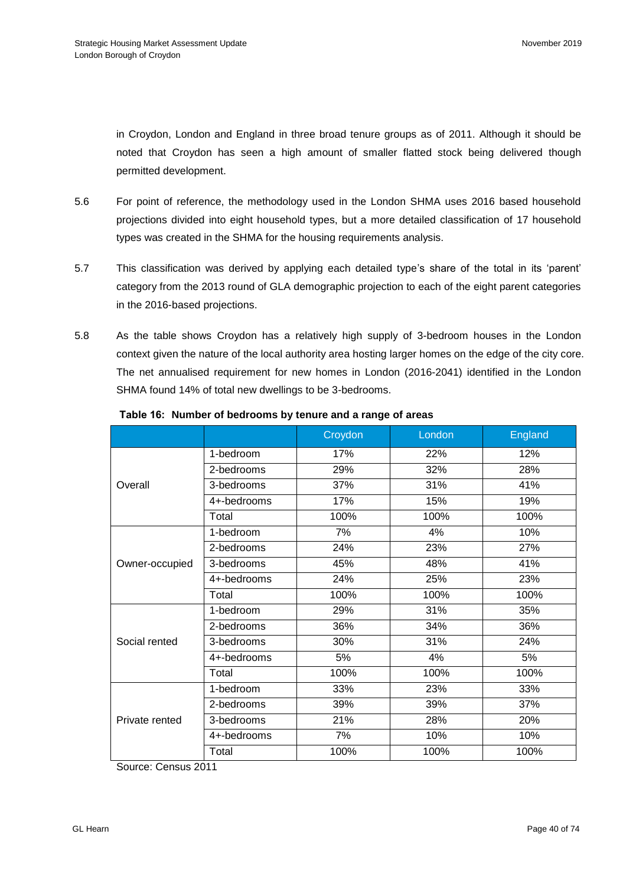in Croydon, London and England in three broad tenure groups as of 2011. Although it should be noted that Croydon has seen a high amount of smaller flatted stock being delivered though permitted development.

- 5.6 For point of reference, the methodology used in the London SHMA uses 2016 based household projections divided into eight household types, but a more detailed classification of 17 household types was created in the SHMA for the housing requirements analysis.
- 5.7 This classification was derived by applying each detailed type's share of the total in its 'parent' category from the 2013 round of GLA demographic projection to each of the eight parent categories in the 2016-based projections.
- 5.8 As the table shows Croydon has a relatively high supply of 3-bedroom houses in the London context given the nature of the local authority area hosting larger homes on the edge of the city core. The net annualised requirement for new homes in London (2016-2041) identified in the London SHMA found 14% of total new dwellings to be 3-bedrooms.

|                |             | Croydon | London | England |
|----------------|-------------|---------|--------|---------|
|                | 1-bedroom   | 17%     | 22%    | 12%     |
|                | 2-bedrooms  | 29%     | 32%    | 28%     |
| Overall        | 3-bedrooms  | 37%     | 31%    | 41%     |
|                | 4+-bedrooms | 17%     | 15%    | 19%     |
|                | Total       | 100%    | 100%   | 100%    |
|                | 1-bedroom   | 7%      | 4%     | 10%     |
|                | 2-bedrooms  | 24%     | 23%    | 27%     |
| Owner-occupied | 3-bedrooms  | 45%     | 48%    | 41%     |
|                | 4+-bedrooms | 24%     | 25%    | 23%     |
|                | Total       | 100%    | 100%   | 100%    |
|                | 1-bedroom   | 29%     | 31%    | 35%     |
|                | 2-bedrooms  | 36%     | 34%    | 36%     |
| Social rented  | 3-bedrooms  | 30%     | 31%    | 24%     |
|                | 4+-bedrooms | 5%      | 4%     | 5%      |
|                | Total       | 100%    | 100%   | 100%    |
|                | 1-bedroom   | 33%     | 23%    | 33%     |
|                | 2-bedrooms  | 39%     | 39%    | 37%     |
| Private rented | 3-bedrooms  | 21%     | 28%    | 20%     |
|                | 4+-bedrooms | 7%      | 10%    | 10%     |
|                | Total       | 100%    | 100%   | 100%    |

### **Table 16: Number of bedrooms by tenure and a range of areas**

Source: Census 2011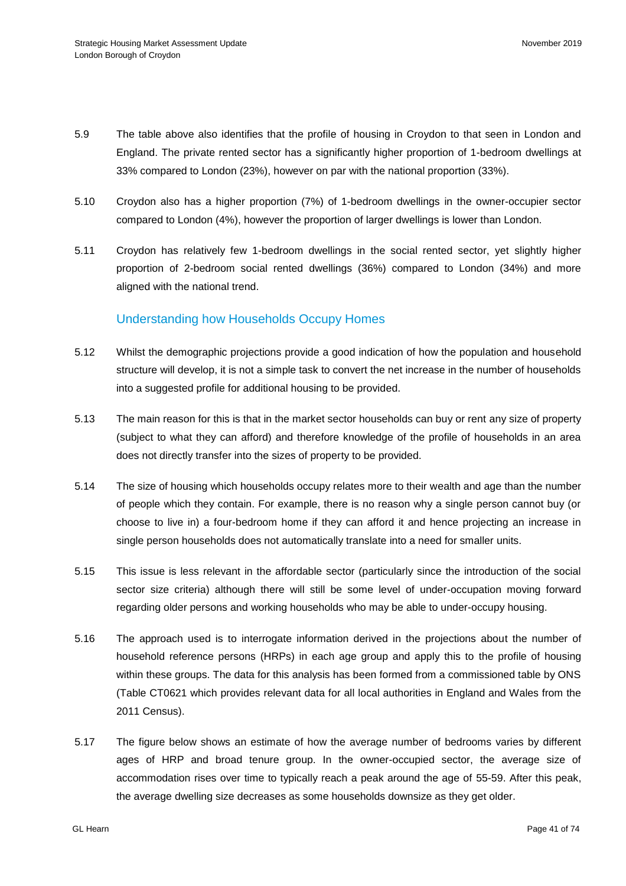- 5.9 The table above also identifies that the profile of housing in Croydon to that seen in London and England. The private rented sector has a significantly higher proportion of 1-bedroom dwellings at 33% compared to London (23%), however on par with the national proportion (33%).
- 5.10 Croydon also has a higher proportion (7%) of 1-bedroom dwellings in the owner-occupier sector compared to London (4%), however the proportion of larger dwellings is lower than London.
- 5.11 Croydon has relatively few 1-bedroom dwellings in the social rented sector, yet slightly higher proportion of 2-bedroom social rented dwellings (36%) compared to London (34%) and more aligned with the national trend.

## Understanding how Households Occupy Homes

- 5.12 Whilst the demographic projections provide a good indication of how the population and household structure will develop, it is not a simple task to convert the net increase in the number of households into a suggested profile for additional housing to be provided.
- 5.13 The main reason for this is that in the market sector households can buy or rent any size of property (subject to what they can afford) and therefore knowledge of the profile of households in an area does not directly transfer into the sizes of property to be provided.
- 5.14 The size of housing which households occupy relates more to their wealth and age than the number of people which they contain. For example, there is no reason why a single person cannot buy (or choose to live in) a four-bedroom home if they can afford it and hence projecting an increase in single person households does not automatically translate into a need for smaller units.
- 5.15 This issue is less relevant in the affordable sector (particularly since the introduction of the social sector size criteria) although there will still be some level of under-occupation moving forward regarding older persons and working households who may be able to under-occupy housing.
- 5.16 The approach used is to interrogate information derived in the projections about the number of household reference persons (HRPs) in each age group and apply this to the profile of housing within these groups. The data for this analysis has been formed from a commissioned table by ONS (Table CT0621 which provides relevant data for all local authorities in England and Wales from the 2011 Census).
- 5.17 The figure below shows an estimate of how the average number of bedrooms varies by different ages of HRP and broad tenure group. In the owner-occupied sector, the average size of accommodation rises over time to typically reach a peak around the age of 55-59. After this peak, the average dwelling size decreases as some households downsize as they get older.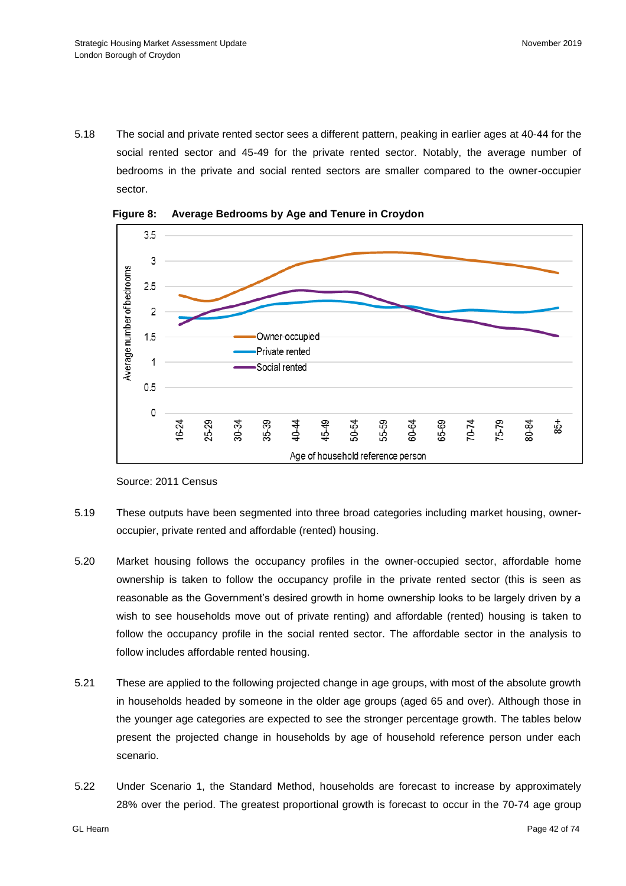5.18 The social and private rented sector sees a different pattern, peaking in earlier ages at 40-44 for the social rented sector and 45-49 for the private rented sector. Notably, the average number of bedrooms in the private and social rented sectors are smaller compared to the owner-occupier sector.



**Figure 8: Average Bedrooms by Age and Tenure in Croydon**

- 5.19 These outputs have been segmented into three broad categories including market housing, owneroccupier, private rented and affordable (rented) housing.
- 5.20 Market housing follows the occupancy profiles in the owner-occupied sector, affordable home ownership is taken to follow the occupancy profile in the private rented sector (this is seen as reasonable as the Government's desired growth in home ownership looks to be largely driven by a wish to see households move out of private renting) and affordable (rented) housing is taken to follow the occupancy profile in the social rented sector. The affordable sector in the analysis to follow includes affordable rented housing.
- 5.21 These are applied to the following projected change in age groups, with most of the absolute growth in households headed by someone in the older age groups (aged 65 and over). Although those in the younger age categories are expected to see the stronger percentage growth. The tables below present the projected change in households by age of household reference person under each scenario.
- 5.22 Under Scenario 1, the Standard Method, households are forecast to increase by approximately 28% over the period. The greatest proportional growth is forecast to occur in the 70-74 age group

Source: 2011 Census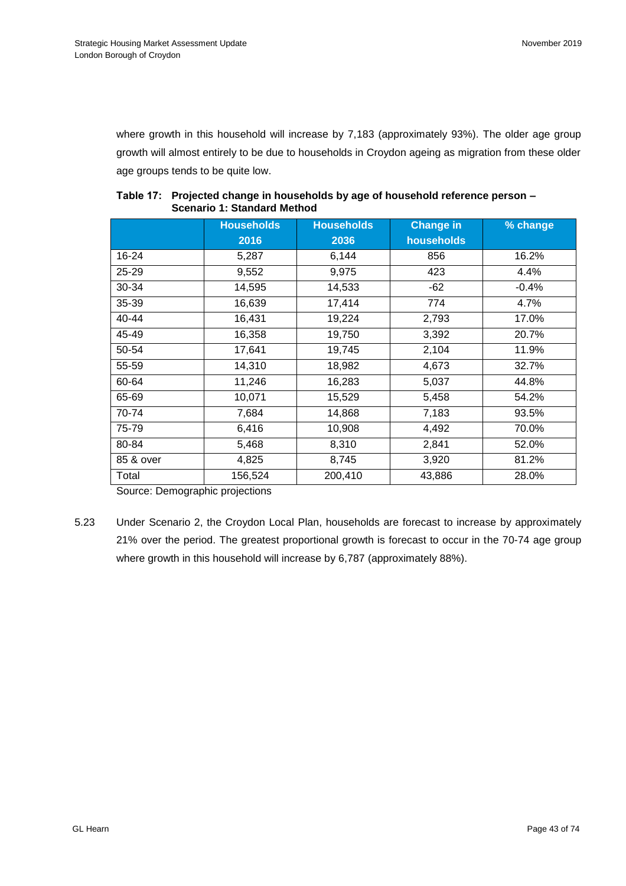where growth in this household will increase by 7,183 (approximately 93%). The older age group growth will almost entirely to be due to households in Croydon ageing as migration from these older age groups tends to be quite low.

|           | <b>Households</b> | <b>Households</b> | <b>Change in</b> | % change |
|-----------|-------------------|-------------------|------------------|----------|
|           | 2016              | 2036              | households       |          |
| 16-24     | 5,287             | 6,144             | 856              | 16.2%    |
| $25 - 29$ | 9,552             | 9,975             | 423              | 4.4%     |
| 30-34     | 14,595            | 14,533            | $-62$            | $-0.4%$  |
| $35 - 39$ | 16,639            | 17,414            | 774              | 4.7%     |
| $40 - 44$ | 16,431            | 19,224            | 2,793            | 17.0%    |
| 45-49     | 16,358            | 19,750            | 3,392            | 20.7%    |
| 50-54     | 17,641            | 19,745            | 2,104            | 11.9%    |
| 55-59     | 14,310            | 18,982            | 4,673            | 32.7%    |
| 60-64     | 11,246            | 16,283            | 5,037            | 44.8%    |
| 65-69     | 10,071            | 15,529            | 5,458            | 54.2%    |
| 70-74     | 7,684             | 14,868            | 7,183            | 93.5%    |
| 75-79     | 6,416             | 10,908            | 4,492            | 70.0%    |
| 80-84     | 5,468             | 8,310             | 2,841            | 52.0%    |
| 85 & over | 4,825             | 8,745             | 3,920            | 81.2%    |
| Total     | 156,524           | 200,410           | 43,886           | 28.0%    |

## **Table 17: Projected change in households by age of household reference person – Scenario 1: Standard Method**

Source: Demographic projections

5.23 Under Scenario 2, the Croydon Local Plan, households are forecast to increase by approximately 21% over the period. The greatest proportional growth is forecast to occur in the 70-74 age group where growth in this household will increase by 6,787 (approximately 88%).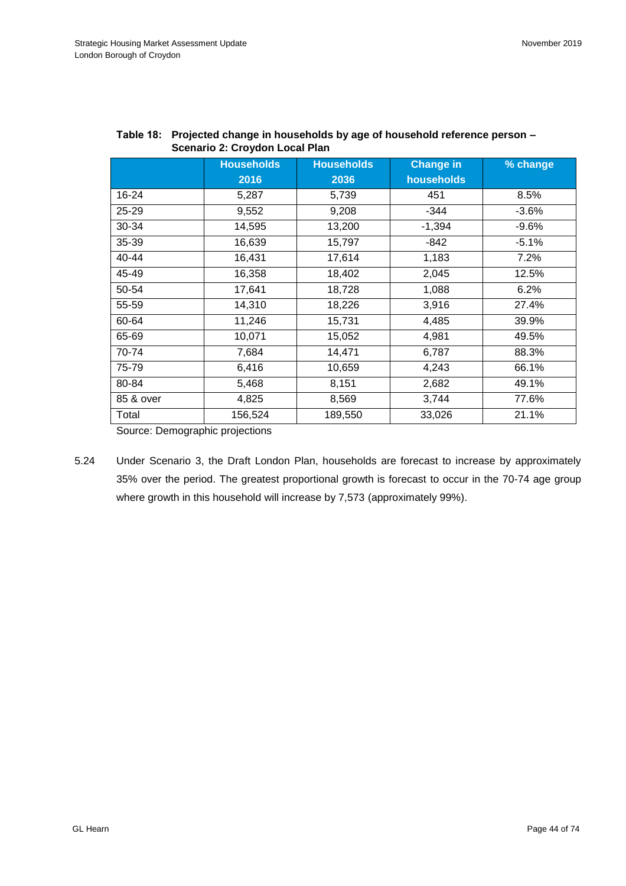|           | <b>Households</b> | <b>Households</b> | <b>Change in</b> | % change |
|-----------|-------------------|-------------------|------------------|----------|
|           | 2016              | 2036              | households       |          |
| 16-24     | 5,287             | 5,739             | 451              | 8.5%     |
| $25 - 29$ | 9,552             | 9,208             | $-344$           | $-3.6%$  |
| 30-34     | 14,595            | 13,200            | $-1,394$         | $-9.6%$  |
| 35-39     | 16,639            | 15,797            | $-842$           | $-5.1%$  |
| 40-44     | 16,431            | 17,614            | 1,183            | 7.2%     |
| 45-49     | 16,358            | 18,402            | 2,045            | 12.5%    |
| 50-54     | 17,641            | 18,728            | 1,088            | 6.2%     |
| 55-59     | 14,310            | 18,226            | 3,916            | 27.4%    |
| 60-64     | 11,246            | 15,731            | 4,485            | 39.9%    |
| 65-69     | 10,071            | 15,052            | 4,981            | 49.5%    |
| 70-74     | 7,684             | 14,471            | 6,787            | 88.3%    |
| 75-79     | 6,416             | 10,659            | 4,243            | 66.1%    |
| 80-84     | 5,468             | 8,151             | 2,682            | 49.1%    |
| 85 & over | 4,825             | 8,569             | 3,744            | 77.6%    |
| Total     | 156,524           | 189,550           | 33,026           | 21.1%    |

| Table 18: Projected change in households by age of household reference person - |
|---------------------------------------------------------------------------------|
| Scenario 2: Croydon Local Plan                                                  |

Source: Demographic projections

5.24 Under Scenario 3, the Draft London Plan, households are forecast to increase by approximately 35% over the period. The greatest proportional growth is forecast to occur in the 70-74 age group where growth in this household will increase by 7,573 (approximately 99%).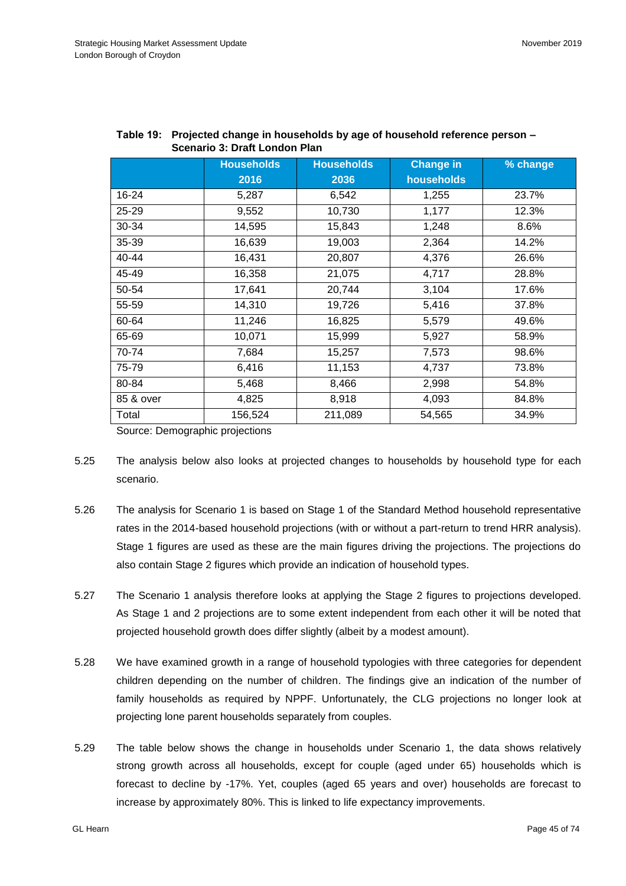|           | <b>Households</b> | <b>Households</b> | <b>Change in</b> | % change |
|-----------|-------------------|-------------------|------------------|----------|
|           | 2016              | 2036              | households       |          |
| 16-24     | 5,287             | 6,542             | 1,255            | 23.7%    |
| 25-29     | 9,552             | 10,730            | 1,177            | 12.3%    |
| 30-34     | 14,595            | 15,843            | 1,248            | 8.6%     |
| 35-39     | 16,639            | 19,003            | 2,364            | 14.2%    |
| 40-44     | 16,431            | 20,807            | 4,376            | 26.6%    |
| 45-49     | 16,358            | 21,075            | 4,717            | 28.8%    |
| 50-54     | 17,641            | 20,744            | 3,104            | 17.6%    |
| 55-59     | 14,310            | 19,726            | 5,416            | 37.8%    |
| 60-64     | 11,246            | 16,825            | 5,579            | 49.6%    |
| 65-69     | 10,071            | 15,999            | 5,927            | 58.9%    |
| 70-74     | 7,684             | 15,257            | 7,573            | 98.6%    |
| 75-79     | 6,416             | 11,153            | 4,737            | 73.8%    |
| 80-84     | 5,468             | 8,466             | 2,998            | 54.8%    |
| 85 & over | 4,825             | 8,918             | 4,093            | 84.8%    |
| Total     | 156,524           | 211,089           | 54,565           | 34.9%    |

| Table 19: Projected change in households by age of household reference person - |
|---------------------------------------------------------------------------------|
| <b>Scenario 3: Draft London Plan</b>                                            |

Source: Demographic projections

- 5.25 The analysis below also looks at projected changes to households by household type for each scenario.
- 5.26 The analysis for Scenario 1 is based on Stage 1 of the Standard Method household representative rates in the 2014-based household projections (with or without a part-return to trend HRR analysis). Stage 1 figures are used as these are the main figures driving the projections. The projections do also contain Stage 2 figures which provide an indication of household types.
- 5.27 The Scenario 1 analysis therefore looks at applying the Stage 2 figures to projections developed. As Stage 1 and 2 projections are to some extent independent from each other it will be noted that projected household growth does differ slightly (albeit by a modest amount).
- 5.28 We have examined growth in a range of household typologies with three categories for dependent children depending on the number of children. The findings give an indication of the number of family households as required by NPPF. Unfortunately, the CLG projections no longer look at projecting lone parent households separately from couples.
- 5.29 The table below shows the change in households under Scenario 1, the data shows relatively strong growth across all households, except for couple (aged under 65) households which is forecast to decline by -17%. Yet, couples (aged 65 years and over) households are forecast to increase by approximately 80%. This is linked to life expectancy improvements.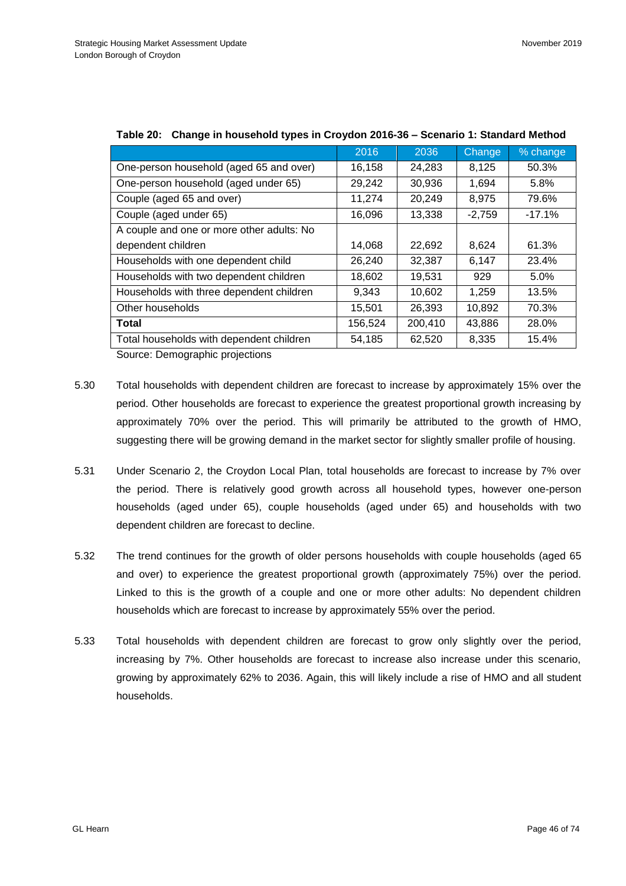| 2016    | 2036    | Change   | % change |
|---------|---------|----------|----------|
| 16,158  | 24,283  | 8,125    | 50.3%    |
| 29,242  | 30,936  | 1,694    | 5.8%     |
| 11,274  | 20,249  | 8,975    | 79.6%    |
| 16,096  | 13,338  | $-2,759$ | $-17.1%$ |
|         |         |          |          |
| 14,068  | 22,692  | 8,624    | 61.3%    |
| 26,240  | 32,387  | 6,147    | 23.4%    |
| 18,602  | 19,531  | 929      | 5.0%     |
| 9,343   | 10,602  | 1,259    | 13.5%    |
| 15,501  | 26,393  | 10,892   | 70.3%    |
| 156,524 | 200,410 | 43,886   | 28.0%    |
| 54,185  | 62,520  | 8,335    | 15.4%    |
|         |         |          |          |

## **Table 20: Change in household types in Croydon 2016-36 – Scenario 1: Standard Method**

Source: Demographic projections

- 5.30 Total households with dependent children are forecast to increase by approximately 15% over the period. Other households are forecast to experience the greatest proportional growth increasing by approximately 70% over the period. This will primarily be attributed to the growth of HMO, suggesting there will be growing demand in the market sector for slightly smaller profile of housing.
- 5.31 Under Scenario 2, the Croydon Local Plan, total households are forecast to increase by 7% over the period. There is relatively good growth across all household types, however one-person households (aged under 65), couple households (aged under 65) and households with two dependent children are forecast to decline.
- 5.32 The trend continues for the growth of older persons households with couple households (aged 65 and over) to experience the greatest proportional growth (approximately 75%) over the period. Linked to this is the growth of a couple and one or more other adults: No dependent children households which are forecast to increase by approximately 55% over the period.
- 5.33 Total households with dependent children are forecast to grow only slightly over the period, increasing by 7%. Other households are forecast to increase also increase under this scenario, growing by approximately 62% to 2036. Again, this will likely include a rise of HMO and all student households.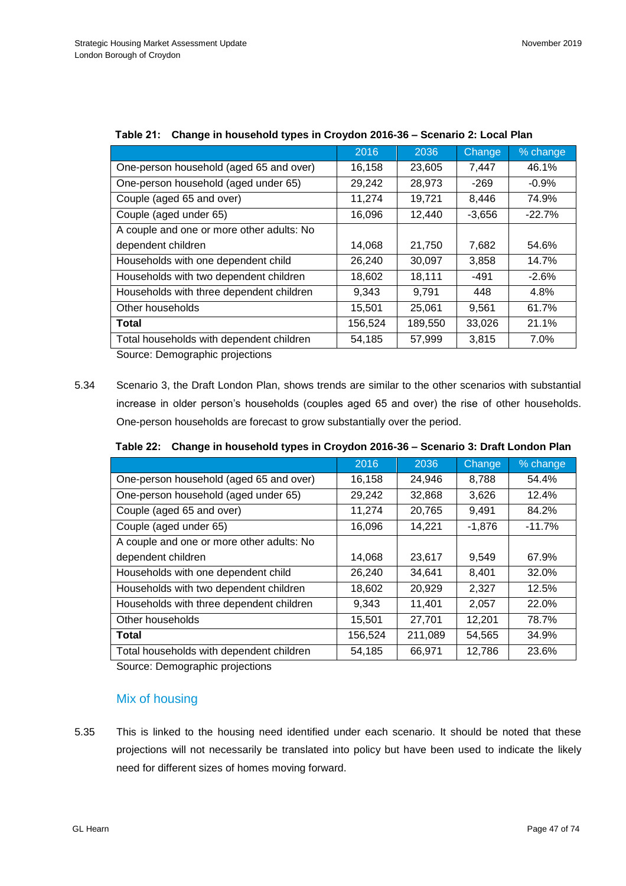| 2016    | 2036    | Change   | % change |
|---------|---------|----------|----------|
| 16,158  | 23,605  | 7,447    | 46.1%    |
| 29,242  | 28,973  | $-269$   | $-0.9%$  |
| 11,274  | 19,721  | 8,446    | 74.9%    |
| 16,096  | 12,440  | $-3,656$ | $-22.7%$ |
|         |         |          |          |
| 14,068  | 21,750  | 7,682    | 54.6%    |
| 26,240  | 30,097  | 3,858    | 14.7%    |
| 18,602  | 18,111  | -491     | $-2.6%$  |
| 9,343   | 9,791   | 448      | 4.8%     |
| 15,501  | 25,061  | 9,561    | 61.7%    |
| 156,524 | 189,550 | 33,026   | 21.1%    |
| 54,185  | 57,999  | 3,815    | 7.0%     |
|         |         |          |          |

|  |  | Table 21: Change in household types in Croydon 2016-36 – Scenario 2: Local Plan |
|--|--|---------------------------------------------------------------------------------|
|--|--|---------------------------------------------------------------------------------|

Source: Demographic projections

5.34 Scenario 3, the Draft London Plan, shows trends are similar to the other scenarios with substantial increase in older person's households (couples aged 65 and over) the rise of other households. One-person households are forecast to grow substantially over the period.

|  |  | Table 22: Change in household types in Croydon 2016-36 - Scenario 3: Draft London Plan |
|--|--|----------------------------------------------------------------------------------------|
|--|--|----------------------------------------------------------------------------------------|

|                                           | 2016    | 2036    | Change   | % change |
|-------------------------------------------|---------|---------|----------|----------|
| One-person household (aged 65 and over)   | 16,158  | 24.946  | 8,788    | 54.4%    |
| One-person household (aged under 65)      | 29,242  | 32,868  | 3,626    | 12.4%    |
| Couple (aged 65 and over)                 | 11,274  | 20,765  | 9,491    | 84.2%    |
| Couple (aged under 65)                    | 16,096  | 14,221  | $-1,876$ | $-11.7%$ |
| A couple and one or more other adults: No |         |         |          |          |
| dependent children                        | 14,068  | 23,617  | 9,549    | 67.9%    |
| Households with one dependent child       | 26,240  | 34,641  | 8,401    | 32.0%    |
| Households with two dependent children    | 18,602  | 20,929  | 2,327    | 12.5%    |
| Households with three dependent children  | 9,343   | 11,401  | 2,057    | 22.0%    |
| Other households                          | 15,501  | 27,701  | 12,201   | 78.7%    |
| <b>Total</b>                              | 156,524 | 211,089 | 54,565   | 34.9%    |
| Total households with dependent children  | 54,185  | 66,971  | 12,786   | 23.6%    |

Source: Demographic projections

## Mix of housing

5.35 This is linked to the housing need identified under each scenario. It should be noted that these projections will not necessarily be translated into policy but have been used to indicate the likely need for different sizes of homes moving forward.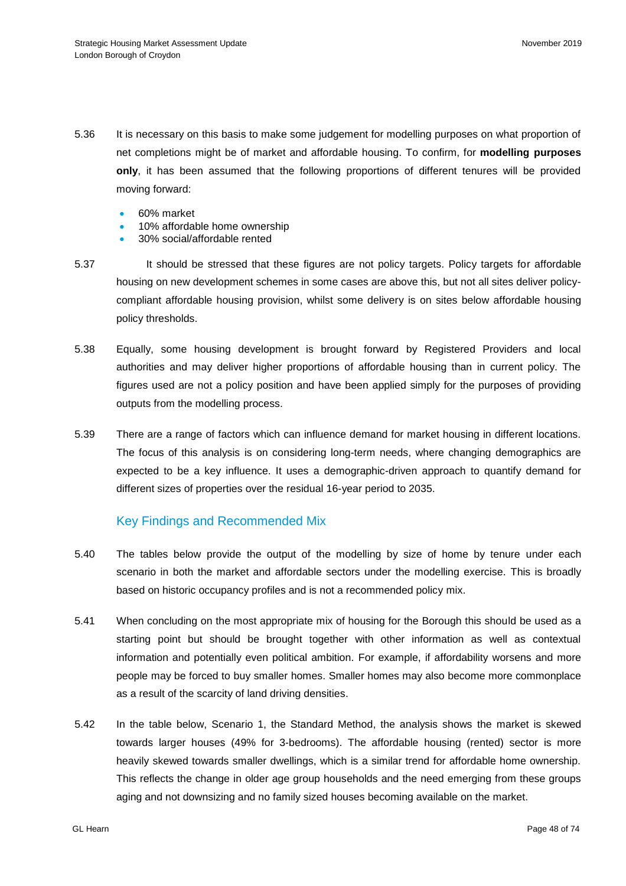- 5.36 It is necessary on this basis to make some judgement for modelling purposes on what proportion of net completions might be of market and affordable housing. To confirm, for **modelling purposes only**, it has been assumed that the following proportions of different tenures will be provided moving forward:
	- 60% market
	- 10% affordable home ownership
	- 30% social/affordable rented
- 5.37 It should be stressed that these figures are not policy targets. Policy targets for affordable housing on new development schemes in some cases are above this, but not all sites deliver policycompliant affordable housing provision, whilst some delivery is on sites below affordable housing policy thresholds.
- 5.38 Equally, some housing development is brought forward by Registered Providers and local authorities and may deliver higher proportions of affordable housing than in current policy. The figures used are not a policy position and have been applied simply for the purposes of providing outputs from the modelling process.
- 5.39 There are a range of factors which can influence demand for market housing in different locations. The focus of this analysis is on considering long-term needs, where changing demographics are expected to be a key influence. It uses a demographic-driven approach to quantify demand for different sizes of properties over the residual 16-year period to 2035.

## Key Findings and Recommended Mix

- 5.40 The tables below provide the output of the modelling by size of home by tenure under each scenario in both the market and affordable sectors under the modelling exercise. This is broadly based on historic occupancy profiles and is not a recommended policy mix.
- 5.41 When concluding on the most appropriate mix of housing for the Borough this should be used as a starting point but should be brought together with other information as well as contextual information and potentially even political ambition. For example, if affordability worsens and more people may be forced to buy smaller homes. Smaller homes may also become more commonplace as a result of the scarcity of land driving densities.
- 5.42 In the table below, Scenario 1, the Standard Method, the analysis shows the market is skewed towards larger houses (49% for 3-bedrooms). The affordable housing (rented) sector is more heavily skewed towards smaller dwellings, which is a similar trend for affordable home ownership. This reflects the change in older age group households and the need emerging from these groups aging and not downsizing and no family sized houses becoming available on the market.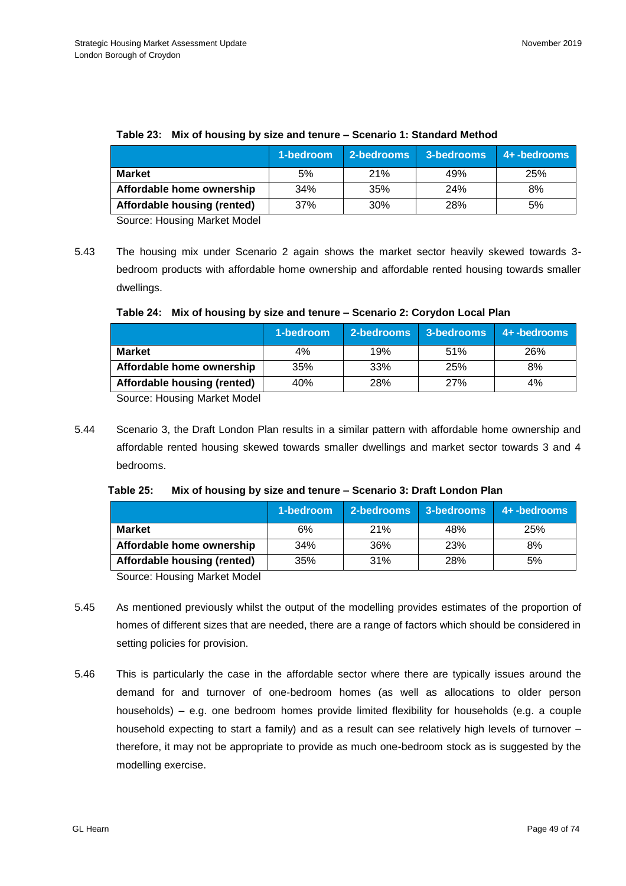|                             | 1-bedroom | 2-bedrooms | 3-bedrooms | 4+ -bedrooms |
|-----------------------------|-----------|------------|------------|--------------|
| <b>Market</b>               | 5%        | 21%        | 49%        | 25%          |
| Affordable home ownership   | 34%       | 35%        | 24%        | 8%           |
| Affordable housing (rented) | 37%       | 30%        | 28%        | 5%           |

### **Table 23: Mix of housing by size and tenure – Scenario 1: Standard Method**

Source: Housing Market Model

5.43 The housing mix under Scenario 2 again shows the market sector heavily skewed towards 3 bedroom products with affordable home ownership and affordable rented housing towards smaller dwellings.

|  | Table 24: Mix of housing by size and tenure - Scenario 2: Corydon Local Plan |  |
|--|------------------------------------------------------------------------------|--|
|--|------------------------------------------------------------------------------|--|

|                             | 1-bedroom | 2-bedrooms | 3-bedrooms | 4+ -bedrooms |
|-----------------------------|-----------|------------|------------|--------------|
| <b>Market</b>               | 4%        | 19%        | 51%        | 26%          |
| Affordable home ownership   | 35%       | 33%        | 25%        | 8%           |
| Affordable housing (rented) | 40%       | 28%        | 27%        | 4%           |

Source: Housing Market Model

5.44 Scenario 3, the Draft London Plan results in a similar pattern with affordable home ownership and affordable rented housing skewed towards smaller dwellings and market sector towards 3 and 4 bedrooms.

|                             | 1-bedroom | 2-bedrooms | 3-bedrooms | 4+-bedrooms |
|-----------------------------|-----------|------------|------------|-------------|
| <b>Market</b>               | 6%        | <b>21%</b> | 48%        | 25%         |
| Affordable home ownership   | 34%       | 36%        | 23%        | 8%          |
| Affordable housing (rented) | 35%       | 31%        | 28%        | 5%          |

Source: Housing Market Model

- 5.45 As mentioned previously whilst the output of the modelling provides estimates of the proportion of homes of different sizes that are needed, there are a range of factors which should be considered in setting policies for provision.
- 5.46 This is particularly the case in the affordable sector where there are typically issues around the demand for and turnover of one-bedroom homes (as well as allocations to older person households) – e.g. one bedroom homes provide limited flexibility for households (e.g. a couple household expecting to start a family) and as a result can see relatively high levels of turnover – therefore, it may not be appropriate to provide as much one-bedroom stock as is suggested by the modelling exercise.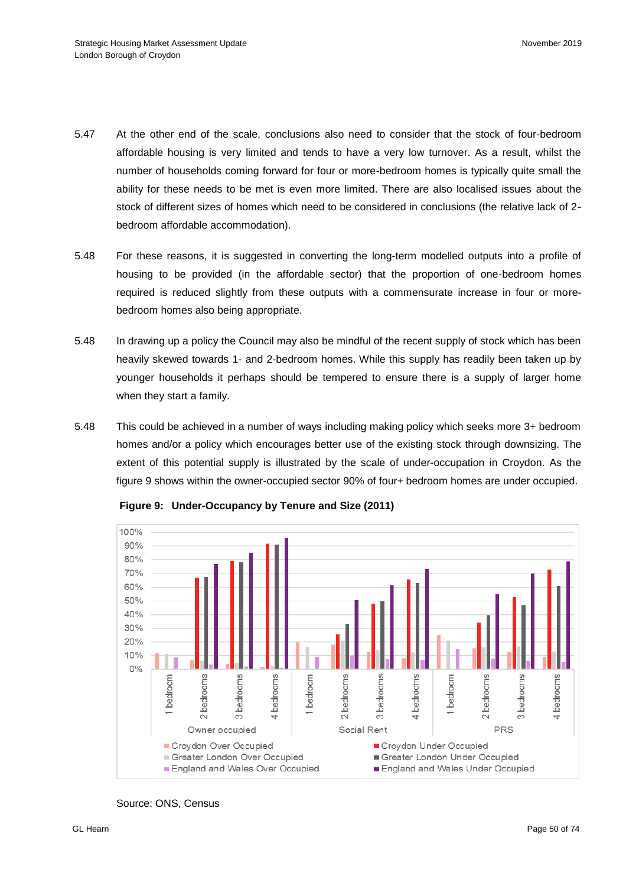- 5.47 At the other end of the scale, conclusions also need to consider that the stock of four-bedroom affordable housing is very limited and tends to have a very low turnover. As a result, whilst the number of households coming forward for four or more-bedroom homes is typically quite small the ability for these needs to be met is even more limited. There are also localised issues about the stock of different sizes of homes which need to be considered in conclusions (the relative lack of 2 bedroom affordable accommodation).
- 5.48 For these reasons, it is suggested in converting the long-term modelled outputs into a profile of housing to be provided (in the affordable sector) that the proportion of one-bedroom homes required is reduced slightly from these outputs with a commensurate increase in four or morebedroom homes also being appropriate.
- 5.48 In drawing up a policy the Council may also be mindful of the recent supply of stock which has been heavily skewed towards 1- and 2-bedroom homes. While this supply has readily been taken up by younger households it perhaps should be tempered to ensure there is a supply of larger home when they start a family.
- 5.48 This could be achieved in a number of ways including making policy which seeks more 3+ bedroom homes and/or a policy which encourages better use of the existing stock through downsizing. The extent of this potential supply is illustrated by the scale of under-occupation in Croydon. As the figure 9 shows within the owner-occupied sector 90% of four+ bedroom homes are under occupied.



**Figure 9: Under-Occupancy by Tenure and Size (2011)**

Source: ONS, Census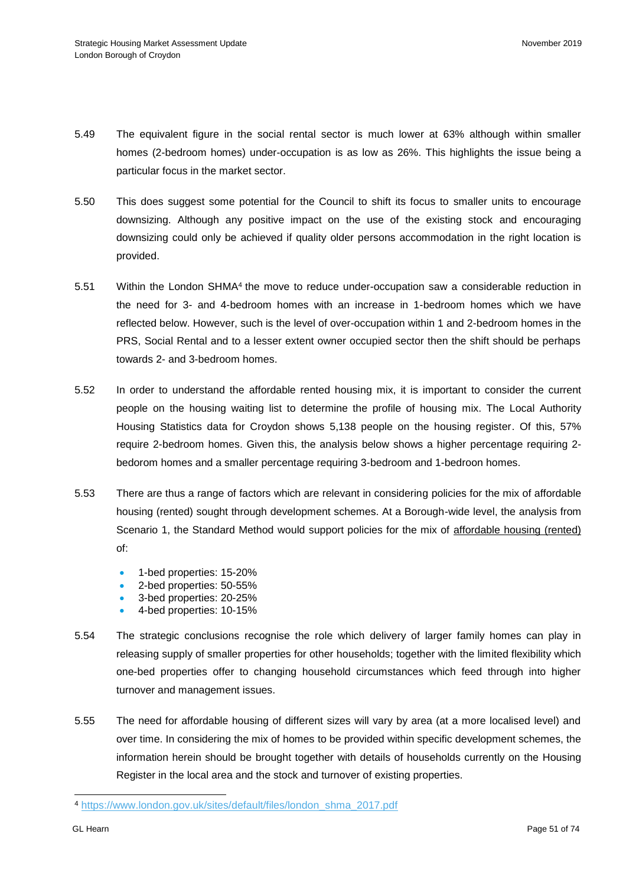- 5.49 The equivalent figure in the social rental sector is much lower at 63% although within smaller homes (2-bedroom homes) under-occupation is as low as 26%. This highlights the issue being a particular focus in the market sector.
- 5.50 This does suggest some potential for the Council to shift its focus to smaller units to encourage downsizing. Although any positive impact on the use of the existing stock and encouraging downsizing could only be achieved if quality older persons accommodation in the right location is provided.
- 5.51 Within the London SHMA<sup>4</sup> the move to reduce under-occupation saw a considerable reduction in the need for 3- and 4-bedroom homes with an increase in 1-bedroom homes which we have reflected below. However, such is the level of over-occupation within 1 and 2-bedroom homes in the PRS, Social Rental and to a lesser extent owner occupied sector then the shift should be perhaps towards 2- and 3-bedroom homes.
- 5.52 In order to understand the affordable rented housing mix, it is important to consider the current people on the housing waiting list to determine the profile of housing mix. The Local Authority Housing Statistics data for Croydon shows 5,138 people on the housing register. Of this, 57% require 2-bedroom homes. Given this, the analysis below shows a higher percentage requiring 2 bedorom homes and a smaller percentage requiring 3-bedroom and 1-bedroon homes.
- 5.53 There are thus a range of factors which are relevant in considering policies for the mix of affordable housing (rented) sought through development schemes. At a Borough-wide level, the analysis from Scenario 1, the Standard Method would support policies for the mix of affordable housing (rented) of:
	- 1-bed properties: 15-20%
	- 2-bed properties: 50-55%
	- 3-bed properties: 20-25%
	- 4-bed properties: 10-15%
- 5.54 The strategic conclusions recognise the role which delivery of larger family homes can play in releasing supply of smaller properties for other households; together with the limited flexibility which one-bed properties offer to changing household circumstances which feed through into higher turnover and management issues.
- 5.55 The need for affordable housing of different sizes will vary by area (at a more localised level) and over time. In considering the mix of homes to be provided within specific development schemes, the information herein should be brought together with details of households currently on the Housing Register in the local area and the stock and turnover of existing properties.

l

<sup>4</sup> [https://www.london.gov.uk/sites/default/files/london\\_shma\\_2017.pdf](https://www.london.gov.uk/sites/default/files/london_shma_2017.pdf)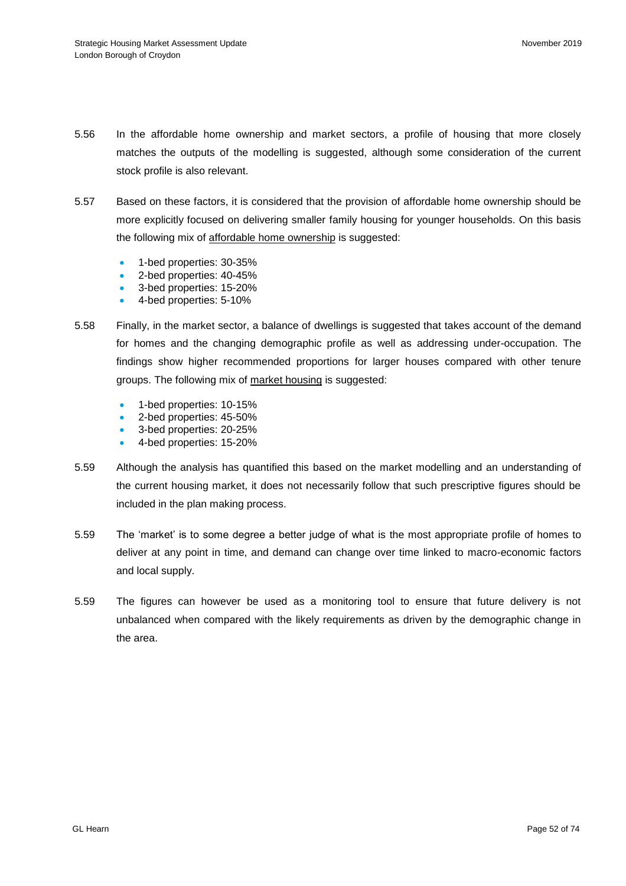- 5.56 In the affordable home ownership and market sectors, a profile of housing that more closely matches the outputs of the modelling is suggested, although some consideration of the current stock profile is also relevant.
- 5.57 Based on these factors, it is considered that the provision of affordable home ownership should be more explicitly focused on delivering smaller family housing for younger households. On this basis the following mix of affordable home ownership is suggested:
	- 1-bed properties: 30-35%
	- 2-bed properties: 40-45%
	- 3-bed properties: 15-20%
	- 4-bed properties: 5-10%
- 5.58 Finally, in the market sector, a balance of dwellings is suggested that takes account of the demand for homes and the changing demographic profile as well as addressing under-occupation. The findings show higher recommended proportions for larger houses compared with other tenure groups. The following mix of market housing is suggested:
	- 1-bed properties: 10-15%
	- 2-bed properties: 45-50%
	- 3-bed properties: 20-25%
	- 4-bed properties: 15-20%
- 5.59 Although the analysis has quantified this based on the market modelling and an understanding of the current housing market, it does not necessarily follow that such prescriptive figures should be included in the plan making process.
- 5.59 The 'market' is to some degree a better judge of what is the most appropriate profile of homes to deliver at any point in time, and demand can change over time linked to macro-economic factors and local supply.
- 5.59 The figures can however be used as a monitoring tool to ensure that future delivery is not unbalanced when compared with the likely requirements as driven by the demographic change in the area.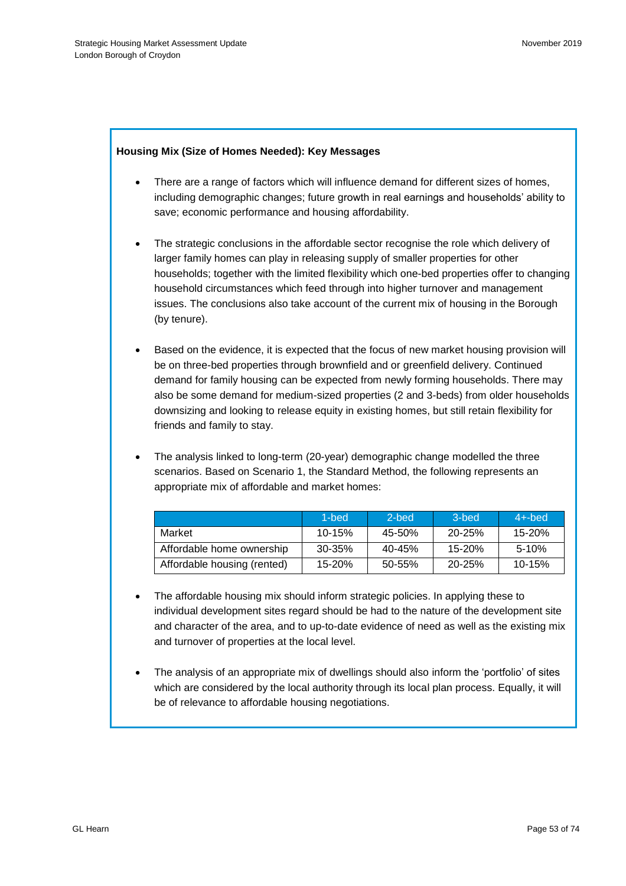## **Housing Mix (Size of Homes Needed): Key Messages**

- There are a range of factors which will influence demand for different sizes of homes, including demographic changes; future growth in real earnings and households' ability to save; economic performance and housing affordability.
- The strategic conclusions in the affordable sector recognise the role which delivery of larger family homes can play in releasing supply of smaller properties for other households; together with the limited flexibility which one-bed properties offer to changing household circumstances which feed through into higher turnover and management issues. The conclusions also take account of the current mix of housing in the Borough (by tenure).
- Based on the evidence, it is expected that the focus of new market housing provision will be on three-bed properties through brownfield and or greenfield delivery. Continued demand for family housing can be expected from newly forming households. There may also be some demand for medium-sized properties (2 and 3-beds) from older households downsizing and looking to release equity in existing homes, but still retain flexibility for friends and family to stay.
- The analysis linked to long-term (20-year) demographic change modelled the three scenarios. Based on Scenario 1, the Standard Method, the following represents an appropriate mix of affordable and market homes:

|                             | 1-bed      | 2-bed      | 3-bed      | $4+$ -bed  |
|-----------------------------|------------|------------|------------|------------|
| Market                      | $10 - 15%$ | 45-50%     | $20 - 25%$ | 15-20%     |
| Affordable home ownership   | 30-35%     | $40 - 45%$ | $15 - 20%$ | $5-10%$    |
| Affordable housing (rented) | $15 - 20%$ | $50 - 55%$ | $20 - 25%$ | $10 - 15%$ |

- The affordable housing mix should inform strategic policies. In applying these to individual development sites regard should be had to the nature of the development site and character of the area, and to up-to-date evidence of need as well as the existing mix and turnover of properties at the local level.
- The analysis of an appropriate mix of dwellings should also inform the 'portfolio' of sites which are considered by the local authority through its local plan process. Equally, it will be of relevance to affordable housing negotiations.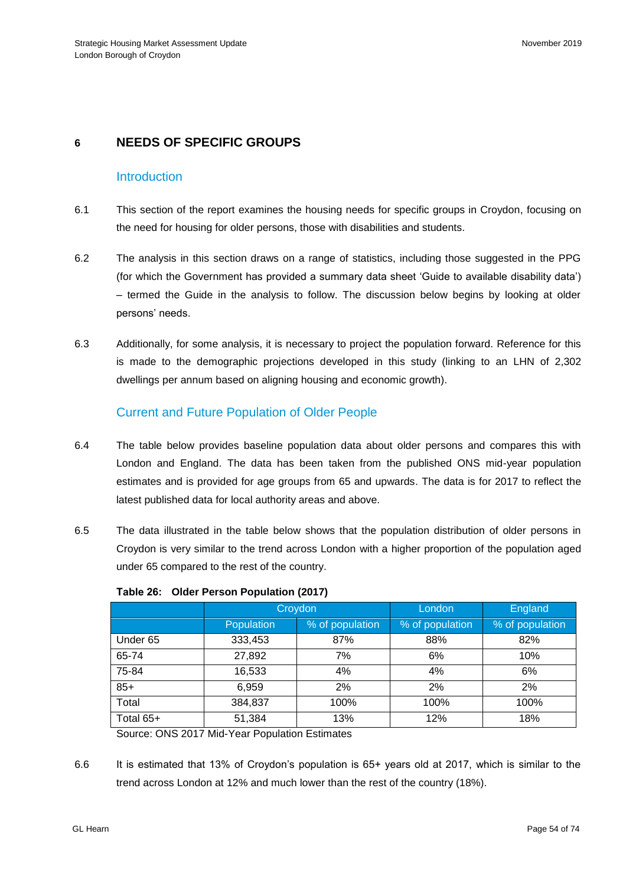# **6 NEEDS OF SPECIFIC GROUPS**

## **Introduction**

- 6.1 This section of the report examines the housing needs for specific groups in Croydon, focusing on the need for housing for older persons, those with disabilities and students.
- 6.2 The analysis in this section draws on a range of statistics, including those suggested in the PPG (for which the Government has provided a summary data sheet 'Guide to available disability data') – termed the Guide in the analysis to follow. The discussion below begins by looking at older persons' needs.
- 6.3 Additionally, for some analysis, it is necessary to project the population forward. Reference for this is made to the demographic projections developed in this study (linking to an LHN of 2,302 dwellings per annum based on aligning housing and economic growth).

# Current and Future Population of Older People

- 6.4 The table below provides baseline population data about older persons and compares this with London and England. The data has been taken from the published ONS mid-year population estimates and is provided for age groups from 65 and upwards. The data is for 2017 to reflect the latest published data for local authority areas and above.
- 6.5 The data illustrated in the table below shows that the population distribution of older persons in Croydon is very similar to the trend across London with a higher proportion of the population aged under 65 compared to the rest of the country.

|           | Croydon           |                 | London          | <b>England</b>  |
|-----------|-------------------|-----------------|-----------------|-----------------|
|           | <b>Population</b> | % of population | % of population | % of population |
| Under 65  | 333,453           | 87%             | 88%             | 82%             |
| 65-74     | 27,892            | 7%              | 6%              | 10%             |
| 75-84     | 16,533            | 4%              | 4%              | 6%              |
| $85+$     | 6,959             | 2%              | 2%              | 2%              |
| Total     | 384,837           | 100%            | 100%            | 100%            |
| Total 65+ | 51,384            | 13%             | 12%             | 18%             |

|  |  |  | Table 26: Older Person Population (2017) |  |
|--|--|--|------------------------------------------|--|
|--|--|--|------------------------------------------|--|

Source: ONS 2017 Mid-Year Population Estimates

6.6 It is estimated that 13% of Croydon's population is 65+ years old at 2017, which is similar to the trend across London at 12% and much lower than the rest of the country (18%).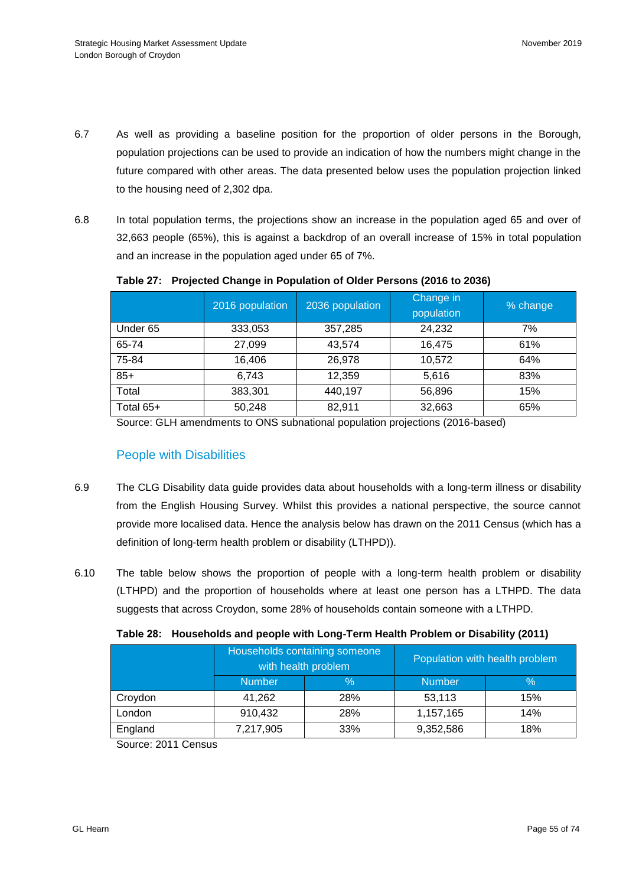- 6.7 As well as providing a baseline position for the proportion of older persons in the Borough, population projections can be used to provide an indication of how the numbers might change in the future compared with other areas. The data presented below uses the population projection linked to the housing need of 2,302 dpa.
- 6.8 In total population terms, the projections show an increase in the population aged 65 and over of 32,663 people (65%), this is against a backdrop of an overall increase of 15% in total population and an increase in the population aged under 65 of 7%.

|           | 2016 population | 2036 population | Change in<br>population | % change |
|-----------|-----------------|-----------------|-------------------------|----------|
| Under 65  | 333,053         | 357,285         | 24,232                  | 7%       |
| 65-74     | 27,099          | 43,574          | 16,475                  | 61%      |
| 75-84     | 16,406          | 26,978          | 10,572                  | 64%      |
| $85+$     | 6,743           | 12,359          | 5,616                   | 83%      |
| Total     | 383,301         | 440,197         | 56,896                  | 15%      |
| Total 65+ | 50,248          | 82,911          | 32,663                  | 65%      |

### **Table 27: Projected Change in Population of Older Persons (2016 to 2036)**

Source: GLH amendments to ONS subnational population projections (2016-based)

## People with Disabilities

- 6.9 The CLG Disability data guide provides data about households with a long-term illness or disability from the English Housing Survey. Whilst this provides a national perspective, the source cannot provide more localised data. Hence the analysis below has drawn on the 2011 Census (which has a definition of long-term health problem or disability (LTHPD)).
- 6.10 The table below shows the proportion of people with a long-term health problem or disability (LTHPD) and the proportion of households where at least one person has a LTHPD. The data suggests that across Croydon, some 28% of households contain someone with a LTHPD.

|  | Table 28: Households and people with Long-Term Health Problem or Disability (2011) |  |  |  |  |  |
|--|------------------------------------------------------------------------------------|--|--|--|--|--|
|--|------------------------------------------------------------------------------------|--|--|--|--|--|

|         | Households containing someone<br>with health problem |      | Population with health problem |      |
|---------|------------------------------------------------------|------|--------------------------------|------|
|         | <b>Number</b>                                        | $\%$ | <b>Number</b>                  | $\%$ |
| Croydon | 41,262                                               | 28%  | 53,113                         | 15%  |
| London  | 910,432                                              | 28%  | 1,157,165                      | 14%  |
| England | 7,217,905                                            | 33%  | 9,352,586                      | 18%  |

Source: 2011 Census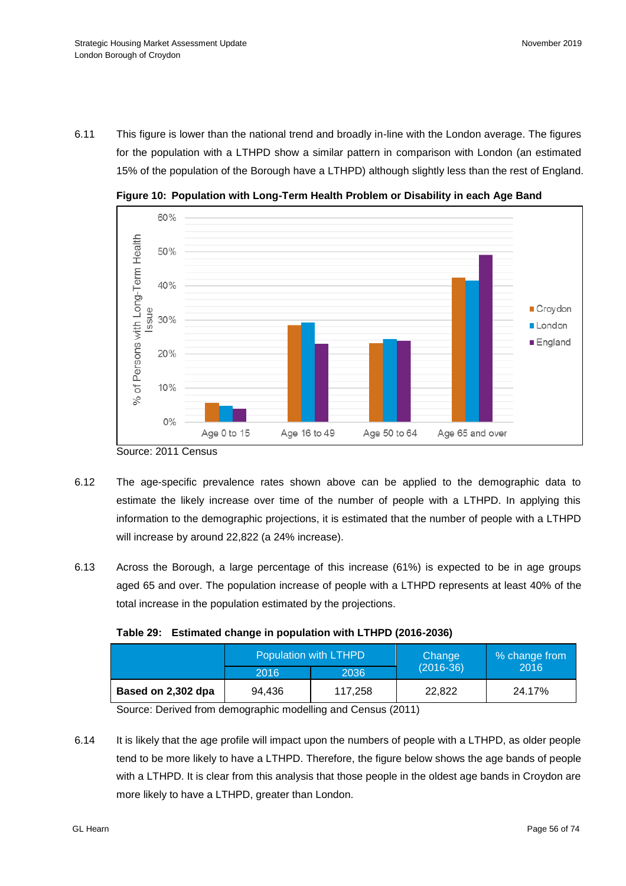6.11 This figure is lower than the national trend and broadly in-line with the London average. The figures for the population with a LTHPD show a similar pattern in comparison with London (an estimated 15% of the population of the Borough have a LTHPD) although slightly less than the rest of England.



**Figure 10: Population with Long-Term Health Problem or Disability in each Age Band**

- 6.12 The age-specific prevalence rates shown above can be applied to the demographic data to estimate the likely increase over time of the number of people with a LTHPD. In applying this information to the demographic projections, it is estimated that the number of people with a LTHPD will increase by around 22,822 (a 24% increase).
- 6.13 Across the Borough, a large percentage of this increase (61%) is expected to be in age groups aged 65 and over. The population increase of people with a LTHPD represents at least 40% of the total increase in the population estimated by the projections.

| Table 29: Estimated change in population with LTHPD (2016-2036) |  |
|-----------------------------------------------------------------|--|
|                                                                 |  |

|                    |        | Population with LTHPD | Change      | % change from |  |
|--------------------|--------|-----------------------|-------------|---------------|--|
|                    | 2016   | 2036                  | $(2016-36)$ | 2016          |  |
| Based on 2,302 dpa | 94.436 | 117.258               | 22.822      | 24.17%        |  |

Source: Derived from demographic modelling and Census (2011)

6.14 It is likely that the age profile will impact upon the numbers of people with a LTHPD, as older people tend to be more likely to have a LTHPD. Therefore, the figure below shows the age bands of people with a LTHPD. It is clear from this analysis that those people in the oldest age bands in Croydon are more likely to have a LTHPD, greater than London.

Source: 2011 Census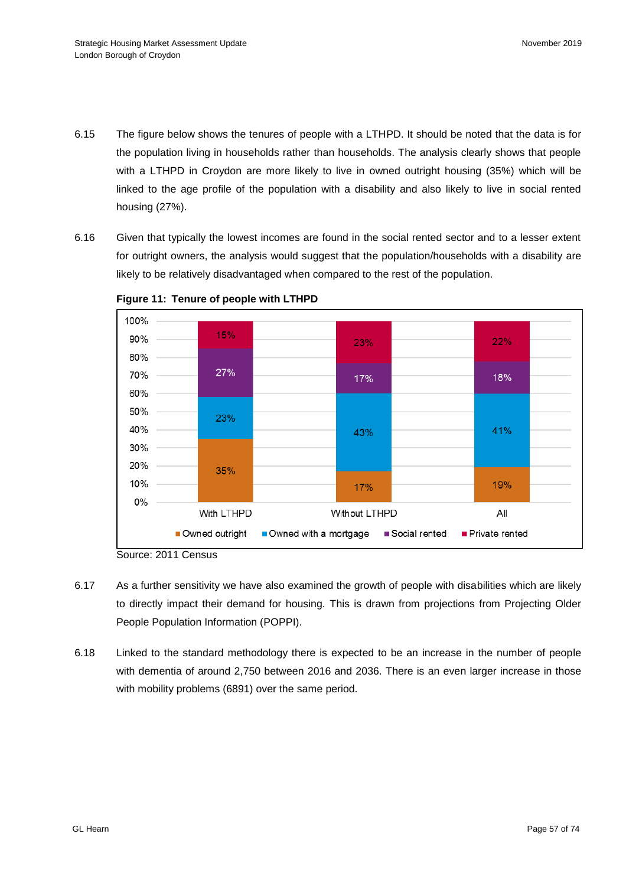- 6.15 The figure below shows the tenures of people with a LTHPD. It should be noted that the data is for the population living in households rather than households. The analysis clearly shows that people with a LTHPD in Croydon are more likely to live in owned outright housing (35%) which will be linked to the age profile of the population with a disability and also likely to live in social rented housing (27%).
- 6.16 Given that typically the lowest incomes are found in the social rented sector and to a lesser extent for outright owners, the analysis would suggest that the population/households with a disability are likely to be relatively disadvantaged when compared to the rest of the population.



**Figure 11: Tenure of people with LTHPD**

- 6.17 As a further sensitivity we have also examined the growth of people with disabilities which are likely to directly impact their demand for housing. This is drawn from projections from Projecting Older People Population Information (POPPI).
- 6.18 Linked to the standard methodology there is expected to be an increase in the number of people with dementia of around 2,750 between 2016 and 2036. There is an even larger increase in those with mobility problems (6891) over the same period.

Source: 2011 Census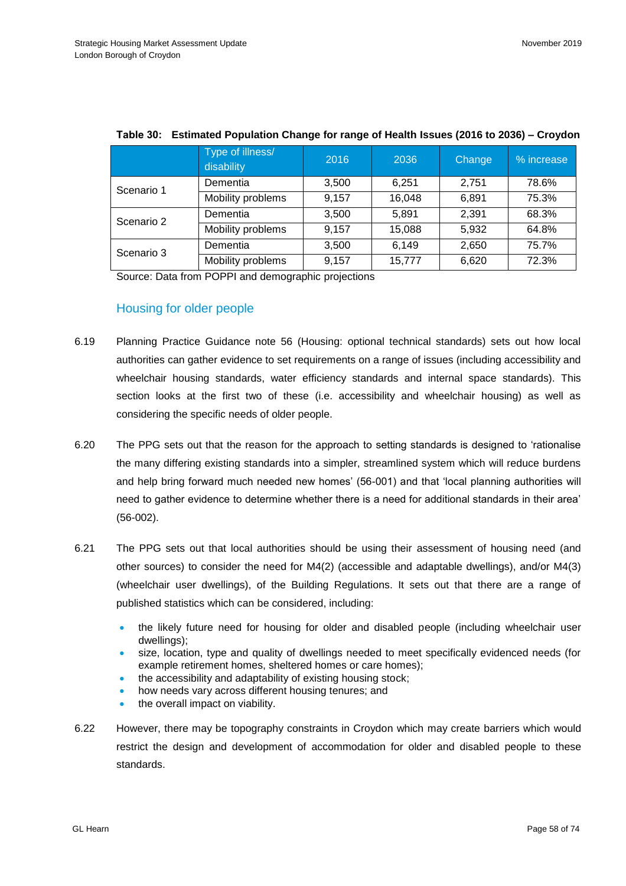|            | Type of illness/<br>disability | 2016  | 2036   | Change | % increase |
|------------|--------------------------------|-------|--------|--------|------------|
| Scenario 1 | Dementia                       | 3,500 | 6.251  | 2.751  | 78.6%      |
|            | Mobility problems              | 9,157 | 16,048 | 6,891  | 75.3%      |
| Scenario 2 | Dementia                       | 3,500 | 5,891  | 2,391  | 68.3%      |
|            | Mobility problems              | 9,157 | 15,088 | 5,932  | 64.8%      |
| Scenario 3 | Dementia                       | 3,500 | 6,149  | 2,650  | 75.7%      |
|            | Mobility problems              | 9,157 | 15,777 | 6,620  | 72.3%      |

## **Table 30: Estimated Population Change for range of Health Issues (2016 to 2036) – Croydon**

Source: Data from POPPI and demographic projections

# Housing for older people

- 6.19 Planning Practice Guidance note 56 (Housing: optional technical standards) sets out how local authorities can gather evidence to set requirements on a range of issues (including accessibility and wheelchair housing standards, water efficiency standards and internal space standards). This section looks at the first two of these (i.e. accessibility and wheelchair housing) as well as considering the specific needs of older people.
- 6.20 The PPG sets out that the reason for the approach to setting standards is designed to 'rationalise the many differing existing standards into a simpler, streamlined system which will reduce burdens and help bring forward much needed new homes' (56-001) and that 'local planning authorities will need to gather evidence to determine whether there is a need for additional standards in their area' (56-002).
- 6.21 The PPG sets out that local authorities should be using their assessment of housing need (and other sources) to consider the need for M4(2) (accessible and adaptable dwellings), and/or M4(3) (wheelchair user dwellings), of the Building Regulations. It sets out that there are a range of published statistics which can be considered, including:
	- the likely future need for housing for older and disabled people (including wheelchair user dwellings);
	- size, location, type and quality of dwellings needed to meet specifically evidenced needs (for example retirement homes, sheltered homes or care homes);
	- the accessibility and adaptability of existing housing stock;
	- how needs vary across different housing tenures; and
	- the overall impact on viability.
- 6.22 However, there may be topography constraints in Croydon which may create barriers which would restrict the design and development of accommodation for older and disabled people to these standards.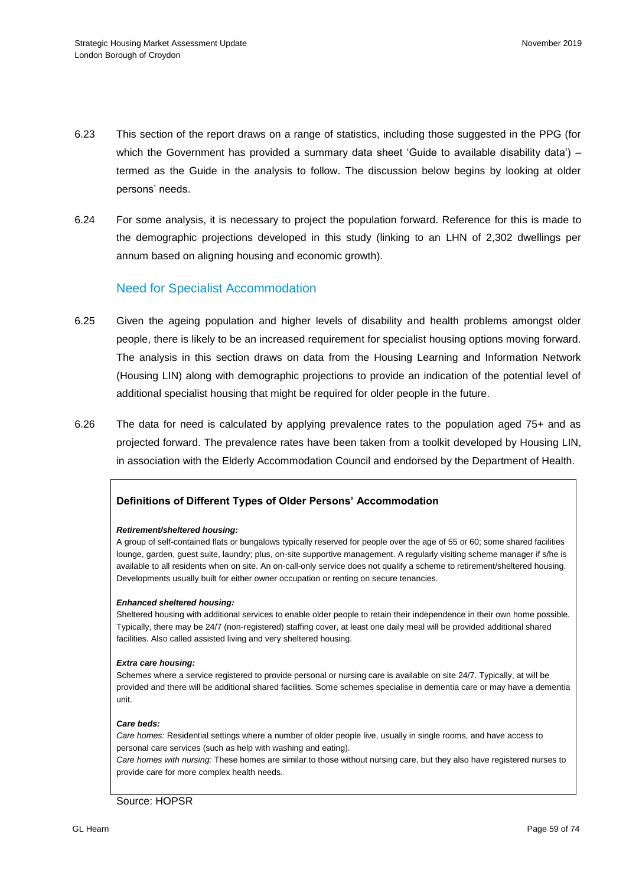- 6.23 This section of the report draws on a range of statistics, including those suggested in the PPG (for which the Government has provided a summary data sheet 'Guide to available disability data') – termed as the Guide in the analysis to follow. The discussion below begins by looking at older persons' needs.
- 6.24 For some analysis, it is necessary to project the population forward. Reference for this is made to the demographic projections developed in this study (linking to an LHN of 2,302 dwellings per annum based on aligning housing and economic growth).

## Need for Specialist Accommodation

- 6.25 Given the ageing population and higher levels of disability and health problems amongst older people, there is likely to be an increased requirement for specialist housing options moving forward. The analysis in this section draws on data from the Housing Learning and Information Network (Housing LIN) along with demographic projections to provide an indication of the potential level of additional specialist housing that might be required for older people in the future.
- 6.26 The data for need is calculated by applying prevalence rates to the population aged 75+ and as projected forward. The prevalence rates have been taken from a toolkit developed by Housing LIN, in association with the Elderly Accommodation Council and endorsed by the Department of Health.

## **Definitions of Different Types of Older Persons' Accommodation**

#### *Retirement/sheltered housing:*

A group of self-contained flats or bungalows typically reserved for people over the age of 55 or 60; some shared facilities lounge, garden, guest suite, laundry; plus, on-site supportive management. A regularly visiting scheme manager if s/he is available to all residents when on site. An on-call-only service does not qualify a scheme to retirement/sheltered housing. Developments usually built for either owner occupation or renting on secure tenancies.

#### *Enhanced sheltered housing:*

Sheltered housing with additional services to enable older people to retain their independence in their own home possible. Typically, there may be 24/7 (non-registered) staffing cover, at least one daily meal will be provided additional shared facilities. Also called assisted living and very sheltered housing.

#### *Extra care housing:*

Schemes where a service registered to provide personal or nursing care is available on site 24/7. Typically, at will be provided and there will be additional shared facilities. Some schemes specialise in dementia care or may have a dementia unit.

#### *Care beds:*

*Care homes:* Residential settings where a number of older people live, usually in single rooms, and have access to personal care services (such as help with washing and eating).

*Care homes with nursing:* These homes are similar to those without nursing care, but they also have registered nurses to provide care for more complex health needs.

#### Source: HOPSR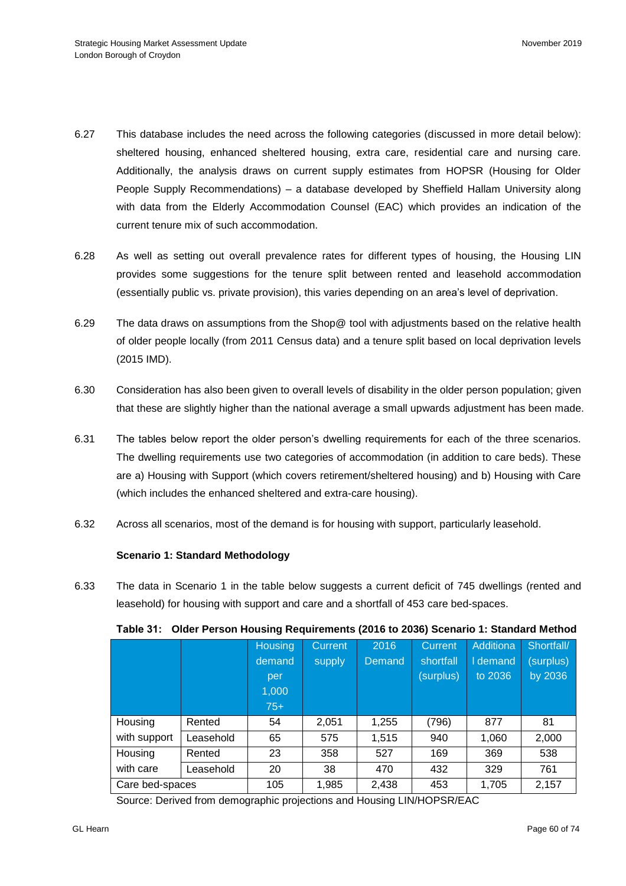- 6.27 This database includes the need across the following categories (discussed in more detail below): sheltered housing, enhanced sheltered housing, extra care, residential care and nursing care. Additionally, the analysis draws on current supply estimates from HOPSR (Housing for Older People Supply Recommendations) – a database developed by Sheffield Hallam University along with data from the Elderly Accommodation Counsel (EAC) which provides an indication of the current tenure mix of such accommodation.
- 6.28 As well as setting out overall prevalence rates for different types of housing, the Housing LIN provides some suggestions for the tenure split between rented and leasehold accommodation (essentially public vs. private provision), this varies depending on an area's level of deprivation.
- 6.29 The data draws on assumptions from the Shop@ tool with adjustments based on the relative health of older people locally (from 2011 Census data) and a tenure split based on local deprivation levels (2015 IMD).
- 6.30 Consideration has also been given to overall levels of disability in the older person population; given that these are slightly higher than the national average a small upwards adjustment has been made.
- 6.31 The tables below report the older person's dwelling requirements for each of the three scenarios. The dwelling requirements use two categories of accommodation (in addition to care beds). These are a) Housing with Support (which covers retirement/sheltered housing) and b) Housing with Care (which includes the enhanced sheltered and extra-care housing).
- 6.32 Across all scenarios, most of the demand is for housing with support, particularly leasehold.

## **Scenario 1: Standard Methodology**

6.33 The data in Scenario 1 in the table below suggests a current deficit of 745 dwellings (rented and leasehold) for housing with support and care and a shortfall of 453 care bed-spaces.

|                 |           | <b>Housing</b><br>demand<br>per<br>1,000<br>$75+$ | Current<br>supply | 2016<br>Demand | <b>Current</b><br>shortfall<br>(surplus) | Additiona<br>I demand<br>to 2036 | Shortfall/<br>(surplus)<br>by 2036 |
|-----------------|-----------|---------------------------------------------------|-------------------|----------------|------------------------------------------|----------------------------------|------------------------------------|
| Housing         | Rented    | 54                                                | 2,051             | 1,255          | (796)                                    | 877                              | 81                                 |
| with support    | Leasehold | 65                                                | 575               | 1,515          | 940                                      | 1,060                            | 2,000                              |
| Housing         | Rented    | 23                                                | 358               | 527            | 169                                      | 369                              | 538                                |
| with care       | Leasehold | 20                                                | 38                | 470            | 432                                      | 329                              | 761                                |
| Care bed-spaces |           | 105                                               | 1,985             | 2,438          | 453                                      | 1,705                            | 2,157                              |

**Table 31: Older Person Housing Requirements (2016 to 2036) Scenario 1: Standard Method** 

Source: Derived from demographic projections and Housing LIN/HOPSR/EAC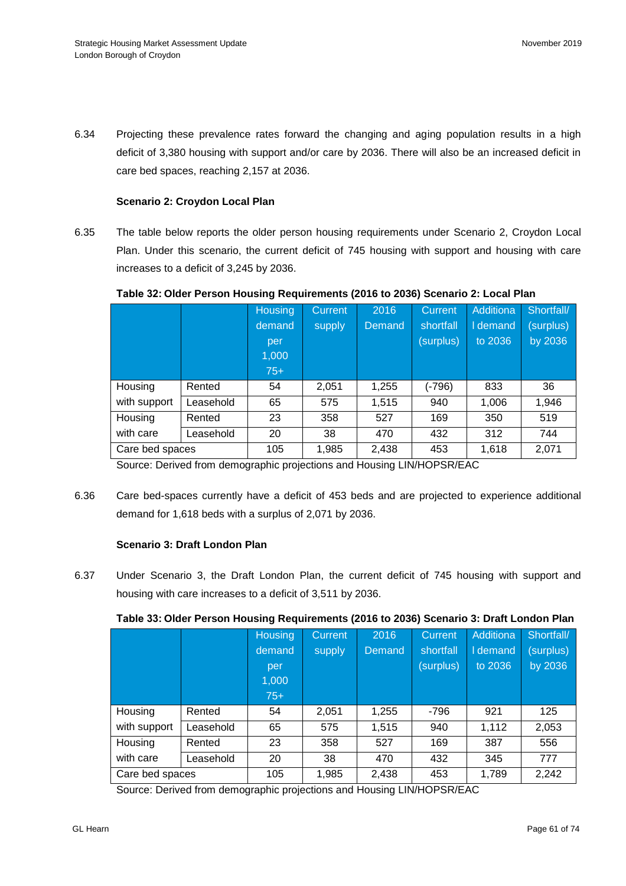6.34 Projecting these prevalence rates forward the changing and aging population results in a high deficit of 3,380 housing with support and/or care by 2036. There will also be an increased deficit in care bed spaces, reaching 2,157 at 2036.

## **Scenario 2: Croydon Local Plan**

6.35 The table below reports the older person housing requirements under Scenario 2, Croydon Local Plan. Under this scenario, the current deficit of 745 housing with support and housing with care increases to a deficit of 3,245 by 2036.

|                 |           | <b>Housing</b> | Current | 2016   | Current   | Additiona | Shortfall/ |
|-----------------|-----------|----------------|---------|--------|-----------|-----------|------------|
|                 |           | demand         | supply  | Demand | shortfall | I demand  | (surplus)  |
|                 |           | per            |         |        | (surplus) | to 2036   | by 2036    |
|                 |           | 1,000          |         |        |           |           |            |
|                 |           | $75+$          |         |        |           |           |            |
| Housing         | Rented    | 54             | 2,051   | 1,255  | (-796)    | 833       | 36         |
| with support    | Leasehold | 65             | 575     | 1,515  | 940       | 1,006     | 1,946      |
| Housing         | Rented    | 23             | 358     | 527    | 169       | 350       | 519        |
| with care       | Leasehold | 20             | 38      | 470    | 432       | 312       | 744        |
| Care bed spaces |           | 105            | 1,985   | 2,438  | 453       | 1,618     | 2,071      |

### **Table 32: Older Person Housing Requirements (2016 to 2036) Scenario 2: Local Plan**

Source: Derived from demographic projections and Housing LIN/HOPSR/EAC

6.36 Care bed-spaces currently have a deficit of 453 beds and are projected to experience additional demand for 1,618 beds with a surplus of 2,071 by 2036.

## **Scenario 3: Draft London Plan**

6.37 Under Scenario 3, the Draft London Plan, the current deficit of 745 housing with support and housing with care increases to a deficit of 3,511 by 2036.

## **Table 33: Older Person Housing Requirements (2016 to 2036) Scenario 3: Draft London Plan**

|                 |           | <b>Housing</b> | Current | 2016   | Current   | Additiona | Shortfall/ |
|-----------------|-----------|----------------|---------|--------|-----------|-----------|------------|
|                 |           | demand         | supply  | Demand | shortfall | I demand  | (surplus)  |
|                 |           | per            |         |        | (surplus) | to 2036   | by 2036    |
|                 |           | 1,000          |         |        |           |           |            |
|                 |           | $75+$          |         |        |           |           |            |
| Housing         | Rented    | 54             | 2,051   | 1,255  | $-796$    | 921       | 125        |
| with support    | Leasehold | 65             | 575     | 1,515  | 940       | 1,112     | 2,053      |
| Housing         | Rented    | 23             | 358     | 527    | 169       | 387       | 556        |
| with care       | Leasehold | 20             | 38      | 470    | 432       | 345       | 777        |
| Care bed spaces |           | 105            | 1,985   | 2,438  | 453       | 1,789     | 2,242      |

Source: Derived from demographic projections and Housing LIN/HOPSR/EAC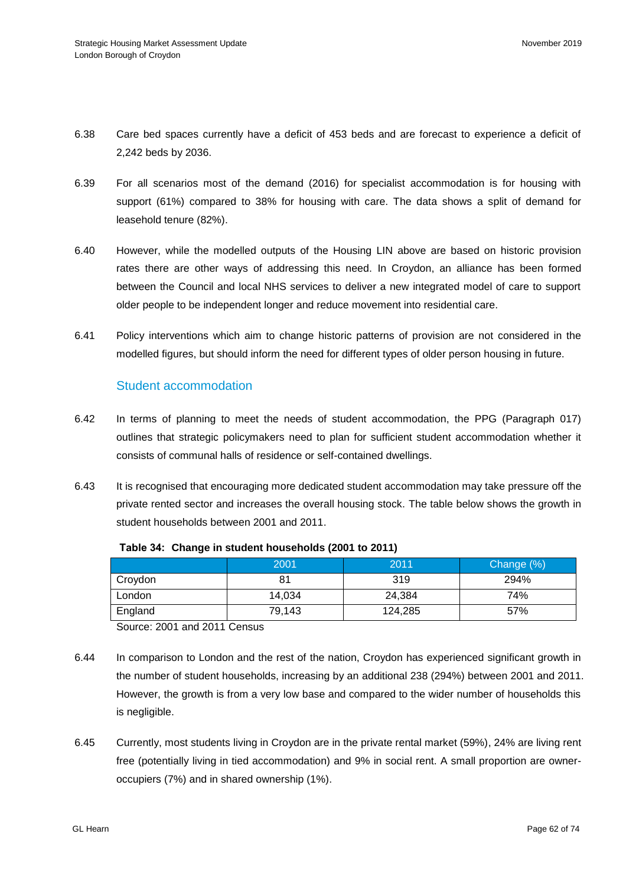- 6.38 Care bed spaces currently have a deficit of 453 beds and are forecast to experience a deficit of 2,242 beds by 2036.
- 6.39 For all scenarios most of the demand (2016) for specialist accommodation is for housing with support (61%) compared to 38% for housing with care. The data shows a split of demand for leasehold tenure (82%).
- 6.40 However, while the modelled outputs of the Housing LIN above are based on historic provision rates there are other ways of addressing this need. In Croydon, an alliance has been formed between the Council and local NHS services to deliver a new integrated model of care to support older people to be independent longer and reduce movement into residential care.
- 6.41 Policy interventions which aim to change historic patterns of provision are not considered in the modelled figures, but should inform the need for different types of older person housing in future.

# Student accommodation

- 6.42 In terms of planning to meet the needs of student accommodation, the PPG (Paragraph 017) outlines that strategic policymakers need to plan for sufficient student accommodation whether it consists of communal halls of residence or self-contained dwellings.
- 6.43 It is recognised that encouraging more dedicated student accommodation may take pressure off the private rented sector and increases the overall housing stock. The table below shows the growth in student households between 2001 and 2011.

|                         | 2001   | 2011    | Change (%) |  |  |
|-------------------------|--------|---------|------------|--|--|
| Croydon                 | 81     | 319     | 294%       |  |  |
| London                  | 14.034 | 24.384  | 74%        |  |  |
| England                 | 79,143 | 124.285 | 57%        |  |  |
| .<br>$\sim$<br>$\cdots$ |        |         |            |  |  |

**Table 34: Change in student households (2001 to 2011)**

Source: 2001 and 2011 Census

- 6.44 In comparison to London and the rest of the nation, Croydon has experienced significant growth in the number of student households, increasing by an additional 238 (294%) between 2001 and 2011. However, the growth is from a very low base and compared to the wider number of households this is negligible.
- 6.45 Currently, most students living in Croydon are in the private rental market (59%), 24% are living rent free (potentially living in tied accommodation) and 9% in social rent. A small proportion are owneroccupiers (7%) and in shared ownership (1%).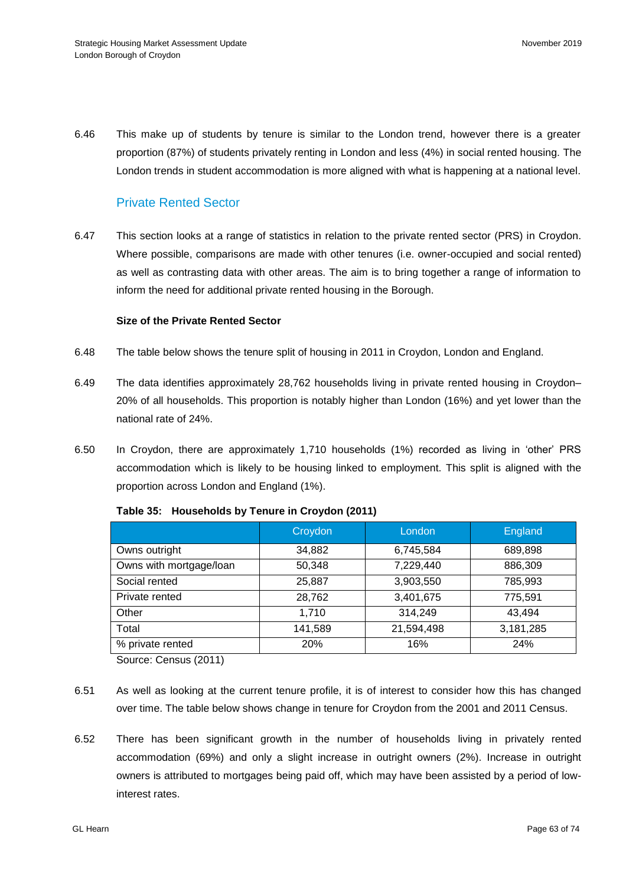6.46 This make up of students by tenure is similar to the London trend, however there is a greater proportion (87%) of students privately renting in London and less (4%) in social rented housing. The London trends in student accommodation is more aligned with what is happening at a national level.

## Private Rented Sector

6.47 This section looks at a range of statistics in relation to the private rented sector (PRS) in Croydon. Where possible, comparisons are made with other tenures (i.e. owner-occupied and social rented) as well as contrasting data with other areas. The aim is to bring together a range of information to inform the need for additional private rented housing in the Borough.

### **Size of the Private Rented Sector**

- 6.48 The table below shows the tenure split of housing in 2011 in Croydon, London and England.
- 6.49 The data identifies approximately 28,762 households living in private rented housing in Croydon– 20% of all households. This proportion is notably higher than London (16%) and yet lower than the national rate of 24%.
- 6.50 In Croydon, there are approximately 1,710 households (1%) recorded as living in 'other' PRS accommodation which is likely to be housing linked to employment. This split is aligned with the proportion across London and England (1%).

|                                    | Croydon | London     | England   |
|------------------------------------|---------|------------|-----------|
| Owns outright                      | 34,882  | 6,745,584  | 689,898   |
| Owns with mortgage/loan            | 50,348  | 7,229,440  | 886,309   |
| Social rented                      | 25,887  | 3,903,550  | 785,993   |
| Private rented                     | 28,762  | 3,401,675  | 775,591   |
| Other                              | 1,710   | 314,249    | 43,494    |
| Total                              | 141,589 | 21,594,498 | 3,181,285 |
| % private rented                   | 20%     | 16%        | 24%       |
| $\sim$ $\sim$ $\sim$ $\sim$ $\sim$ |         |            |           |

#### **Table 35: Households by Tenure in Croydon (2011)**

Source: Census (2011)

- 6.51 As well as looking at the current tenure profile, it is of interest to consider how this has changed over time. The table below shows change in tenure for Croydon from the 2001 and 2011 Census.
- 6.52 There has been significant growth in the number of households living in privately rented accommodation (69%) and only a slight increase in outright owners (2%). Increase in outright owners is attributed to mortgages being paid off, which may have been assisted by a period of lowinterest rates.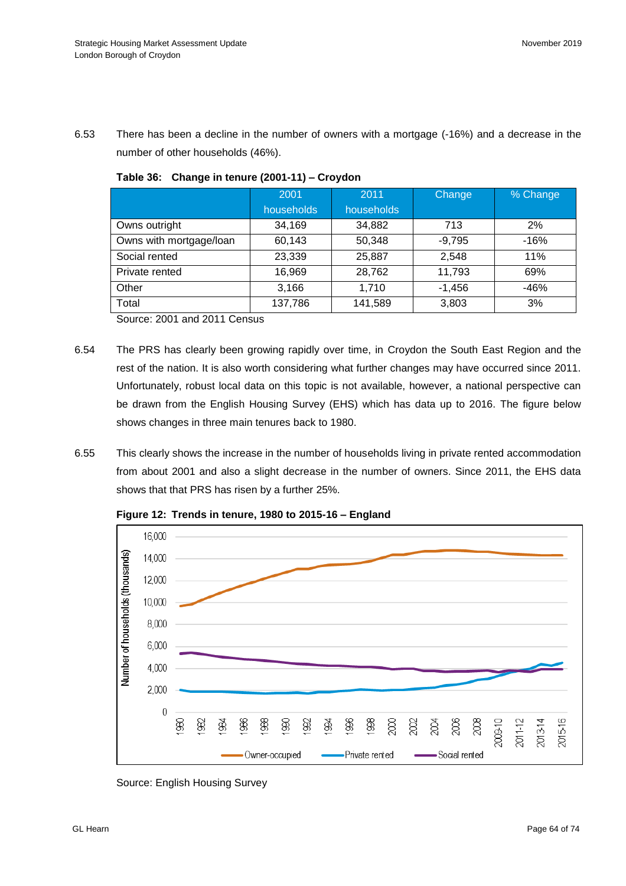6.53 There has been a decline in the number of owners with a mortgage (-16%) and a decrease in the number of other households (46%).

|                         | 2001<br>households | 2011<br>households | Change   | % Change |
|-------------------------|--------------------|--------------------|----------|----------|
| Owns outright           | 34,169             | 34,882             | 713      | 2%       |
| Owns with mortgage/loan | 60,143             | 50,348             | $-9,795$ | -16%     |
| Social rented           | 23,339             | 25,887             | 2,548    | 11%      |
| Private rented          | 16,969             | 28,762             | 11,793   | 69%      |
| Other                   | 3,166              | 1,710              | $-1,456$ | $-46%$   |
| Total                   | 137,786            | 141,589            | 3,803    | 3%       |

**Table 36: Change in tenure (2001-11) – Croydon**

Source: 2001 and 2011 Census

- 6.54 The PRS has clearly been growing rapidly over time, in Croydon the South East Region and the rest of the nation. It is also worth considering what further changes may have occurred since 2011. Unfortunately, robust local data on this topic is not available, however, a national perspective can be drawn from the English Housing Survey (EHS) which has data up to 2016. The figure below shows changes in three main tenures back to 1980.
- 6.55 This clearly shows the increase in the number of households living in private rented accommodation from about 2001 and also a slight decrease in the number of owners. Since 2011, the EHS data shows that that PRS has risen by a further 25%.



**Figure 12: Trends in tenure, 1980 to 2015-16 – England**

Source: English Housing Survey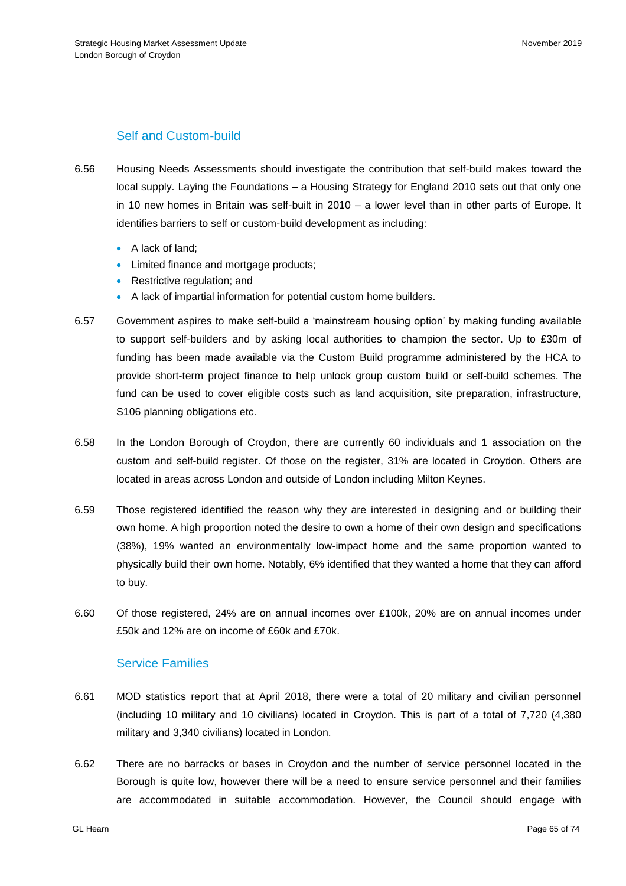# Self and Custom-build

- 6.56 Housing Needs Assessments should investigate the contribution that self-build makes toward the local supply. Laying the Foundations – a Housing Strategy for England 2010 sets out that only one in 10 new homes in Britain was self-built in 2010 – a lower level than in other parts of Europe. It identifies barriers to self or custom-build development as including:
	- A lack of land;
	- Limited finance and mortgage products;
	- Restrictive regulation; and
	- A lack of impartial information for potential custom home builders.
- 6.57 Government aspires to make self-build a 'mainstream housing option' by making funding available to support self-builders and by asking local authorities to champion the sector. Up to £30m of funding has been made available via the Custom Build programme administered by the HCA to provide short-term project finance to help unlock group custom build or self-build schemes. The fund can be used to cover eligible costs such as land acquisition, site preparation, infrastructure, S106 planning obligations etc.
- 6.58 In the London Borough of Croydon, there are currently 60 individuals and 1 association on the custom and self-build register. Of those on the register, 31% are located in Croydon. Others are located in areas across London and outside of London including Milton Keynes.
- 6.59 Those registered identified the reason why they are interested in designing and or building their own home. A high proportion noted the desire to own a home of their own design and specifications (38%), 19% wanted an environmentally low-impact home and the same proportion wanted to physically build their own home. Notably, 6% identified that they wanted a home that they can afford to buy.
- 6.60 Of those registered, 24% are on annual incomes over £100k, 20% are on annual incomes under £50k and 12% are on income of £60k and £70k.

## Service Families

- 6.61 MOD statistics report that at April 2018, there were a total of 20 military and civilian personnel (including 10 military and 10 civilians) located in Croydon. This is part of a total of 7,720 (4,380 military and 3,340 civilians) located in London.
- 6.62 There are no barracks or bases in Croydon and the number of service personnel located in the Borough is quite low, however there will be a need to ensure service personnel and their families are accommodated in suitable accommodation. However, the Council should engage with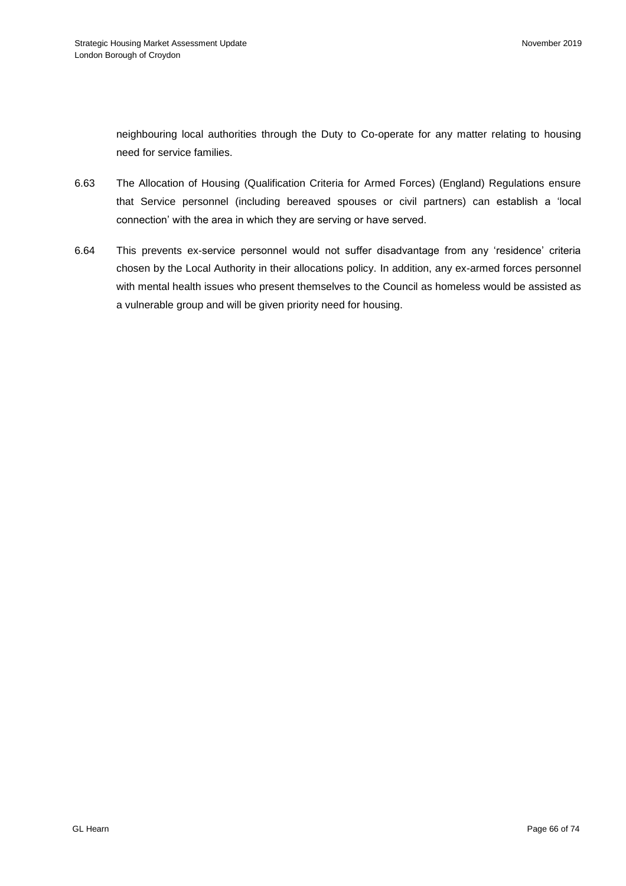neighbouring local authorities through the Duty to Co-operate for any matter relating to housing need for service families.

- 6.63 The Allocation of Housing (Qualification Criteria for Armed Forces) (England) Regulations ensure that Service personnel (including bereaved spouses or civil partners) can establish a 'local connection' with the area in which they are serving or have served.
- 6.64 This prevents ex-service personnel would not suffer disadvantage from any 'residence' criteria chosen by the Local Authority in their allocations policy. In addition, any ex-armed forces personnel with mental health issues who present themselves to the Council as homeless would be assisted as a vulnerable group and will be given priority need for housing.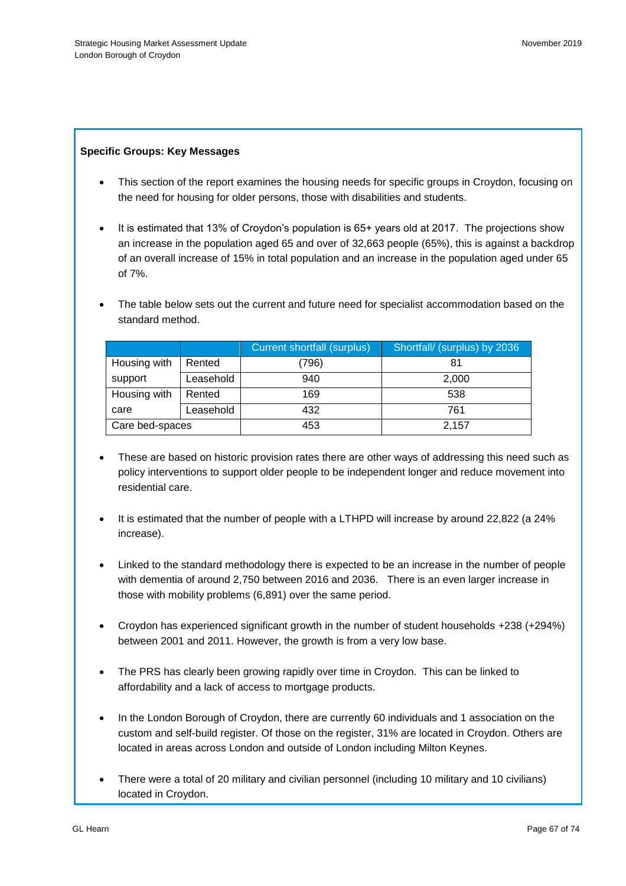## **Specific Groups: Key Messages**

- This section of the report examines the housing needs for specific groups in Croydon, focusing on the need for housing for older persons, those with disabilities and students.
- It is estimated that 13% of Croydon's population is 65+ years old at 2017. The projections show an increase in the population aged 65 and over of 32,663 people (65%), this is against a backdrop of an overall increase of 15% in total population and an increase in the population aged under 65 of 7%.
- The table below sets out the current and future need for specialist accommodation based on the standard method.

|                 |           | <b>Current shortfall (surplus)</b> | Shortfall/ (surplus) by 2036 |
|-----------------|-----------|------------------------------------|------------------------------|
| Housing with    | Rented    | 796)                               |                              |
| support         | Leasehold | 940                                | 2,000                        |
| Housing with    | Rented    | 169                                | 538                          |
| care            | Leasehold | 432                                | 761                          |
| Care bed-spaces |           | 453                                | 2,157                        |

- These are based on historic provision rates there are other ways of addressing this need such as policy interventions to support older people to be independent longer and reduce movement into residential care.
- It is estimated that the number of people with a LTHPD will increase by around 22,822 (a 24% increase).
- Linked to the standard methodology there is expected to be an increase in the number of people with dementia of around 2,750 between 2016 and 2036. There is an even larger increase in those with mobility problems (6,891) over the same period.
- Croydon has experienced significant growth in the number of student households +238 (+294%) between 2001 and 2011. However, the growth is from a very low base.
- The PRS has clearly been growing rapidly over time in Croydon. This can be linked to affordability and a lack of access to mortgage products.
- In the London Borough of Croydon, there are currently 60 individuals and 1 association on the custom and self-build register. Of those on the register, 31% are located in Croydon. Others are located in areas across London and outside of London including Milton Keynes.
- There were a total of 20 military and civilian personnel (including 10 military and 10 civilians) located in Croydon.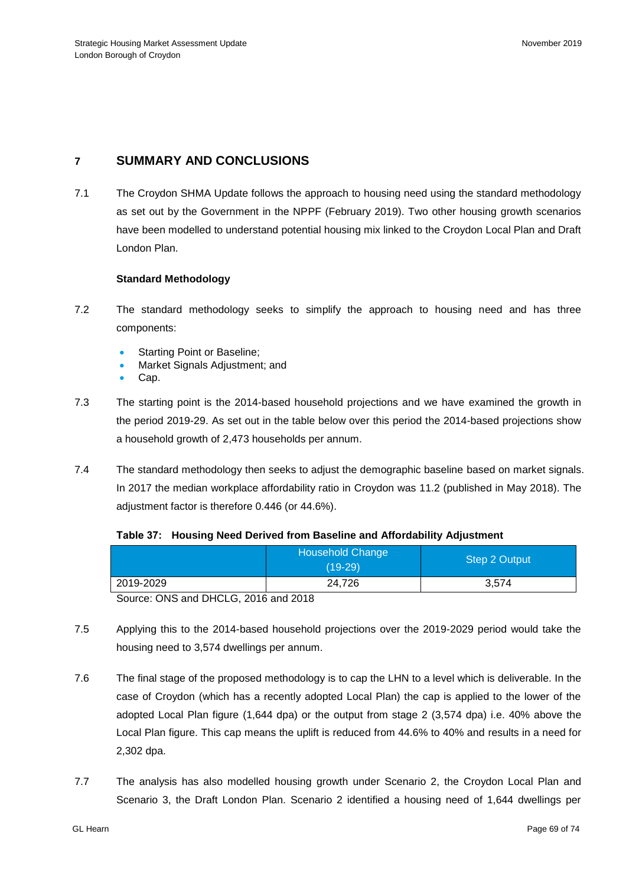# **7 SUMMARY AND CONCLUSIONS**

7.1 The Croydon SHMA Update follows the approach to housing need using the standard methodology as set out by the Government in the NPPF (February 2019). Two other housing growth scenarios have been modelled to understand potential housing mix linked to the Croydon Local Plan and Draft London Plan.

### **Standard Methodology**

- 7.2 The standard methodology seeks to simplify the approach to housing need and has three components:
	- Starting Point or Baseline;
	- Market Signals Adjustment; and
	- Cap.
- 7.3 The starting point is the 2014-based household projections and we have examined the growth in the period 2019-29. As set out in the table below over this period the 2014-based projections show a household growth of 2,473 households per annum.
- 7.4 The standard methodology then seeks to adjust the demographic baseline based on market signals. In 2017 the median workplace affordability ratio in Croydon was 11.2 (published in May 2018). The adjustment factor is therefore 0.446 (or 44.6%).

#### **Table 37: Housing Need Derived from Baseline and Affordability Adjustment**

|           | <b>Household Change</b><br>(19-29) | Step 2 Output |
|-----------|------------------------------------|---------------|
| 2019-2029 | 24.726                             | 3,574         |

Source: ONS and DHCLG, 2016 and 2018

- 7.5 Applying this to the 2014-based household projections over the 2019-2029 period would take the housing need to 3,574 dwellings per annum.
- 7.6 The final stage of the proposed methodology is to cap the LHN to a level which is deliverable. In the case of Croydon (which has a recently adopted Local Plan) the cap is applied to the lower of the adopted Local Plan figure (1,644 dpa) or the output from stage 2 (3,574 dpa) i.e. 40% above the Local Plan figure. This cap means the uplift is reduced from 44.6% to 40% and results in a need for 2,302 dpa.
- 7.7 The analysis has also modelled housing growth under Scenario 2, the Croydon Local Plan and Scenario 3, the Draft London Plan. Scenario 2 identified a housing need of 1,644 dwellings per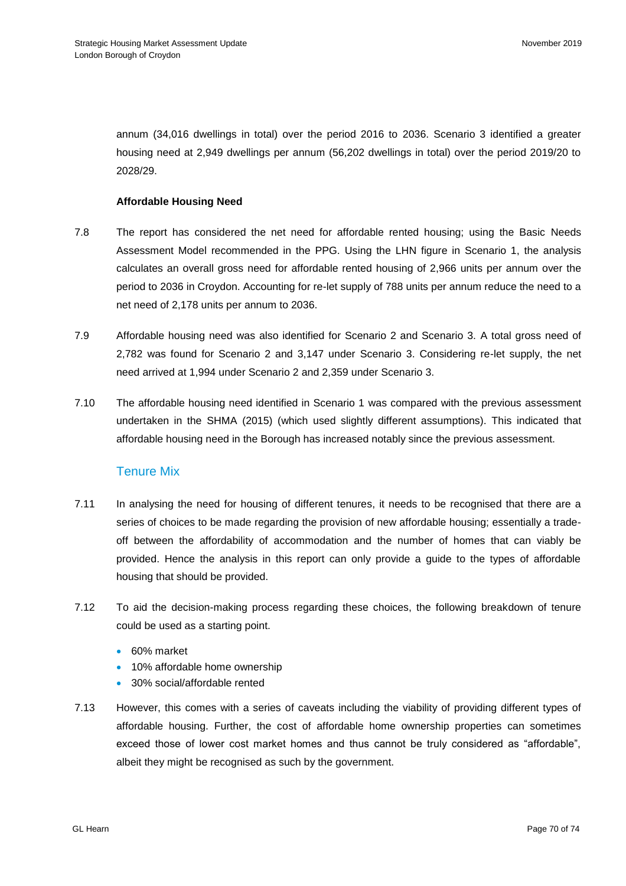annum (34,016 dwellings in total) over the period 2016 to 2036. Scenario 3 identified a greater housing need at 2,949 dwellings per annum (56,202 dwellings in total) over the period 2019/20 to 2028/29.

### **Affordable Housing Need**

- 7.8 The report has considered the net need for affordable rented housing; using the Basic Needs Assessment Model recommended in the PPG. Using the LHN figure in Scenario 1, the analysis calculates an overall gross need for affordable rented housing of 2,966 units per annum over the period to 2036 in Croydon. Accounting for re-let supply of 788 units per annum reduce the need to a net need of 2,178 units per annum to 2036.
- 7.9 Affordable housing need was also identified for Scenario 2 and Scenario 3. A total gross need of 2,782 was found for Scenario 2 and 3,147 under Scenario 3. Considering re-let supply, the net need arrived at 1,994 under Scenario 2 and 2,359 under Scenario 3.
- 7.10 The affordable housing need identified in Scenario 1 was compared with the previous assessment undertaken in the SHMA (2015) (which used slightly different assumptions). This indicated that affordable housing need in the Borough has increased notably since the previous assessment.

## Tenure Mix

- 7.11 In analysing the need for housing of different tenures, it needs to be recognised that there are a series of choices to be made regarding the provision of new affordable housing; essentially a tradeoff between the affordability of accommodation and the number of homes that can viably be provided. Hence the analysis in this report can only provide a guide to the types of affordable housing that should be provided.
- 7.12 To aid the decision-making process regarding these choices, the following breakdown of tenure could be used as a starting point.
	- 60% market
	- 10% affordable home ownership
	- 30% social/affordable rented
- 7.13 However, this comes with a series of caveats including the viability of providing different types of affordable housing. Further, the cost of affordable home ownership properties can sometimes exceed those of lower cost market homes and thus cannot be truly considered as "affordable", albeit they might be recognised as such by the government.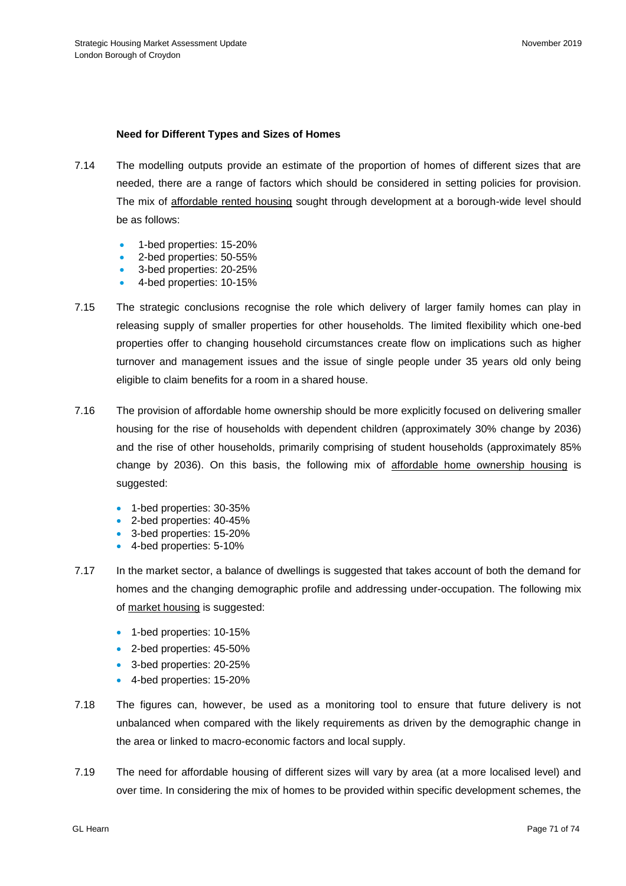## **Need for Different Types and Sizes of Homes**

- 7.14 The modelling outputs provide an estimate of the proportion of homes of different sizes that are needed, there are a range of factors which should be considered in setting policies for provision. The mix of affordable rented housing sought through development at a borough-wide level should be as follows:
	- 1-bed properties: 15-20%
	- 2-bed properties: 50-55%
	- 3-bed properties: 20-25%
	- 4-bed properties: 10-15%
- 7.15 The strategic conclusions recognise the role which delivery of larger family homes can play in releasing supply of smaller properties for other households. The limited flexibility which one-bed properties offer to changing household circumstances create flow on implications such as higher turnover and management issues and the issue of single people under 35 years old only being eligible to claim benefits for a room in a shared house.
- 7.16 The provision of affordable home ownership should be more explicitly focused on delivering smaller housing for the rise of households with dependent children (approximately 30% change by 2036) and the rise of other households, primarily comprising of student households (approximately 85% change by 2036). On this basis, the following mix of affordable home ownership housing is suggested:
	- 1-bed properties: 30-35%
	- 2-bed properties: 40-45%
	- 3-bed properties: 15-20%
	- 4-bed properties: 5-10%
- 7.17 In the market sector, a balance of dwellings is suggested that takes account of both the demand for homes and the changing demographic profile and addressing under-occupation. The following mix of market housing is suggested:
	- 1-bed properties: 10-15%
	- 2-bed properties: 45-50%
	- 3-bed properties: 20-25%
	- 4-bed properties: 15-20%
- 7.18 The figures can, however, be used as a monitoring tool to ensure that future delivery is not unbalanced when compared with the likely requirements as driven by the demographic change in the area or linked to macro-economic factors and local supply.
- 7.19 The need for affordable housing of different sizes will vary by area (at a more localised level) and over time. In considering the mix of homes to be provided within specific development schemes, the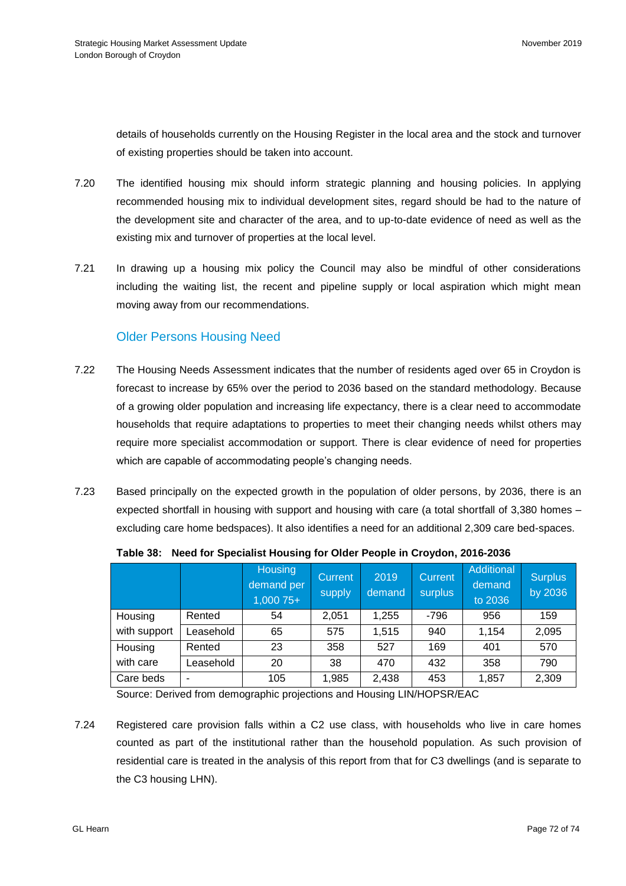details of households currently on the Housing Register in the local area and the stock and turnover of existing properties should be taken into account.

- 7.20 The identified housing mix should inform strategic planning and housing policies. In applying recommended housing mix to individual development sites, regard should be had to the nature of the development site and character of the area, and to up-to-date evidence of need as well as the existing mix and turnover of properties at the local level.
- 7.21 In drawing up a housing mix policy the Council may also be mindful of other considerations including the waiting list, the recent and pipeline supply or local aspiration which might mean moving away from our recommendations.

## Older Persons Housing Need

- 7.22 The Housing Needs Assessment indicates that the number of residents aged over 65 in Croydon is forecast to increase by 65% over the period to 2036 based on the standard methodology. Because of a growing older population and increasing life expectancy, there is a clear need to accommodate households that require adaptations to properties to meet their changing needs whilst others may require more specialist accommodation or support. There is clear evidence of need for properties which are capable of accommodating people's changing needs.
- 7.23 Based principally on the expected growth in the population of older persons, by 2036, there is an expected shortfall in housing with support and housing with care (a total shortfall of 3,380 homes – excluding care home bedspaces). It also identifies a need for an additional 2,309 care bed-spaces.

|              |           | Housing<br>demand per<br>$1,00075+$ | <b>Current</b><br>supply | 2019<br>demand | <b>Current</b><br>surplus | Additional<br>demand<br>to 2036 | <b>Surplus</b><br>by 2036 |
|--------------|-----------|-------------------------------------|--------------------------|----------------|---------------------------|---------------------------------|---------------------------|
| Housing      | Rented    | 54                                  | 2,051                    | 1,255          | $-796$                    | 956                             | 159                       |
| with support | _easehold | 65                                  | 575                      | 1,515          | 940                       | 1,154                           | 2,095                     |
| Housing      | Rented    | 23                                  | 358                      | 527            | 169                       | 401                             | 570                       |
| with care    | Leasehold | 20                                  | 38                       | 470            | 432                       | 358                             | 790                       |
| Care beds    | ۰         | 105                                 | 1,985                    | 2,438          | 453                       | 1,857                           | 2,309                     |

## **Table 38: Need for Specialist Housing for Older People in Croydon, 2016-2036**

Source: Derived from demographic projections and Housing LIN/HOPSR/EAC

7.24 Registered care provision falls within a C2 use class, with households who live in care homes counted as part of the institutional rather than the household population. As such provision of residential care is treated in the analysis of this report from that for C3 dwellings (and is separate to the C3 housing LHN).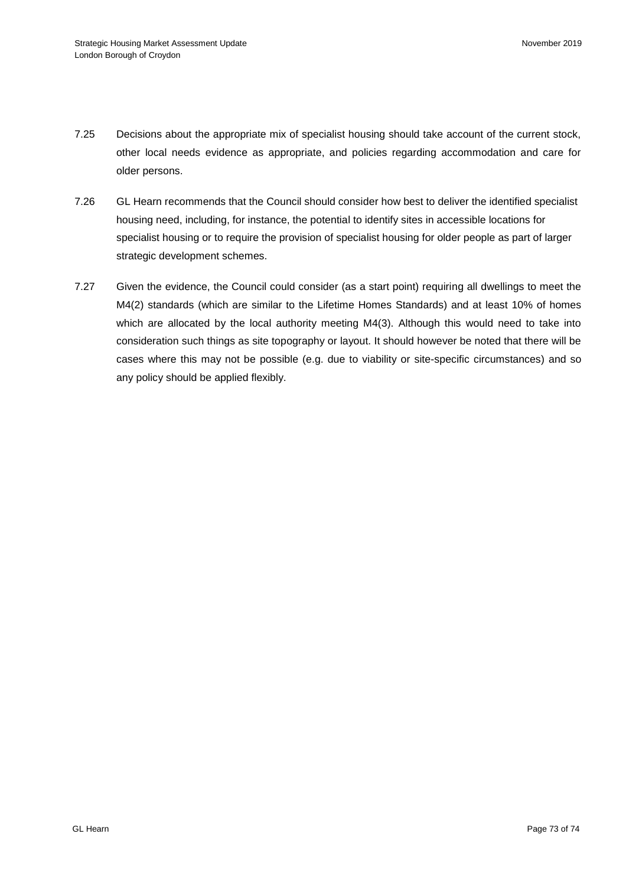- 7.25 Decisions about the appropriate mix of specialist housing should take account of the current stock, other local needs evidence as appropriate, and policies regarding accommodation and care for older persons.
- 7.26 GL Hearn recommends that the Council should consider how best to deliver the identified specialist housing need, including, for instance, the potential to identify sites in accessible locations for specialist housing or to require the provision of specialist housing for older people as part of larger strategic development schemes.
- 7.27 Given the evidence, the Council could consider (as a start point) requiring all dwellings to meet the M4(2) standards (which are similar to the Lifetime Homes Standards) and at least 10% of homes which are allocated by the local authority meeting M4(3). Although this would need to take into consideration such things as site topography or layout. It should however be noted that there will be cases where this may not be possible (e.g. due to viability or site-specific circumstances) and so any policy should be applied flexibly.